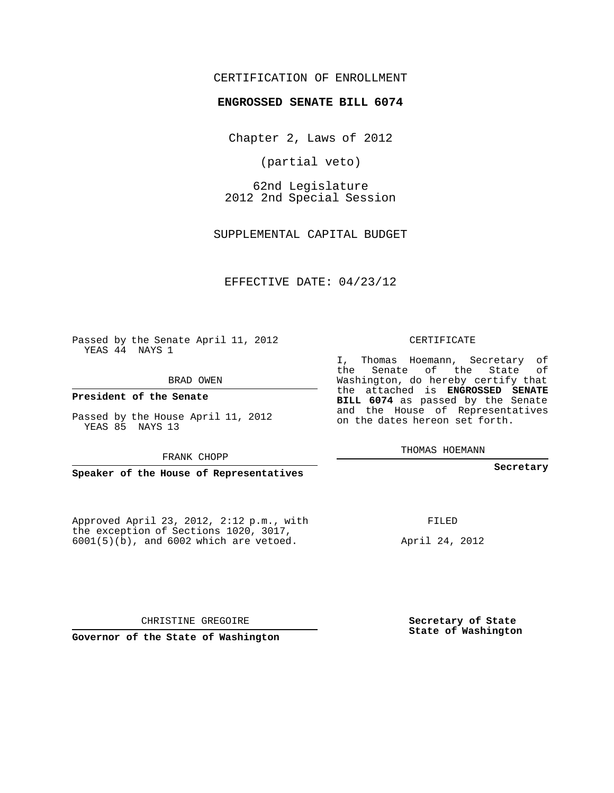#### CERTIFICATION OF ENROLLMENT

#### **ENGROSSED SENATE BILL 6074**

Chapter 2, Laws of 2012

(partial veto)

62nd Legislature 2012 2nd Special Session

SUPPLEMENTAL CAPITAL BUDGET

EFFECTIVE DATE: 04/23/12

Passed by the Senate April 11, 2012 YEAS 44 NAYS 1

BRAD OWEN

**President of the Senate**

Passed by the House April 11, 2012 YEAS 85 NAYS 13

FRANK CHOPP

**Speaker of the House of Representatives**

Approved April 23, 2012, 2:12 p.m., with the exception of Sections 1020, 3017, 6001(5)(b), and 6002 which are vetoed.

CERTIFICATE

I, Thomas Hoemann, Secretary of the Senate of the State of Washington, do hereby certify that the attached is **ENGROSSED SENATE BILL 6074** as passed by the Senate and the House of Representatives on the dates hereon set forth.

THOMAS HOEMANN

**Secretary**

FILED

April 24, 2012

**Secretary of State State of Washington**

CHRISTINE GREGOIRE

**Governor of the State of Washington**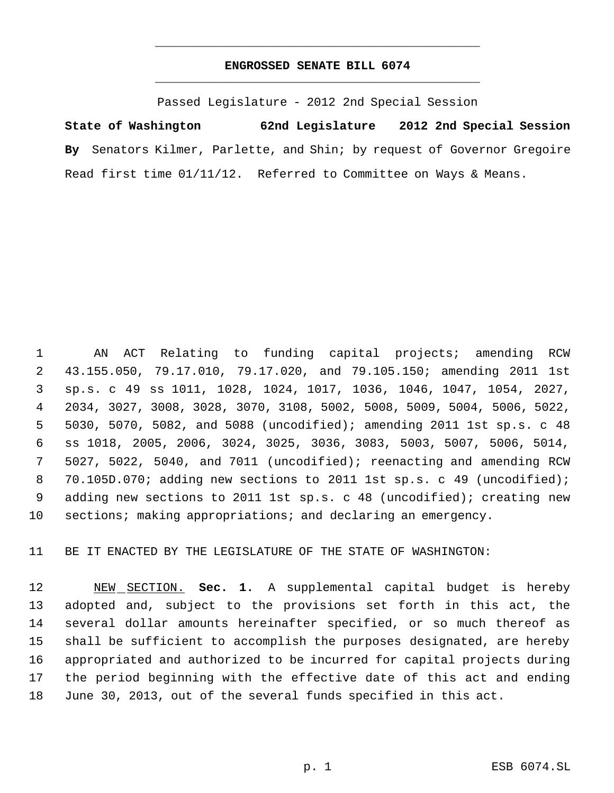# **ENGROSSED SENATE BILL 6074** \_\_\_\_\_\_\_\_\_\_\_\_\_\_\_\_\_\_\_\_\_\_\_\_\_\_\_\_\_\_\_\_\_\_\_\_\_\_\_\_\_\_\_\_\_

\_\_\_\_\_\_\_\_\_\_\_\_\_\_\_\_\_\_\_\_\_\_\_\_\_\_\_\_\_\_\_\_\_\_\_\_\_\_\_\_\_\_\_\_\_

Passed Legislature - 2012 2nd Special Session

**State of Washington 62nd Legislature 2012 2nd Special Session By** Senators Kilmer, Parlette, and Shin; by request of Governor Gregoire Read first time 01/11/12. Referred to Committee on Ways & Means.

 AN ACT Relating to funding capital projects; amending RCW 43.155.050, 79.17.010, 79.17.020, and 79.105.150; amending 2011 1st sp.s. c 49 ss 1011, 1028, 1024, 1017, 1036, 1046, 1047, 1054, 2027, 2034, 3027, 3008, 3028, 3070, 3108, 5002, 5008, 5009, 5004, 5006, 5022, 5030, 5070, 5082, and 5088 (uncodified); amending 2011 1st sp.s. c 48 ss 1018, 2005, 2006, 3024, 3025, 3036, 3083, 5003, 5007, 5006, 5014, 5027, 5022, 5040, and 7011 (uncodified); reenacting and amending RCW 70.105D.070; adding new sections to 2011 1st sp.s. c 49 (uncodified); adding new sections to 2011 1st sp.s. c 48 (uncodified); creating new sections; making appropriations; and declaring an emergency.

BE IT ENACTED BY THE LEGISLATURE OF THE STATE OF WASHINGTON:

 NEW SECTION. **Sec. 1.** A supplemental capital budget is hereby adopted and, subject to the provisions set forth in this act, the several dollar amounts hereinafter specified, or so much thereof as shall be sufficient to accomplish the purposes designated, are hereby appropriated and authorized to be incurred for capital projects during the period beginning with the effective date of this act and ending June 30, 2013, out of the several funds specified in this act.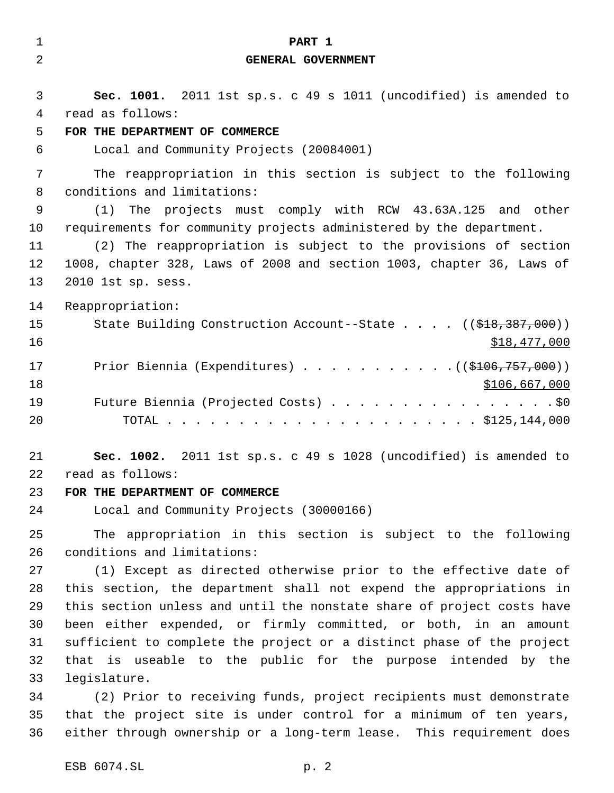| $\mathbf 1$ | PART 1                                                                                |
|-------------|---------------------------------------------------------------------------------------|
| 2           | GENERAL GOVERNMENT                                                                    |
|             |                                                                                       |
| 3           | Sec. 1001. 2011 1st sp.s. c 49 s 1011 (uncodified) is amended to                      |
| 4           | read as follows:                                                                      |
| 5           | FOR THE DEPARTMENT OF COMMERCE                                                        |
| 6           | Local and Community Projects (20084001)                                               |
| 7           | The reappropriation in this section is subject to the following                       |
| 8           | conditions and limitations:                                                           |
| 9           | The projects must comply with RCW 43.63A.125 and other<br>(1)                         |
| 10          | requirements for community projects administered by the department.                   |
| 11          | (2) The reappropriation is subject to the provisions of section                       |
| 12          | 1008, chapter 328, Laws of 2008 and section 1003, chapter 36, Laws of                 |
| 13          | 2010 1st sp. sess.                                                                    |
| 14          | Reappropriation:                                                                      |
| 15          | State Building Construction Account--State $($ $($ $\frac{18}{318}, \frac{387}{100})$ |
| 16          | \$18,477,000                                                                          |
| 17          | Prior Biennia (Expenditures) $($ $($ \$106,757,000) $)$                               |
| 18          | \$106,667,000                                                                         |
| 19          | Future Biennia (Projected Costs) \$0                                                  |
| 20          |                                                                                       |
|             |                                                                                       |
| 21          | Sec. 1002. 2011 1st sp.s. c 49 s 1028 (uncodified) is amended to                      |
| 22          | read as follows:                                                                      |
| 23          | FOR THE DEPARTMENT OF COMMERCE                                                        |
| 24          | Local and Community Projects (30000166)                                               |
| 25          | The appropriation in this section is subject to the following                         |
| 26          | conditions and limitations:                                                           |
| 27          | (1) Except as directed otherwise prior to the effective date of                       |
| 28          | this section, the department shall not expend the appropriations in                   |
| 29          | this section unless and until the nonstate share of project costs have                |
| 30          | been either expended, or firmly committed, or both, in an amount                      |
| 31          | sufficient to complete the project or a distinct phase of the project                 |
| 32          | that is useable to the public for the purpose intended by the                         |
| 33          | legislature.                                                                          |
| 34          | (2) Prior to receiving funds, project recipients must demonstrate                     |
| 35          | that the project site is under control for a minimum of ten years,                    |

either through ownership or a long-term lease. This requirement does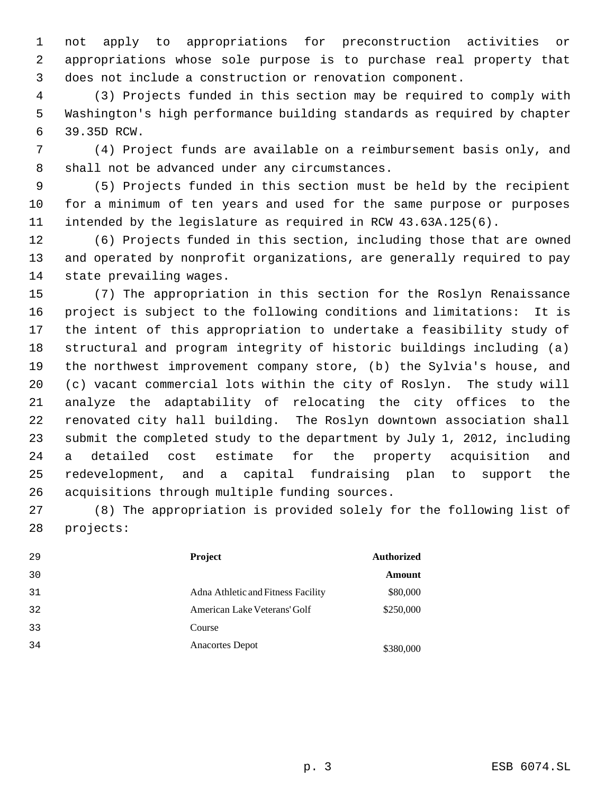not apply to appropriations for preconstruction activities or appropriations whose sole purpose is to purchase real property that does not include a construction or renovation component.

 (3) Projects funded in this section may be required to comply with Washington's high performance building standards as required by chapter 39.35D RCW.

 (4) Project funds are available on a reimbursement basis only, and shall not be advanced under any circumstances.

 (5) Projects funded in this section must be held by the recipient for a minimum of ten years and used for the same purpose or purposes intended by the legislature as required in RCW 43.63A.125(6).

 (6) Projects funded in this section, including those that are owned and operated by nonprofit organizations, are generally required to pay state prevailing wages.

 (7) The appropriation in this section for the Roslyn Renaissance project is subject to the following conditions and limitations: It is the intent of this appropriation to undertake a feasibility study of structural and program integrity of historic buildings including (a) the northwest improvement company store, (b) the Sylvia's house, and (c) vacant commercial lots within the city of Roslyn. The study will analyze the adaptability of relocating the city offices to the renovated city hall building. The Roslyn downtown association shall submit the completed study to the department by July 1, 2012, including a detailed cost estimate for the property acquisition and redevelopment, and a capital fundraising plan to support the acquisitions through multiple funding sources.

 (8) The appropriation is provided solely for the following list of projects:

| 29 | Project                            | <b>Authorized</b> |
|----|------------------------------------|-------------------|
| 30 |                                    | Amount            |
| 31 | Adna Athletic and Fitness Facility | \$80,000          |
| 32 | American Lake Veterans' Golf       | \$250,000         |
| 33 | Course                             |                   |
| 34 | Anacortes Depot                    | \$380,000         |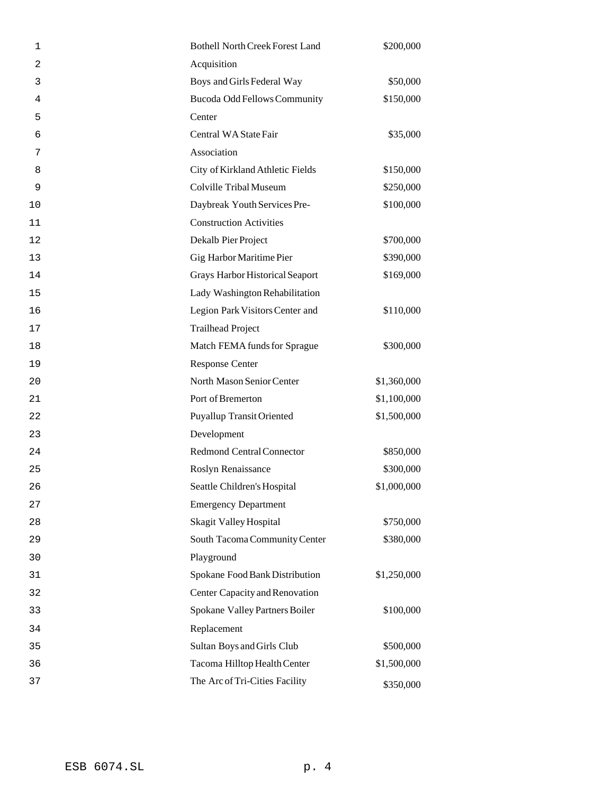| 1  | <b>Bothell North Creek Forest Land</b> | \$200,000   |
|----|----------------------------------------|-------------|
| 2  | Acquisition                            |             |
| 3  | Boys and Girls Federal Way             | \$50,000    |
| 4  | Bucoda Odd Fellows Community           | \$150,000   |
| 5  | Center                                 |             |
| 6  | Central WA State Fair                  | \$35,000    |
| 7  | Association                            |             |
| 8  | City of Kirkland Athletic Fields       | \$150,000   |
| 9  | Colville Tribal Museum                 | \$250,000   |
| 10 | Daybreak Youth Services Pre-           | \$100,000   |
| 11 | <b>Construction Activities</b>         |             |
| 12 | Dekalb Pier Project                    | \$700,000   |
| 13 | Gig Harbor Maritime Pier               | \$390,000   |
| 14 | Grays Harbor Historical Seaport        | \$169,000   |
| 15 | Lady Washington Rehabilitation         |             |
| 16 | Legion Park Visitors Center and        | \$110,000   |
| 17 | <b>Trailhead Project</b>               |             |
| 18 | Match FEMA funds for Sprague           | \$300,000   |
| 19 | <b>Response Center</b>                 |             |
| 20 | North Mason Senior Center              | \$1,360,000 |
| 21 | Port of Bremerton                      | \$1,100,000 |
| 22 | <b>Puyallup Transit Oriented</b>       | \$1,500,000 |
| 23 | Development                            |             |
| 24 | <b>Redmond Central Connector</b>       | \$850,000   |
| 25 | Roslyn Renaissance                     | \$300,000   |
| 26 | Seattle Children's Hospital            | \$1,000,000 |
| 27 | <b>Emergency Department</b>            |             |
| 28 | Skagit Valley Hospital                 | \$750,000   |
| 29 | South Tacoma Community Center          | \$380,000   |
| 30 | Playground                             |             |
| 31 | Spokane Food Bank Distribution         | \$1,250,000 |
| 32 | Center Capacity and Renovation         |             |
| 33 | Spokane Valley Partners Boiler         | \$100,000   |
| 34 | Replacement                            |             |
| 35 | Sultan Boys and Girls Club             | \$500,000   |
| 36 | Tacoma Hilltop Health Center           | \$1,500,000 |
| 37 | The Arc of Tri-Cities Facility         | \$350,000   |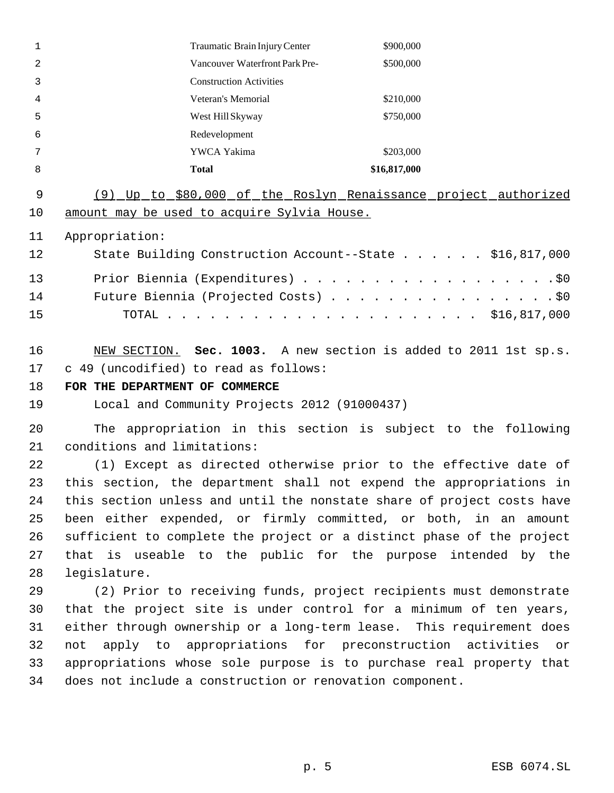| 1  |                                | Traumatic Brain Injury Center                            | \$900,000                                                              |
|----|--------------------------------|----------------------------------------------------------|------------------------------------------------------------------------|
| 2  |                                | Vancouver Waterfront Park Pre-                           | \$500,000                                                              |
| 3  |                                | <b>Construction Activities</b>                           |                                                                        |
| 4  |                                | Veteran's Memorial                                       | \$210,000                                                              |
| 5  |                                | West Hill Skyway                                         | \$750,000                                                              |
| 6  |                                | Redevelopment                                            |                                                                        |
| 7  |                                | YWCA Yakima                                              | \$203,000                                                              |
| 8  |                                | <b>Total</b>                                             | \$16,817,000                                                           |
| 9  |                                |                                                          | (9) Up_to_\$80,000 of the Roslyn Renaissance project authorized        |
| 10 |                                | amount may be used to acquire Sylvia House.              |                                                                        |
| 11 | Appropriation:                 |                                                          |                                                                        |
| 12 |                                |                                                          | State Building Construction Account--State \$16,817,000                |
|    |                                |                                                          |                                                                        |
| 13 |                                |                                                          | Prior Biennia (Expenditures) \$0                                       |
| 14 |                                |                                                          | Future Biennia (Projected Costs) \$0                                   |
| 15 |                                |                                                          |                                                                        |
| 16 |                                |                                                          | NEW SECTION. Sec. 1003. A new section is added to 2011 1st sp.s.       |
| 17 |                                | c 49 (uncodified) to read as follows:                    |                                                                        |
| 18 | FOR THE DEPARTMENT OF COMMERCE |                                                          |                                                                        |
| 19 |                                | Local and Community Projects 2012 (91000437)             |                                                                        |
|    |                                |                                                          |                                                                        |
| 20 |                                |                                                          | The appropriation in this section is subject to the following          |
| 21 | conditions and limitations:    |                                                          |                                                                        |
| 22 |                                |                                                          | (1) Except as directed otherwise prior to the effective date of        |
| 23 |                                |                                                          | this section, the department shall not expend the appropriations in    |
| 24 |                                |                                                          | this section unless and until the nonstate share of project costs have |
| 25 |                                |                                                          | been either expended, or firmly committed, or both, in an amount       |
| 26 |                                |                                                          | sufficient to complete the project or a distinct phase of the project  |
| 27 |                                |                                                          | that is useable to the public for the purpose intended by the          |
| 28 | legislature.                   |                                                          |                                                                        |
| 29 |                                |                                                          | (2) Prior to receiving funds, project recipients must demonstrate      |
| 30 |                                |                                                          | that the project site is under control for a minimum of ten years,     |
| 31 |                                |                                                          | either through ownership or a long-term lease. This requirement does   |
| 32 | not                            |                                                          | apply to appropriations for preconstruction activities or              |
| 33 |                                |                                                          | appropriations whose sole purpose is to purchase real property that    |
| 34 |                                | does not include a construction or renovation component. |                                                                        |
|    |                                |                                                          |                                                                        |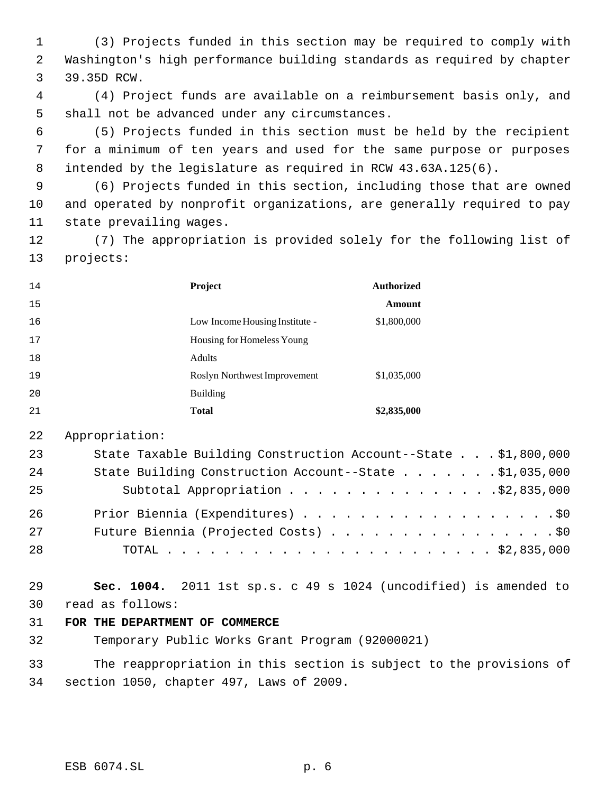(3) Projects funded in this section may be required to comply with Washington's high performance building standards as required by chapter 39.35D RCW.

 (4) Project funds are available on a reimbursement basis only, and shall not be advanced under any circumstances.

 (5) Projects funded in this section must be held by the recipient for a minimum of ten years and used for the same purpose or purposes intended by the legislature as required in RCW 43.63A.125(6).

 (6) Projects funded in this section, including those that are owned and operated by nonprofit organizations, are generally required to pay state prevailing wages.

 (7) The appropriation is provided solely for the following list of projects:

| 14 | Project                        | <b>Authorized</b> |
|----|--------------------------------|-------------------|
| 15 |                                | Amount            |
| 16 | Low Income Housing Institute - | \$1,800,000       |
| 17 | Housing for Homeless Young     |                   |
| 18 | Adults                         |                   |
| 19 | Roslyn Northwest Improvement   | \$1,035,000       |
| 20 | <b>Building</b>                |                   |
| 21 | Total                          | \$2,835,000       |

Appropriation:

| 23 | State Taxable Building Construction Account--State \$1,800,000 |  |
|----|----------------------------------------------------------------|--|
| 24 | State Building Construction Account--State \$1,035,000         |  |
| 25 |                                                                |  |
| 26 |                                                                |  |
| 27 | Future Biennia (Projected Costs) \$0                           |  |
| 28 |                                                                |  |

 **Sec. 1004.** 2011 1st sp.s. c 49 s 1024 (uncodified) is amended to read as follows:

# **FOR THE DEPARTMENT OF COMMERCE**

Temporary Public Works Grant Program (92000021)

 The reappropriation in this section is subject to the provisions of section 1050, chapter 497, Laws of 2009.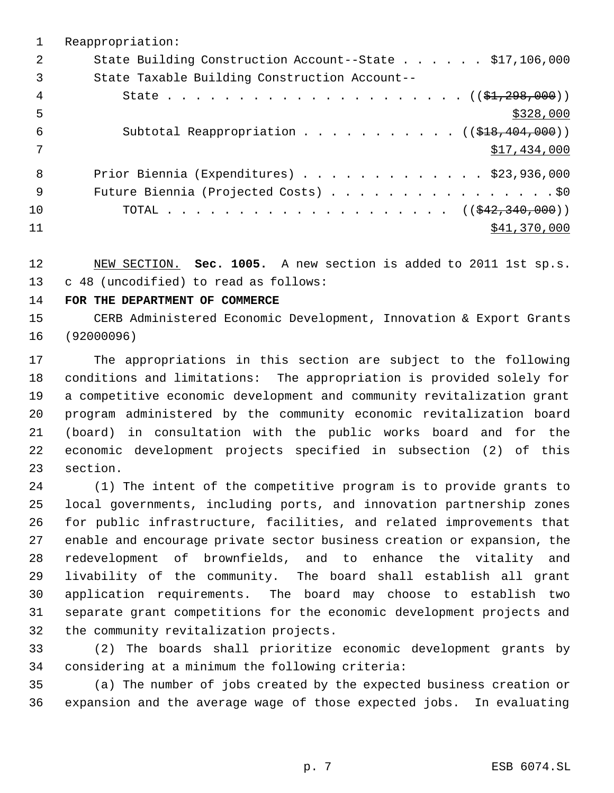|     | Reappropriation:                                        |
|-----|---------------------------------------------------------|
| 2   | State Building Construction Account--State \$17,106,000 |
| 3   | State Taxable Building Construction Account--           |
| 4   |                                                         |
| 5   | \$328,000                                               |
| 6   | Subtotal Reappropriation $($ $($ $\frac{218}{1000}$     |
| 7   | \$17,434,000                                            |
| -8  | Prior Biennia (Expenditures) $\ldots$ \$23,936,000      |
| - 9 | Future Biennia (Projected Costs) \$0                    |
| 10  |                                                         |
| 11  | \$41,370,000                                            |

 NEW SECTION. **Sec. 1005.** A new section is added to 2011 1st sp.s. c 48 (uncodified) to read as follows:

**FOR THE DEPARTMENT OF COMMERCE**

 CERB Administered Economic Development, Innovation & Export Grants (92000096)

 The appropriations in this section are subject to the following conditions and limitations: The appropriation is provided solely for a competitive economic development and community revitalization grant program administered by the community economic revitalization board (board) in consultation with the public works board and for the economic development projects specified in subsection (2) of this section.

 (1) The intent of the competitive program is to provide grants to local governments, including ports, and innovation partnership zones for public infrastructure, facilities, and related improvements that enable and encourage private sector business creation or expansion, the redevelopment of brownfields, and to enhance the vitality and livability of the community. The board shall establish all grant application requirements. The board may choose to establish two separate grant competitions for the economic development projects and the community revitalization projects.

 (2) The boards shall prioritize economic development grants by considering at a minimum the following criteria:

 (a) The number of jobs created by the expected business creation or expansion and the average wage of those expected jobs. In evaluating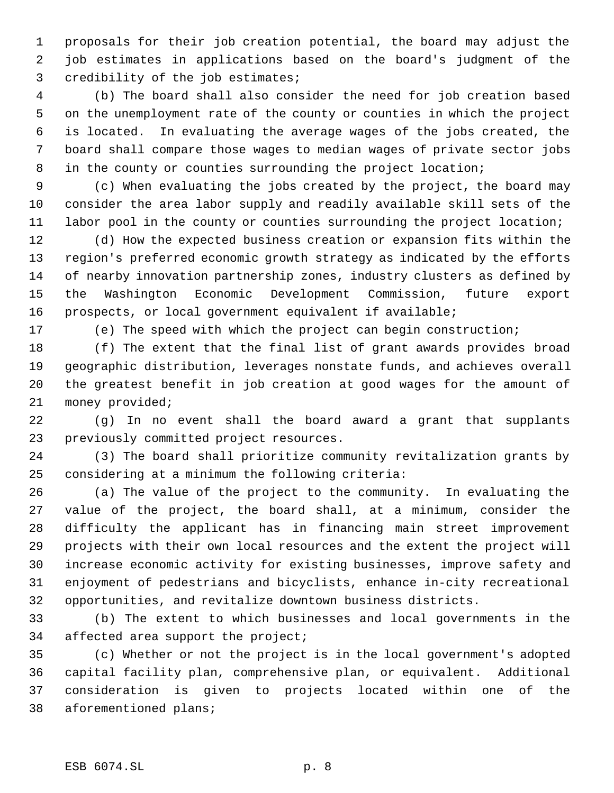proposals for their job creation potential, the board may adjust the job estimates in applications based on the board's judgment of the credibility of the job estimates;

 (b) The board shall also consider the need for job creation based on the unemployment rate of the county or counties in which the project is located. In evaluating the average wages of the jobs created, the board shall compare those wages to median wages of private sector jobs 8 in the county or counties surrounding the project location;

 (c) When evaluating the jobs created by the project, the board may consider the area labor supply and readily available skill sets of the labor pool in the county or counties surrounding the project location;

 (d) How the expected business creation or expansion fits within the region's preferred economic growth strategy as indicated by the efforts of nearby innovation partnership zones, industry clusters as defined by the Washington Economic Development Commission, future export prospects, or local government equivalent if available;

(e) The speed with which the project can begin construction;

 (f) The extent that the final list of grant awards provides broad geographic distribution, leverages nonstate funds, and achieves overall the greatest benefit in job creation at good wages for the amount of money provided;

 (g) In no event shall the board award a grant that supplants previously committed project resources.

 (3) The board shall prioritize community revitalization grants by considering at a minimum the following criteria:

 (a) The value of the project to the community. In evaluating the value of the project, the board shall, at a minimum, consider the difficulty the applicant has in financing main street improvement projects with their own local resources and the extent the project will increase economic activity for existing businesses, improve safety and enjoyment of pedestrians and bicyclists, enhance in-city recreational opportunities, and revitalize downtown business districts.

 (b) The extent to which businesses and local governments in the affected area support the project;

 (c) Whether or not the project is in the local government's adopted capital facility plan, comprehensive plan, or equivalent. Additional consideration is given to projects located within one of the aforementioned plans;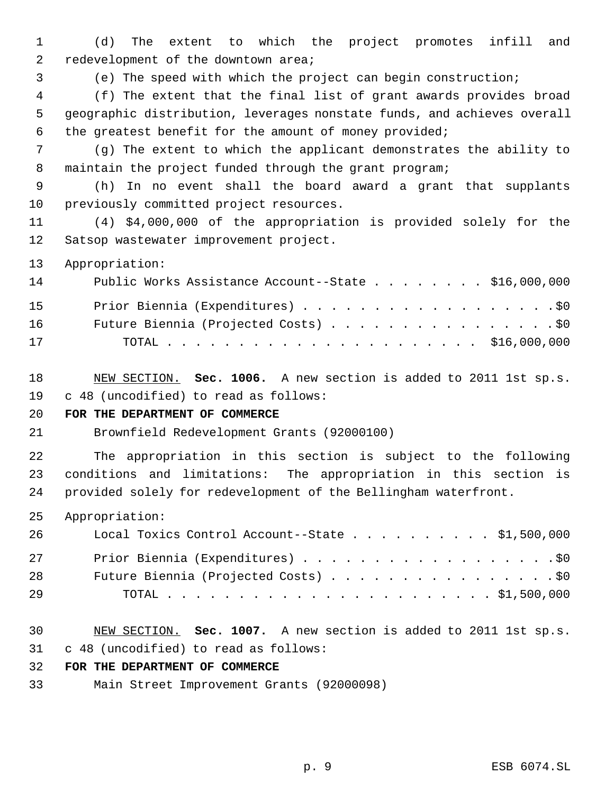(d) The extent to which the project promotes infill and redevelopment of the downtown area;

(e) The speed with which the project can begin construction;

 (f) The extent that the final list of grant awards provides broad geographic distribution, leverages nonstate funds, and achieves overall the greatest benefit for the amount of money provided;

 (g) The extent to which the applicant demonstrates the ability to 8 maintain the project funded through the grant program;

 (h) In no event shall the board award a grant that supplants previously committed project resources.

 (4) \$4,000,000 of the appropriation is provided solely for the Satsop wastewater improvement project.

Appropriation:

| 14 | Public Works Assistance Account--State \$16,000,000 |
|----|-----------------------------------------------------|
| 15 | Prior Biennia (Expenditures) \$0                    |
| 16 | Future Biennia (Projected Costs) \$0                |
| 17 |                                                     |

 NEW SECTION. **Sec. 1006.** A new section is added to 2011 1st sp.s. c 48 (uncodified) to read as follows:

#### **FOR THE DEPARTMENT OF COMMERCE**

Brownfield Redevelopment Grants (92000100)

 The appropriation in this section is subject to the following conditions and limitations: The appropriation in this section is provided solely for redevelopment of the Bellingham waterfront.

Appropriation:

| 26 | Local Toxics Control Account--State $\ldots$ \$1,500,000 |  |
|----|----------------------------------------------------------|--|
| 27 |                                                          |  |
| 28 | Future Biennia (Projected Costs) \$0                     |  |
| 29 |                                                          |  |

 NEW SECTION. **Sec. 1007.** A new section is added to 2011 1st sp.s. c 48 (uncodified) to read as follows:

# **FOR THE DEPARTMENT OF COMMERCE**

Main Street Improvement Grants (92000098)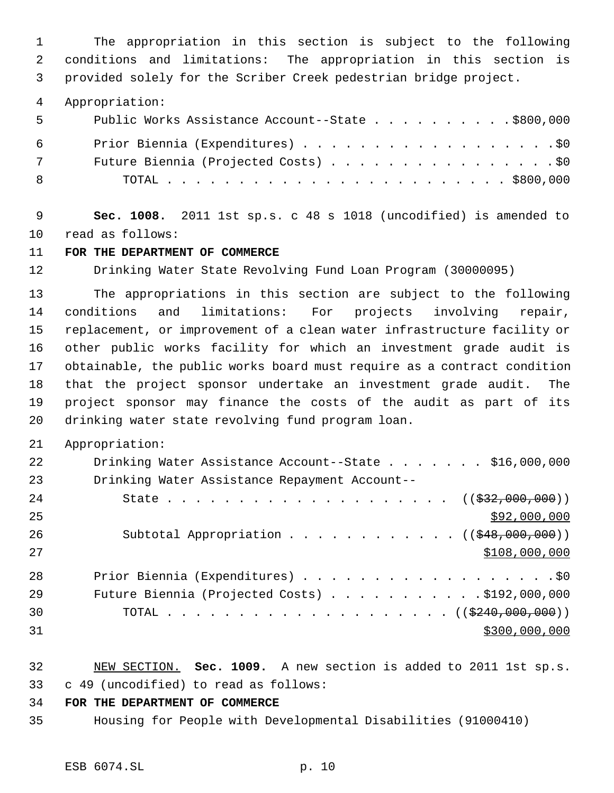The appropriation in this section is subject to the following conditions and limitations: The appropriation in this section is provided solely for the Scriber Creek pedestrian bridge project.

Appropriation:

| - 5 - | Public Works Assistance Account--State \$800,000 |
|-------|--------------------------------------------------|
| 6     | Prior Biennia (Expenditures) \$0                 |
| 7     | Future Biennia (Projected Costs) \$0             |
| - 8   |                                                  |

 **Sec. 1008.** 2011 1st sp.s. c 48 s 1018 (uncodified) is amended to read as follows:

# **FOR THE DEPARTMENT OF COMMERCE**

Drinking Water State Revolving Fund Loan Program (30000095)

 The appropriations in this section are subject to the following conditions and limitations: For projects involving repair, replacement, or improvement of a clean water infrastructure facility or other public works facility for which an investment grade audit is obtainable, the public works board must require as a contract condition that the project sponsor undertake an investment grade audit. The project sponsor may finance the costs of the audit as part of its drinking water state revolving fund program loan.

Appropriation:

| 22 | Drinking Water Assistance Account--State \$16,000,000          |
|----|----------------------------------------------------------------|
| 23 | Drinking Water Assistance Repayment Account--                  |
| 24 |                                                                |
| 25 | \$92,000,000                                                   |
| 26 | Subtotal Appropriation $($ $($ $\frac{248,000,000)}{100,000})$ |
| 27 | \$108,000,000                                                  |
| 28 | Prior Biennia (Expenditures) \$0                               |
| 29 | Future Biennia (Projected Costs) \$192,000,000                 |
| 30 | TOTAL ( $(\frac{2240}{600}, 000, 000)$ )                       |
| 31 | \$300,000,000                                                  |

 NEW SECTION. **Sec. 1009.** A new section is added to 2011 1st sp.s. c 49 (uncodified) to read as follows:

# **FOR THE DEPARTMENT OF COMMERCE**

Housing for People with Developmental Disabilities (91000410)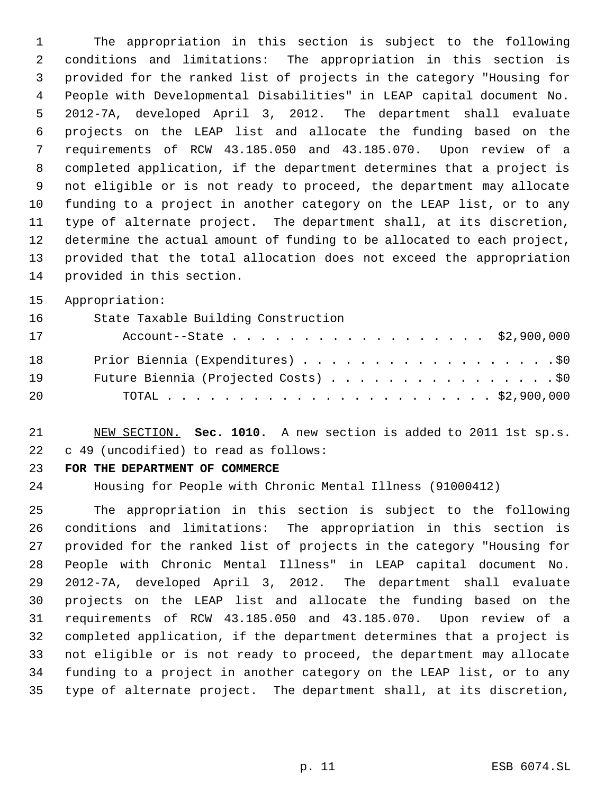The appropriation in this section is subject to the following conditions and limitations: The appropriation in this section is provided for the ranked list of projects in the category "Housing for People with Developmental Disabilities" in LEAP capital document No. 2012-7A, developed April 3, 2012. The department shall evaluate projects on the LEAP list and allocate the funding based on the requirements of RCW 43.185.050 and 43.185.070. Upon review of a completed application, if the department determines that a project is not eligible or is not ready to proceed, the department may allocate funding to a project in another category on the LEAP list, or to any type of alternate project. The department shall, at its discretion, determine the actual amount of funding to be allocated to each project, provided that the total allocation does not exceed the appropriation provided in this section.

Appropriation:

| 16 | State Taxable Building Construction  |
|----|--------------------------------------|
| 17 | Account--State \$2,900,000           |
| 18 | Prior Biennia (Expenditures) \$0     |
| 19 | Future Biennia (Projected Costs) \$0 |
| 20 |                                      |

 NEW SECTION. **Sec. 1010.** A new section is added to 2011 1st sp.s. c 49 (uncodified) to read as follows:

# **FOR THE DEPARTMENT OF COMMERCE**

Housing for People with Chronic Mental Illness (91000412)

 The appropriation in this section is subject to the following conditions and limitations: The appropriation in this section is provided for the ranked list of projects in the category "Housing for People with Chronic Mental Illness" in LEAP capital document No. 2012-7A, developed April 3, 2012. The department shall evaluate projects on the LEAP list and allocate the funding based on the requirements of RCW 43.185.050 and 43.185.070. Upon review of a completed application, if the department determines that a project is not eligible or is not ready to proceed, the department may allocate funding to a project in another category on the LEAP list, or to any type of alternate project. The department shall, at its discretion,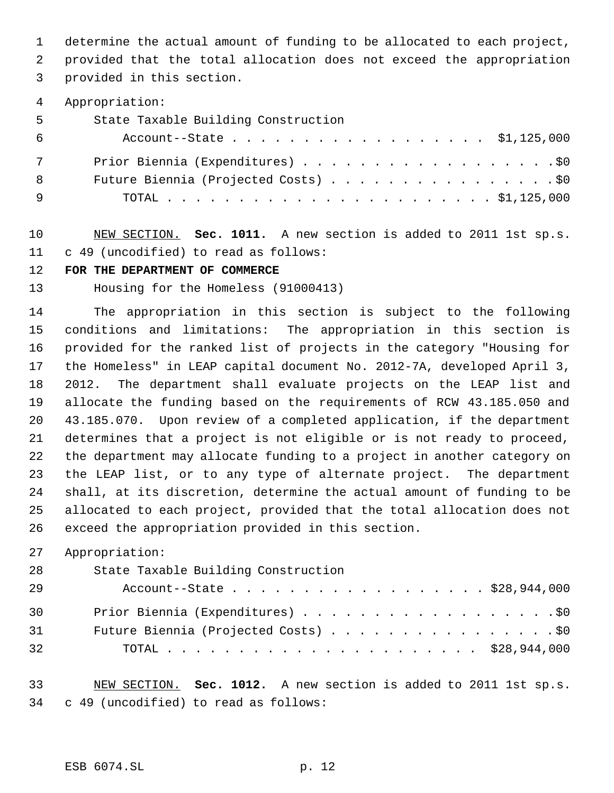determine the actual amount of funding to be allocated to each project,

 provided that the total allocation does not exceed the appropriation provided in this section.

#### Appropriation:

- State Taxable Building Construction Account--State . . . . . . . . . . . . . . . . . . \$1,125,000
- 7 Prior Biennia (Expenditures) . . . . . . . . . . . . . . . . . . \$0 8 Future Biennia (Projected Costs) . . . . . . . . . . . . . . . . \$0 TOTAL . . . . . . . . . . . . . . . . . . . . . . . \$1,125,000
- NEW SECTION. **Sec. 1011.** A new section is added to 2011 1st sp.s. c 49 (uncodified) to read as follows:
- **FOR THE DEPARTMENT OF COMMERCE**

Housing for the Homeless (91000413)

 The appropriation in this section is subject to the following conditions and limitations: The appropriation in this section is provided for the ranked list of projects in the category "Housing for the Homeless" in LEAP capital document No. 2012-7A, developed April 3, 2012. The department shall evaluate projects on the LEAP list and allocate the funding based on the requirements of RCW 43.185.050 and 43.185.070. Upon review of a completed application, if the department determines that a project is not eligible or is not ready to proceed, the department may allocate funding to a project in another category on the LEAP list, or to any type of alternate project. The department shall, at its discretion, determine the actual amount of funding to be allocated to each project, provided that the total allocation does not exceed the appropriation provided in this section.

Appropriation:

State Taxable Building Construction

| -29 | Account--State \$28,944,000          |
|-----|--------------------------------------|
| 30  | Prior Biennia (Expenditures) \$0     |
| 31  | Future Biennia (Projected Costs) \$0 |
| 32  |                                      |

 NEW SECTION. **Sec. 1012.** A new section is added to 2011 1st sp.s. c 49 (uncodified) to read as follows: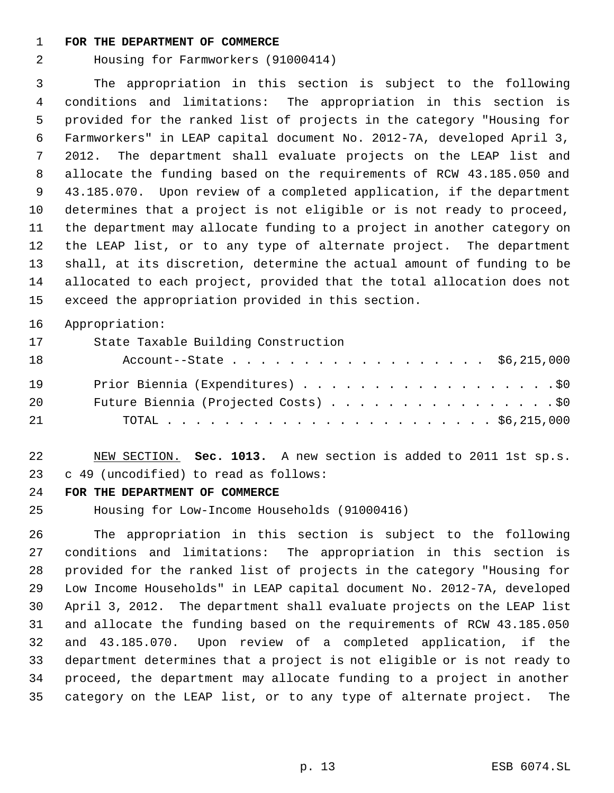#### **FOR THE DEPARTMENT OF COMMERCE**

Housing for Farmworkers (91000414)

 The appropriation in this section is subject to the following conditions and limitations: The appropriation in this section is provided for the ranked list of projects in the category "Housing for Farmworkers" in LEAP capital document No. 2012-7A, developed April 3, 2012. The department shall evaluate projects on the LEAP list and allocate the funding based on the requirements of RCW 43.185.050 and 43.185.070. Upon review of a completed application, if the department determines that a project is not eligible or is not ready to proceed, the department may allocate funding to a project in another category on the LEAP list, or to any type of alternate project. The department shall, at its discretion, determine the actual amount of funding to be allocated to each project, provided that the total allocation does not exceed the appropriation provided in this section.

# Appropriation:

| 17 | State Taxable Building Construction  |
|----|--------------------------------------|
| 18 | Account--State \$6,215,000           |
| 19 | Prior Biennia (Expenditures) \$0     |
| 20 | Future Biennia (Projected Costs) \$0 |
| 21 |                                      |

 NEW SECTION. **Sec. 1013.** A new section is added to 2011 1st sp.s. c 49 (uncodified) to read as follows:

#### **FOR THE DEPARTMENT OF COMMERCE**

Housing for Low-Income Households (91000416)

 The appropriation in this section is subject to the following conditions and limitations: The appropriation in this section is provided for the ranked list of projects in the category "Housing for Low Income Households" in LEAP capital document No. 2012-7A, developed April 3, 2012. The department shall evaluate projects on the LEAP list and allocate the funding based on the requirements of RCW 43.185.050 and 43.185.070. Upon review of a completed application, if the department determines that a project is not eligible or is not ready to proceed, the department may allocate funding to a project in another category on the LEAP list, or to any type of alternate project. The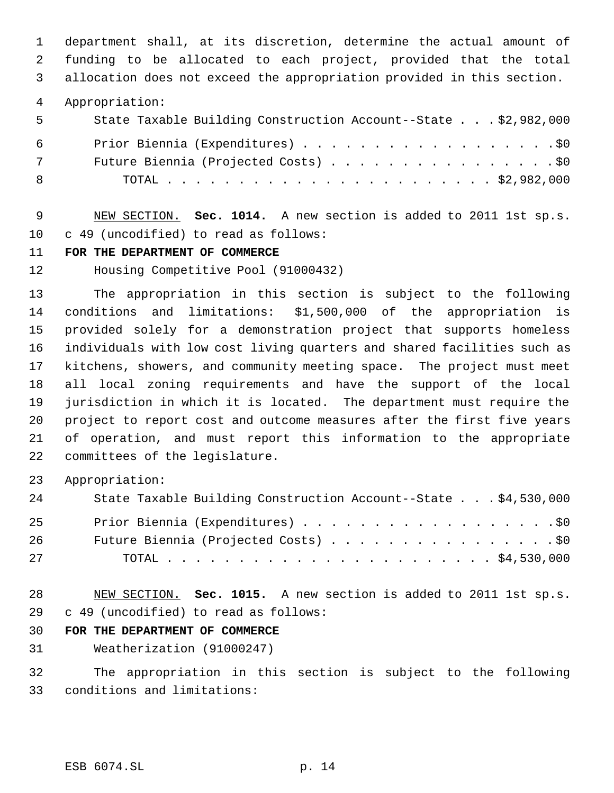department shall, at its discretion, determine the actual amount of funding to be allocated to each project, provided that the total

allocation does not exceed the appropriation provided in this section.

Appropriation:

| - 5 | State Taxable Building Construction Account--State \$2,982,000 |
|-----|----------------------------------------------------------------|
| 6   | Prior Biennia (Expenditures) \$0                               |
| 7   | Future Biennia (Projected Costs) \$0                           |
| - 8 |                                                                |

 NEW SECTION. **Sec. 1014.** A new section is added to 2011 1st sp.s. c 49 (uncodified) to read as follows:

**FOR THE DEPARTMENT OF COMMERCE**

Housing Competitive Pool (91000432)

 The appropriation in this section is subject to the following conditions and limitations: \$1,500,000 of the appropriation is provided solely for a demonstration project that supports homeless individuals with low cost living quarters and shared facilities such as kitchens, showers, and community meeting space. The project must meet all local zoning requirements and have the support of the local jurisdiction in which it is located. The department must require the project to report cost and outcome measures after the first five years of operation, and must report this information to the appropriate committees of the legislature.

Appropriation:

| 24 | State Taxable Building Construction Account--State \$4,530,000 |  |
|----|----------------------------------------------------------------|--|
| 25 | Prior Biennia (Expenditures) \$0                               |  |
| 26 | Future Biennia (Projected Costs) \$0                           |  |
| 27 |                                                                |  |

 NEW SECTION. **Sec. 1015.** A new section is added to 2011 1st sp.s. c 49 (uncodified) to read as follows:

# **FOR THE DEPARTMENT OF COMMERCE**

Weatherization (91000247)

 The appropriation in this section is subject to the following conditions and limitations: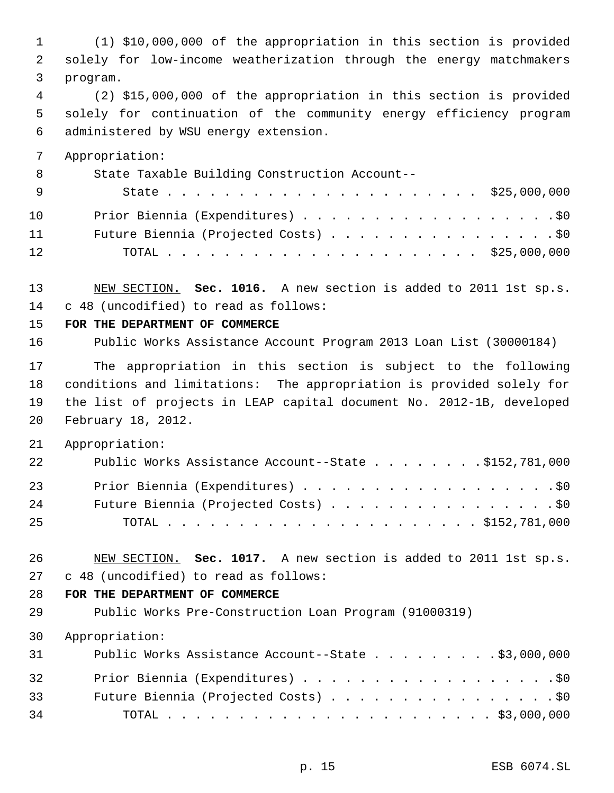(1) \$10,000,000 of the appropriation in this section is provided solely for low-income weatherization through the energy matchmakers program.

 (2) \$15,000,000 of the appropriation in this section is provided solely for continuation of the community energy efficiency program administered by WSU energy extension.

Appropriation:

| - 8 | State Taxable Building Construction Account-- |  |
|-----|-----------------------------------------------|--|
| - 9 |                                               |  |
| 10  | Prior Biennia (Expenditures) \$0              |  |
| 11  | Future Biennia (Projected Costs) \$0          |  |
| 12  |                                               |  |

 NEW SECTION. **Sec. 1016.** A new section is added to 2011 1st sp.s. c 48 (uncodified) to read as follows:

#### **FOR THE DEPARTMENT OF COMMERCE**

Public Works Assistance Account Program 2013 Loan List (30000184)

 The appropriation in this section is subject to the following conditions and limitations: The appropriation is provided solely for the list of projects in LEAP capital document No. 2012-1B, developed February 18, 2012.

Appropriation:

| 22 | Public Works Assistance Account--State \$152,781,000 |
|----|------------------------------------------------------|
| 23 | Prior Biennia (Expenditures) \$0                     |
| 24 | Future Biennia (Projected Costs) \$0                 |
| 25 |                                                      |

 NEW SECTION. **Sec. 1017.** A new section is added to 2011 1st sp.s. c 48 (uncodified) to read as follows:

#### **FOR THE DEPARTMENT OF COMMERCE**

Public Works Pre-Construction Loan Program (91000319)

Appropriation:

| 31              | Public Works Assistance Account--State \$3,000,000 |
|-----------------|----------------------------------------------------|
| 32 <sup>°</sup> | Prior Biennia (Expenditures) \$0                   |
| 33              | Future Biennia (Projected Costs) \$0               |
| 34              |                                                    |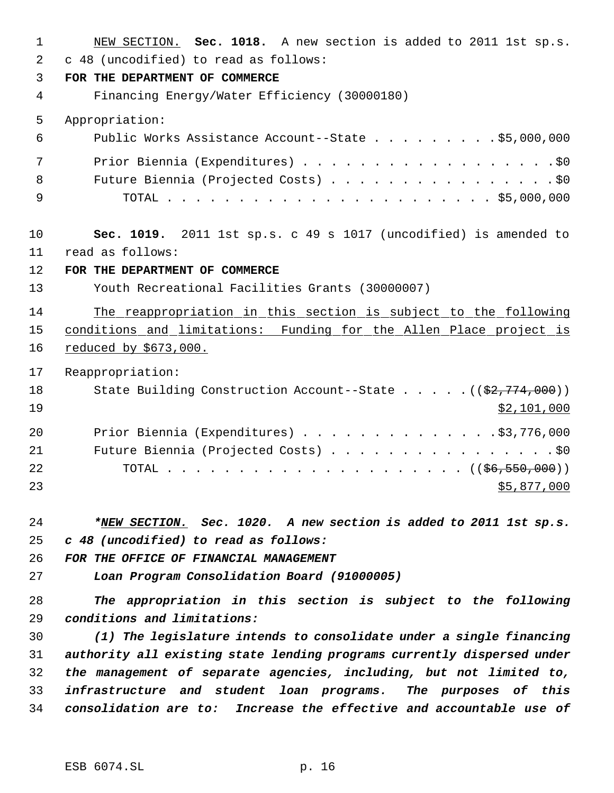NEW SECTION. **Sec. 1018.** A new section is added to 2011 1st sp.s. c 48 (uncodified) to read as follows: **FOR THE DEPARTMENT OF COMMERCE** Financing Energy/Water Efficiency (30000180) Appropriation: Public Works Assistance Account--State . . . . . . . . . \$5,000,000 Prior Biennia (Expenditures) . . . . . . . . . . . . . . . . . .\$0 8 Future Biennia (Projected Costs) . . . . . . . . . . . . . . . . \$0 TOTAL . . . . . . . . . . . . . . . . . . . . . . . \$5,000,000 **Sec. 1019.** 2011 1st sp.s. c 49 s 1017 (uncodified) is amended to read as follows: **FOR THE DEPARTMENT OF COMMERCE** Youth Recreational Facilities Grants (30000007) The reappropriation in this section is subject to the following 15 conditions and limitations: Funding for the Allen Place project is reduced by \$673,000. Reappropriation: 18 State Building Construction Account--State . . . . . ((\$2,774,000)) 19 \$2,101,000 Prior Biennia (Expenditures) . . . . . . . . . . . . . .\$3,776,000 21 Future Biennia (Projected Costs) . . . . . . . . . . . . . . . . \$0 TOTAL . . . . . . . . . . . . . . . . . . . . . ((\$6,550,000))  $$5,877,000$  *\*NEW SECTION. Sec. 1020. A new section is added to 2011 1st sp.s. c 48 (uncodified) to read as follows: FOR THE OFFICE OF FINANCIAL MANAGEMENT Loan Program Consolidation Board (91000005) The appropriation in this section is subject to the following conditions and limitations: (1) The legislature intends to consolidate under a single financing authority all existing state lending programs currently dispersed under the management of separate agencies, including, but not limited to, infrastructure and student loan programs. The purposes of this consolidation are to: Increase the effective and accountable use of*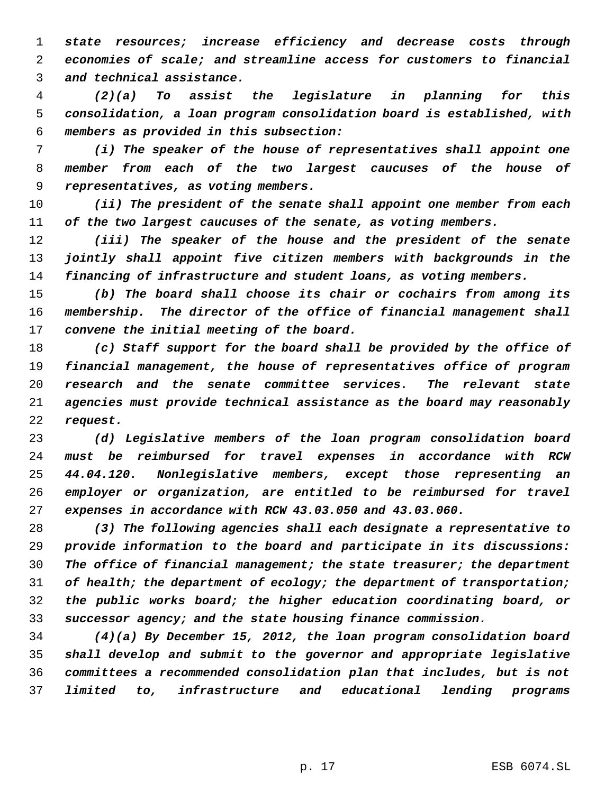*state resources; increase efficiency and decrease costs through economies of scale; and streamline access for customers to financial and technical assistance.*

 *(2)(a) To assist the legislature in planning for this consolidation, a loan program consolidation board is established, with members as provided in this subsection:*

 *(i) The speaker of the house of representatives shall appoint one member from each of the two largest caucuses of the house of representatives, as voting members.*

 *(ii) The president of the senate shall appoint one member from each of the two largest caucuses of the senate, as voting members.*

 *(iii) The speaker of the house and the president of the senate jointly shall appoint five citizen members with backgrounds in the financing of infrastructure and student loans, as voting members.*

 *(b) The board shall choose its chair or cochairs from among its membership. The director of the office of financial management shall convene the initial meeting of the board.*

 *(c) Staff support for the board shall be provided by the office of financial management, the house of representatives office of program research and the senate committee services. The relevant state agencies must provide technical assistance as the board may reasonably request.*

 *(d) Legislative members of the loan program consolidation board must be reimbursed for travel expenses in accordance with RCW 44.04.120. Nonlegislative members, except those representing an employer or organization, are entitled to be reimbursed for travel expenses in accordance with RCW 43.03.050 and 43.03.060.*

 *(3) The following agencies shall each designate a representative to provide information to the board and participate in its discussions: The office of financial management; the state treasurer; the department of health; the department of ecology; the department of transportation; the public works board; the higher education coordinating board, or successor agency; and the state housing finance commission.*

 *(4)(a) By December 15, 2012, the loan program consolidation board shall develop and submit to the governor and appropriate legislative committees a recommended consolidation plan that includes, but is not limited to, infrastructure and educational lending programs*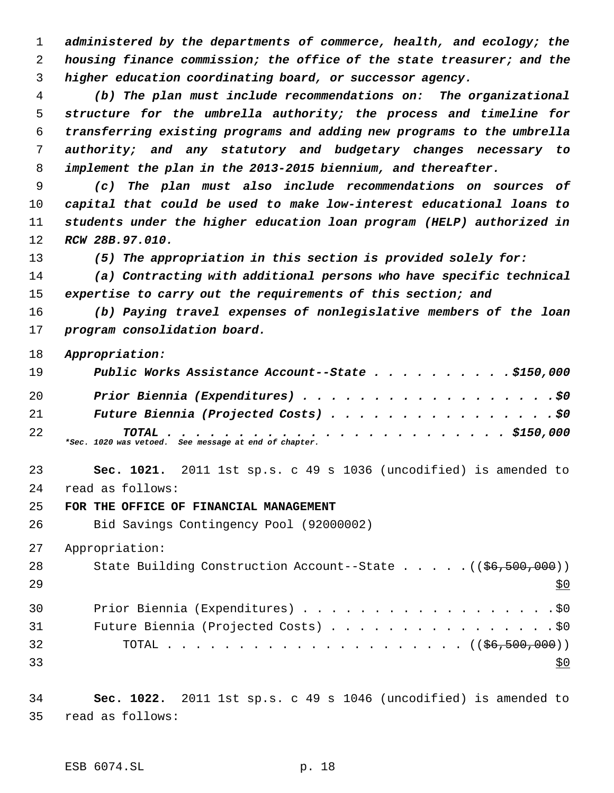*administered by the departments of commerce, health, and ecology; the housing finance commission; the office of the state treasurer; and the higher education coordinating board, or successor agency.*

 *(b) The plan must include recommendations on: The organizational structure for the umbrella authority; the process and timeline for transferring existing programs and adding new programs to the umbrella authority; and any statutory and budgetary changes necessary to implement the plan in the 2013-2015 biennium, and thereafter.*

 *(c) The plan must also include recommendations on sources of capital that could be used to make low-interest educational loans to students under the higher education loan program (HELP) authorized in RCW 28B.97.010.*

*(5) The appropriation in this section is provided solely for:*

 *(a) Contracting with additional persons who have specific technical expertise to carry out the requirements of this section; and*

 *(b) Paying travel expenses of nonlegislative members of the loan program consolidation board.*

*Appropriation:*

| 19 | Public Works Assistance Account--State \$150,000      |
|----|-------------------------------------------------------|
| 20 | Prior Biennia (Expenditures) \$0                      |
| 21 |                                                       |
| 22 | *Sec. 1020 was vetoed. See message at end of chapter. |

 **Sec. 1021.** 2011 1st sp.s. c 49 s 1036 (uncodified) is amended to read as follows:

**FOR THE OFFICE OF FINANCIAL MANAGEMENT**

Bid Savings Contingency Pool (92000002)

Appropriation:

28 State Building Construction Account--State . . . . . ((\$6,500,000))  $29 \frac{\text{S}}{0}$ 30 Prior Biennia (Expenditures) . . . . . . . . . . . . . . . . . . \$0 31 Future Biennia (Projected Costs) . . . . . . . . . . . . . . . . \$0 TOTAL . . . . . . . . . . . . . . . . . . . . . ((\$6,500,000)) 

 **Sec. 1022.** 2011 1st sp.s. c 49 s 1046 (uncodified) is amended to read as follows: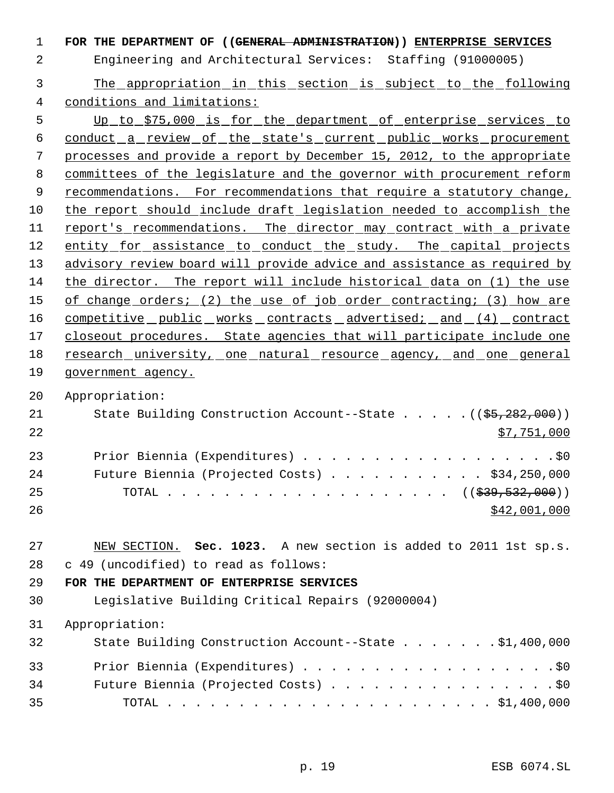**FOR THE DEPARTMENT OF ((GENERAL ADMINISTRATION)) ENTERPRISE SERVICES**

# Engineering and Architectural Services: Staffing (91000005)

 The appropriation in this section is subject to the following conditions and limitations:

 Up to \$75,000 is for the department of enterprise services to conduct a review of the state's current public works procurement processes and provide a report by December 15, 2012, to the appropriate committees of the legislature and the governor with procurement reform recommendations. For recommendations that require a statutory change, the report should include draft legislation needed to accomplish the 11 report's recommendations. The director may contract with a private 12 entity for assistance to conduct the study. The capital projects advisory review board will provide advice and assistance as required by the director. The report will include historical data on (1) the use 15 of change orders; (2) the use of job order contracting; (3) how are 16 competitive public works contracts advertised; and (4) contract closeout procedures. State agencies that will participate include one 18 research university, one natural resource agency, and one general government agency.

Appropriation:

| -21 | State Building Construction Account--State $($ $($ $\frac{25}{202},000)$ $)$ |
|-----|------------------------------------------------------------------------------|
| 22  | \$7,751,000                                                                  |
| 23  | Prior Biennia (Expenditures) \$0                                             |
| -24 | Future Biennia (Projected Costs) $\ldots$ \$34,250,000                       |
| -25 | TOTAL ( $(\frac{239}{539}, \frac{532}{500})$ )                               |
| -26 | \$42,001,000                                                                 |

 NEW SECTION. **Sec. 1023.** A new section is added to 2011 1st sp.s. c 49 (uncodified) to read as follows:

# **FOR THE DEPARTMENT OF ENTERPRISE SERVICES**

Legislative Building Critical Repairs (92000004)

Appropriation:

| 32 | State Building Construction Account--State \$1,400,000 |
|----|--------------------------------------------------------|
| 33 | Prior Biennia (Expenditures) \$0                       |
| 34 | Future Biennia (Projected Costs) \$0                   |
| 35 |                                                        |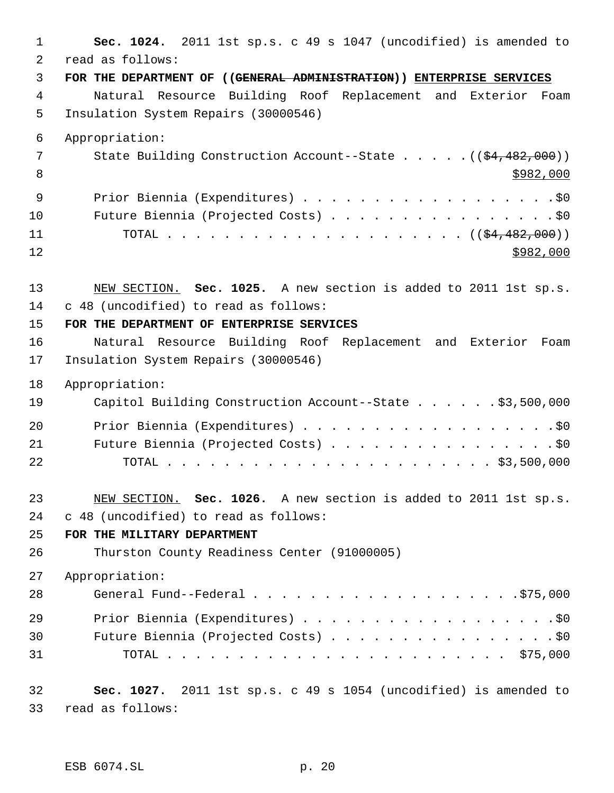| $\mathbf{1}$ | Sec. 1024. 2011 1st sp.s. c 49 s 1047 (uncodified) is amended to     |
|--------------|----------------------------------------------------------------------|
| 2            | read as follows:                                                     |
| $\mathbf{3}$ | FOR THE DEPARTMENT OF ((GENERAL ADMINISTRATION)) ENTERPRISE SERVICES |
| 4            | Natural Resource Building Roof Replacement and Exterior Foam         |
| 5            | Insulation System Repairs (30000546)                                 |
| 6            | Appropriation:                                                       |
| 7            | State Building Construction Account--State $($ $($ \$4,482,000) $)$  |
| 8            | \$982,000                                                            |
| $\mathsf 9$  |                                                                      |
| 10           | Future Biennia (Projected Costs) \$0                                 |
| 11           |                                                                      |
| 12           | \$982,000                                                            |
|              |                                                                      |
| 13           | NEW SECTION. Sec. 1025. A new section is added to 2011 1st sp.s.     |
| 14           | c 48 (uncodified) to read as follows:                                |
| 15           | FOR THE DEPARTMENT OF ENTERPRISE SERVICES                            |
| 16           | Natural Resource Building Roof Replacement and Exterior Foam         |
| 17           | Insulation System Repairs (30000546)                                 |
| 18           | Appropriation:                                                       |
| 19           | Capitol Building Construction Account--State \$3,500,000             |
| 20           |                                                                      |
| 21           | Future Biennia (Projected Costs) \$0                                 |
| 22           |                                                                      |
|              |                                                                      |
| 23           | NEW SECTION. Sec. 1026. A new section is added to 2011 1st sp.s.     |
| 24           | c 48 (uncodified) to read as follows:                                |
| 25           | FOR THE MILITARY DEPARTMENT                                          |
| 26           | Thurston County Readiness Center (91000005)                          |
| 27           | Appropriation:                                                       |
| 28           |                                                                      |
| 29           | Prior Biennia (Expenditures) \$0                                     |
| 30           | Future Biennia (Projected Costs) \$0                                 |
| 31           |                                                                      |
| 32           | Sec. 1027. 2011 1st sp.s. c 49 s 1054 (uncodified) is amended to     |
| 33           | read as follows:                                                     |
|              |                                                                      |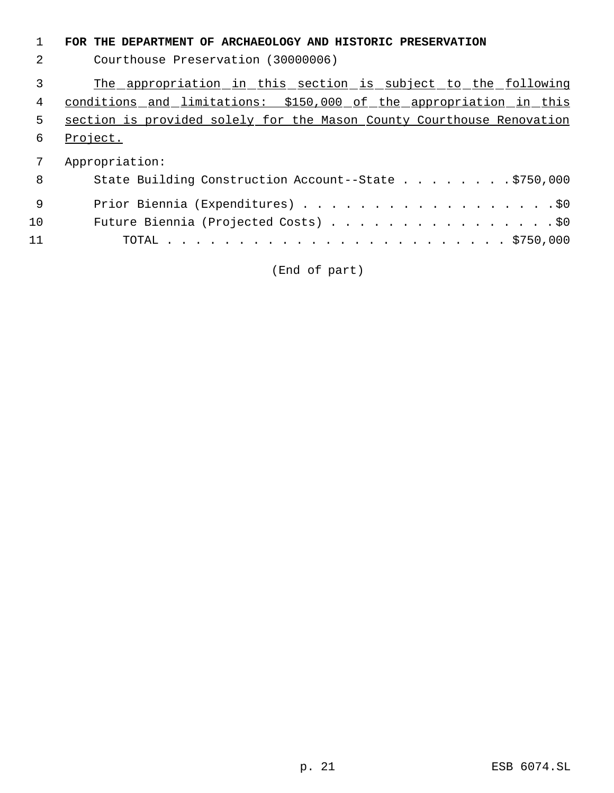# **FOR THE DEPARTMENT OF ARCHAEOLOGY AND HISTORIC PRESERVATION**

Courthouse Preservation (30000006)

The appropriation in this section is subject to the following

4 conditions and limitations: \$150,000 of the appropriation in this

section is provided solely for the Mason County Courthouse Renovation

# Project.

Appropriation:

| - 8 | State Building Construction Account--State \$750,000 |
|-----|------------------------------------------------------|
| - 9 | Prior Biennia (Expenditures) \$0                     |
| 10  | Future Biennia (Projected Costs) \$0                 |
| 11  |                                                      |

(End of part)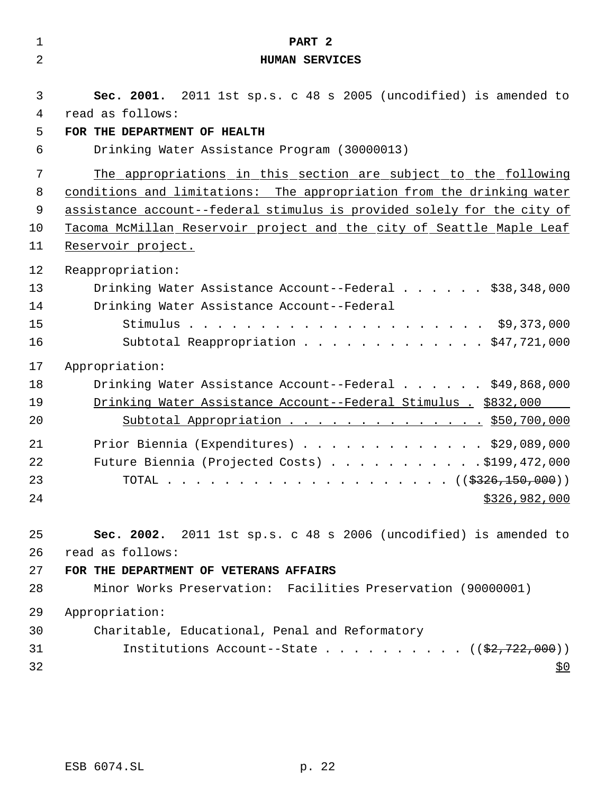| 1                | PART <sub>2</sub>                                                                                                                                                    |
|------------------|----------------------------------------------------------------------------------------------------------------------------------------------------------------------|
| $\overline{2}$   | <b>HUMAN SERVICES</b>                                                                                                                                                |
| 3<br>4<br>5<br>6 | Sec. 2001. 2011 1st sp.s. c 48 s 2005 (uncodified) is amended to<br>read as follows:<br>FOR THE DEPARTMENT OF HEALTH<br>Drinking Water Assistance Program (30000013) |
| 7                | The appropriations in this section are subject to the following                                                                                                      |
| 8                | conditions and limitations: The appropriation from the drinking water                                                                                                |
| 9<br>10          | assistance account--federal stimulus is provided solely for the city of<br>Tacoma McMillan Reservoir project and the city of Seattle Maple Leaf                      |
| 11               | Reservoir project.                                                                                                                                                   |
| 12               | Reappropriation:                                                                                                                                                     |
| 13               | Drinking Water Assistance Account--Federal \$38,348,000                                                                                                              |
| 14               | Drinking Water Assistance Account--Federal                                                                                                                           |
| 15               |                                                                                                                                                                      |
| 16               | Subtotal Reappropriation \$47,721,000                                                                                                                                |
| 17               | Appropriation:                                                                                                                                                       |
| 18               | Drinking Water Assistance Account--Federal \$49,868,000                                                                                                              |
| 19               | Drinking Water Assistance Account--Federal Stimulus . \$832,000                                                                                                      |
| 20               | Subtotal Appropriation \$50,700,000                                                                                                                                  |
| 21               | Prior Biennia (Expenditures) \$29,089,000                                                                                                                            |
| 22               | Future Biennia (Projected Costs) \$199,472,000                                                                                                                       |
| 23<br>24         | TOTAL<br>\$326,982,000                                                                                                                                               |
|                  |                                                                                                                                                                      |
| 25<br>26         | Sec. 2002. 2011 1st sp.s. c 48 s 2006 (uncodified) is amended to<br>read as follows:                                                                                 |
| 27               | FOR THE DEPARTMENT OF VETERANS AFFAIRS                                                                                                                               |
| 28               | Minor Works Preservation: Facilities Preservation (90000001)                                                                                                         |
| 29               | Appropriation:                                                                                                                                                       |
| 30               | Charitable, Educational, Penal and Reformatory                                                                                                                       |
| 31<br>32         | Institutions Account--State ( $(\frac{2}{2}, 722, 000)$ )<br><u>\$0</u>                                                                                              |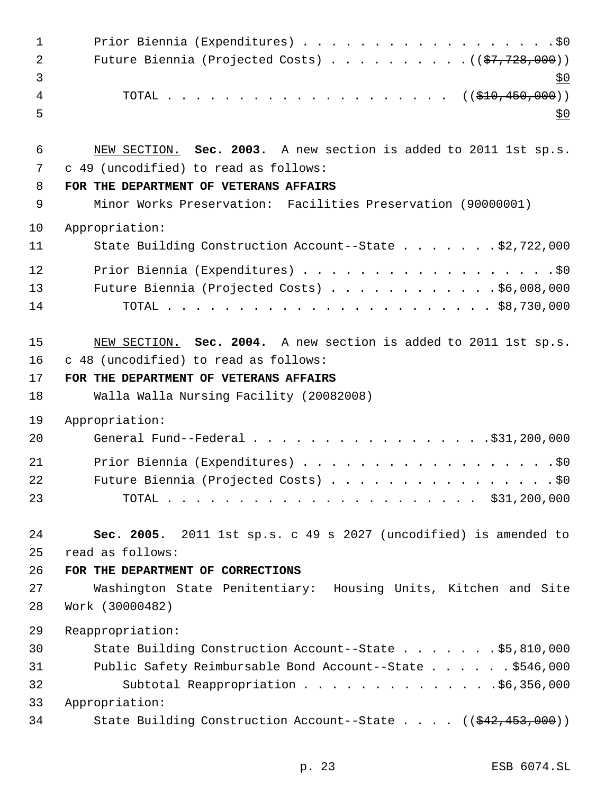| $\mathbf{1}$<br>2<br>3<br>4<br>5 | Future Biennia (Projected Costs) ( $(\frac{27}{7728},000)$ )<br>\$0<br>\$0                             |
|----------------------------------|--------------------------------------------------------------------------------------------------------|
| 6                                | NEW SECTION. Sec. 2003. A new section is added to 2011 1st sp.s.                                       |
| 7                                | c 49 (uncodified) to read as follows:                                                                  |
| 8<br>9                           | FOR THE DEPARTMENT OF VETERANS AFFAIRS<br>Minor Works Preservation: Facilities Preservation (90000001) |
|                                  |                                                                                                        |
| 10                               | Appropriation:                                                                                         |
| 11                               | State Building Construction Account--State \$2,722,000                                                 |
| 12                               |                                                                                                        |
| 13                               | Future Biennia (Projected Costs) \$6,008,000                                                           |
| 14                               |                                                                                                        |
| 15                               | NEW SECTION. Sec. 2004. A new section is added to 2011 1st sp.s.                                       |
| 16                               | c 48 (uncodified) to read as follows:                                                                  |
| 17                               | FOR THE DEPARTMENT OF VETERANS AFFAIRS                                                                 |
| 18                               | Walla Walla Nursing Facility (20082008)                                                                |
| 19                               | Appropriation:                                                                                         |
| 20                               | General Fund--Federal \$31,200,000                                                                     |
| 21                               |                                                                                                        |
| 22                               |                                                                                                        |
| 23                               |                                                                                                        |
|                                  |                                                                                                        |
| 24                               | Sec. 2005. 2011 1st sp.s. c 49 s 2027 (uncodified) is amended to                                       |
| 25<br>26                         | read as follows:<br>FOR THE DEPARTMENT OF CORRECTIONS                                                  |
| 27                               | Washington State Penitentiary: Housing Units, Kitchen and Site                                         |
| 28                               | Work (30000482)                                                                                        |
| 29                               | Reappropriation:                                                                                       |
| 30                               | State Building Construction Account--State \$5,810,000                                                 |
| 31                               | Public Safety Reimbursable Bond Account--State \$546,000                                               |
| 32                               | Subtotal Reappropriation \$6,356,000                                                                   |
| 33                               | Appropriation:                                                                                         |
| 34                               | State Building Construction Account--State $((\frac{242}{7453}, 000))$                                 |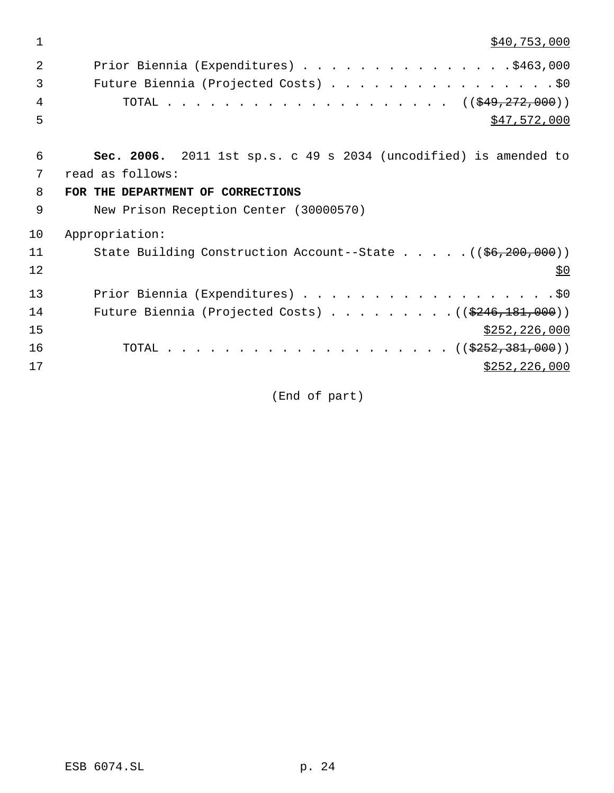\$40,753,000

| 2  | Prior Biennia (Expenditures) \$463,000                                        |
|----|-------------------------------------------------------------------------------|
| 3  | Future Biennia (Projected Costs) \$0                                          |
| 4  |                                                                               |
| 5  | \$47,572,000                                                                  |
|    |                                                                               |
| 6  | Sec. 2006. 2011 1st sp.s. c 49 s 2034 (uncodified) is amended to              |
| 7  | read as follows:                                                              |
| 8  | FOR THE DEPARTMENT OF CORRECTIONS                                             |
| 9  | New Prison Reception Center (30000570)                                        |
| 10 | Appropriation:                                                                |
| 11 | State Building Construction Account--State $((\frac{6}{6}, \frac{200}{600}))$ |
| 12 | \$0                                                                           |
| 13 |                                                                               |
| 14 |                                                                               |
| 15 | \$252, 226, 000                                                               |
| 16 |                                                                               |
| 17 | \$252, 226, 000                                                               |
|    |                                                                               |

(End of part)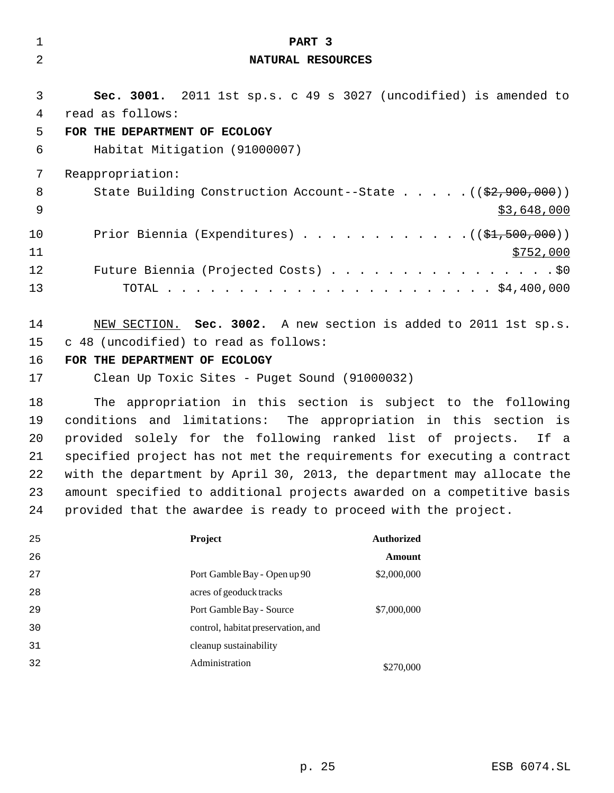| 3<br>read as follows:<br>4<br>5<br>FOR THE DEPARTMENT OF ECOLOGY<br>Habitat Mitigation (91000007)<br>6<br>7<br>Reappropriation:<br>8<br>9<br>10<br>11<br>12<br>13<br>14<br>15<br>c 48 (uncodified) to read as follows:<br>16<br>FOR THE DEPARTMENT OF ECOLOGY<br>17<br>Clean Up Toxic Sites - Puget Sound (91000032)<br>18<br>19<br>20<br>provided solely for the following ranked list of projects.<br>21<br>22<br>23<br>24<br>provided that the awardee is ready to proceed with the project.<br>Project<br><b>Authorized</b><br>25<br>26<br><b>Amount</b><br>Port Gamble Bay - Open up 90<br>\$2,000,000<br>27<br>acres of geoduck tracks<br>28 | 1<br>2 | PART <sub>3</sub><br>NATURAL RESOURCES                                  |
|----------------------------------------------------------------------------------------------------------------------------------------------------------------------------------------------------------------------------------------------------------------------------------------------------------------------------------------------------------------------------------------------------------------------------------------------------------------------------------------------------------------------------------------------------------------------------------------------------------------------------------------------------|--------|-------------------------------------------------------------------------|
|                                                                                                                                                                                                                                                                                                                                                                                                                                                                                                                                                                                                                                                    |        |                                                                         |
|                                                                                                                                                                                                                                                                                                                                                                                                                                                                                                                                                                                                                                                    |        | Sec. 3001. 2011 1st sp.s. c 49 s 3027 (uncodified) is amended to        |
|                                                                                                                                                                                                                                                                                                                                                                                                                                                                                                                                                                                                                                                    |        |                                                                         |
|                                                                                                                                                                                                                                                                                                                                                                                                                                                                                                                                                                                                                                                    |        |                                                                         |
|                                                                                                                                                                                                                                                                                                                                                                                                                                                                                                                                                                                                                                                    |        |                                                                         |
|                                                                                                                                                                                                                                                                                                                                                                                                                                                                                                                                                                                                                                                    |        |                                                                         |
|                                                                                                                                                                                                                                                                                                                                                                                                                                                                                                                                                                                                                                                    |        | State Building Construction Account--State $((\frac{2}{7}, 900, 000))$  |
|                                                                                                                                                                                                                                                                                                                                                                                                                                                                                                                                                                                                                                                    |        | \$3,648,000                                                             |
|                                                                                                                                                                                                                                                                                                                                                                                                                                                                                                                                                                                                                                                    |        | Prior Biennia (Expenditures) ( $(\frac{1}{21}, 500, 000)$ )             |
|                                                                                                                                                                                                                                                                                                                                                                                                                                                                                                                                                                                                                                                    |        | <u>\$752,000</u>                                                        |
|                                                                                                                                                                                                                                                                                                                                                                                                                                                                                                                                                                                                                                                    |        | Future Biennia (Projected Costs) \$0                                    |
|                                                                                                                                                                                                                                                                                                                                                                                                                                                                                                                                                                                                                                                    |        |                                                                         |
|                                                                                                                                                                                                                                                                                                                                                                                                                                                                                                                                                                                                                                                    |        |                                                                         |
|                                                                                                                                                                                                                                                                                                                                                                                                                                                                                                                                                                                                                                                    |        | NEW SECTION. Sec. 3002. A new section is added to 2011 1st sp.s.        |
|                                                                                                                                                                                                                                                                                                                                                                                                                                                                                                                                                                                                                                                    |        |                                                                         |
|                                                                                                                                                                                                                                                                                                                                                                                                                                                                                                                                                                                                                                                    |        |                                                                         |
|                                                                                                                                                                                                                                                                                                                                                                                                                                                                                                                                                                                                                                                    |        |                                                                         |
|                                                                                                                                                                                                                                                                                                                                                                                                                                                                                                                                                                                                                                                    |        | The appropriation in this section is subject to the following           |
|                                                                                                                                                                                                                                                                                                                                                                                                                                                                                                                                                                                                                                                    |        | conditions and limitations: The appropriation in this section is        |
|                                                                                                                                                                                                                                                                                                                                                                                                                                                                                                                                                                                                                                                    |        | If a                                                                    |
|                                                                                                                                                                                                                                                                                                                                                                                                                                                                                                                                                                                                                                                    |        | specified project has not met the requirements for executing a contract |
|                                                                                                                                                                                                                                                                                                                                                                                                                                                                                                                                                                                                                                                    |        | with the department by April 30, 2013, the department may allocate the  |
|                                                                                                                                                                                                                                                                                                                                                                                                                                                                                                                                                                                                                                                    |        | amount specified to additional projects awarded on a competitive basis  |
|                                                                                                                                                                                                                                                                                                                                                                                                                                                                                                                                                                                                                                                    |        |                                                                         |
|                                                                                                                                                                                                                                                                                                                                                                                                                                                                                                                                                                                                                                                    |        |                                                                         |
|                                                                                                                                                                                                                                                                                                                                                                                                                                                                                                                                                                                                                                                    |        |                                                                         |
|                                                                                                                                                                                                                                                                                                                                                                                                                                                                                                                                                                                                                                                    |        |                                                                         |
|                                                                                                                                                                                                                                                                                                                                                                                                                                                                                                                                                                                                                                                    |        |                                                                         |
|                                                                                                                                                                                                                                                                                                                                                                                                                                                                                                                                                                                                                                                    | 29     | Port Gamble Bay - Source<br>\$7,000,000                                 |
| control, habitat preservation, and<br>30                                                                                                                                                                                                                                                                                                                                                                                                                                                                                                                                                                                                           |        |                                                                         |
| cleanup sustainability<br>31                                                                                                                                                                                                                                                                                                                                                                                                                                                                                                                                                                                                                       |        |                                                                         |
| Administration<br>32<br>\$270,000                                                                                                                                                                                                                                                                                                                                                                                                                                                                                                                                                                                                                  |        |                                                                         |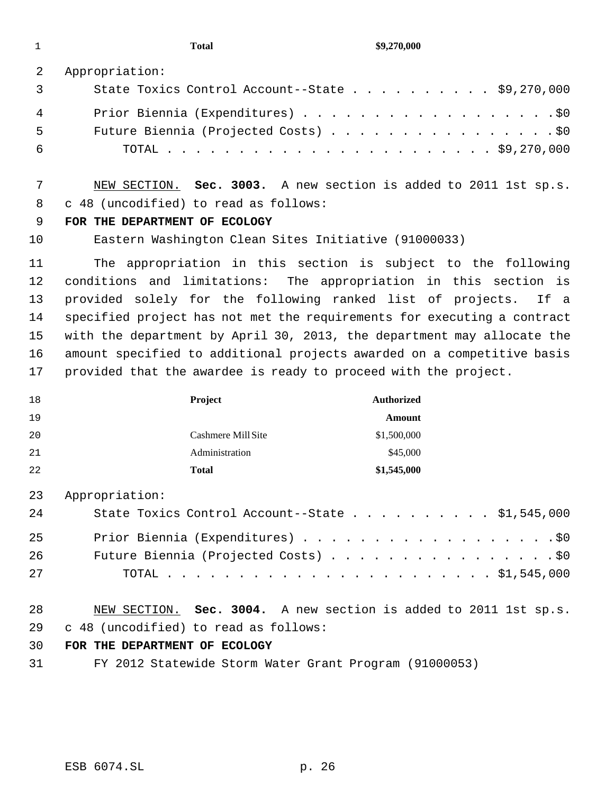Appropriation:

| $\overline{3}$ | State Toxics Control Account--State $\ldots$ \$9,270,000 |  |
|----------------|----------------------------------------------------------|--|
| 4              | Prior Biennia (Expenditures) \$0                         |  |
| - 5            | Future Biennia (Projected Costs) \$0                     |  |
| - 6            |                                                          |  |

 NEW SECTION. **Sec. 3003.** A new section is added to 2011 1st sp.s. c 48 (uncodified) to read as follows:

# **FOR THE DEPARTMENT OF ECOLOGY**

Eastern Washington Clean Sites Initiative (91000033)

 The appropriation in this section is subject to the following conditions and limitations: The appropriation in this section is provided solely for the following ranked list of projects. If a specified project has not met the requirements for executing a contract with the department by April 30, 2013, the department may allocate the amount specified to additional projects awarded on a competitive basis provided that the awardee is ready to proceed with the project.

| 18 | Project            | Authorized  |
|----|--------------------|-------------|
| 19 |                    | Amount      |
| 20 | Cashmere Mill Site | \$1,500,000 |
| 21 | Administration     | \$45,000    |
| 22 | <b>Total</b>       | \$1,545,000 |

Appropriation:

| 24  | State Toxics Control Account--State \$1,545,000 |  |
|-----|-------------------------------------------------|--|
| 25  | Prior Biennia (Expenditures) \$0                |  |
| 26  | Future Biennia (Projected Costs) \$0            |  |
| 2.7 |                                                 |  |

 NEW SECTION. **Sec. 3004.** A new section is added to 2011 1st sp.s. c 48 (uncodified) to read as follows:

# **FOR THE DEPARTMENT OF ECOLOGY**

FY 2012 Statewide Storm Water Grant Program (91000053)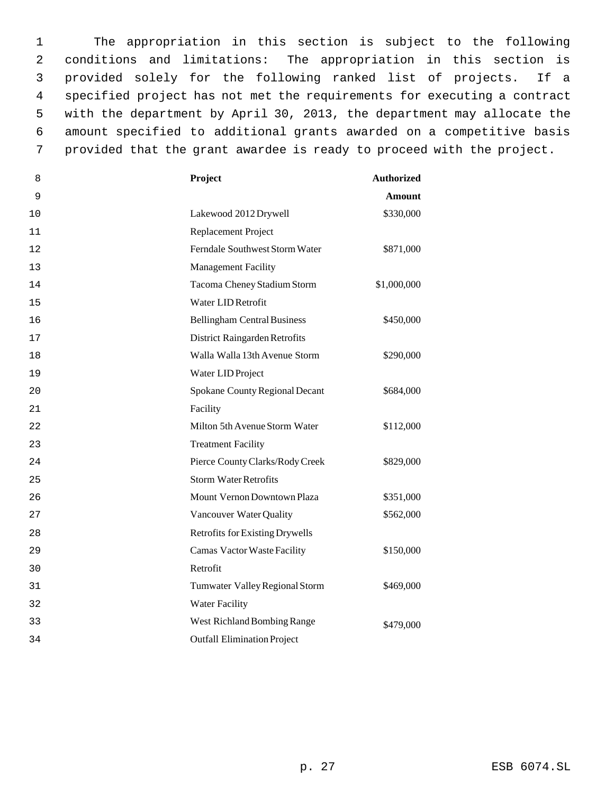The appropriation in this section is subject to the following conditions and limitations: The appropriation in this section is provided solely for the following ranked list of projects. If a specified project has not met the requirements for executing a contract with the department by April 30, 2013, the department may allocate the amount specified to additional grants awarded on a competitive basis provided that the grant awardee is ready to proceed with the project.

| 8  | Project                            | <b>Authorized</b> |
|----|------------------------------------|-------------------|
| 9  |                                    | <b>Amount</b>     |
| 10 | Lakewood 2012 Drywell              | \$330,000         |
| 11 | Replacement Project                |                   |
| 12 | Ferndale Southwest Storm Water     | \$871,000         |
| 13 | <b>Management Facility</b>         |                   |
| 14 | Tacoma Cheney Stadium Storm        | \$1,000,000       |
| 15 | Water LID Retrofit                 |                   |
| 16 | <b>Bellingham Central Business</b> | \$450,000         |
| 17 | District Raingarden Retrofits      |                   |
| 18 | Walla Walla 13th Avenue Storm      | \$290,000         |
| 19 | Water LID Project                  |                   |
| 20 | Spokane County Regional Decant     | \$684,000         |
| 21 | Facility                           |                   |
| 22 | Milton 5th Avenue Storm Water      | \$112,000         |
| 23 | <b>Treatment Facility</b>          |                   |
| 24 | Pierce County Clarks/Rody Creek    | \$829,000         |
| 25 | <b>Storm Water Retrofits</b>       |                   |
| 26 | Mount Vernon Downtown Plaza        | \$351,000         |
| 27 | Vancouver Water Quality            | \$562,000         |
| 28 | Retrofits for Existing Drywells    |                   |
| 29 | <b>Camas Vactor Waste Facility</b> | \$150,000         |
| 30 | Retrofit                           |                   |
| 31 | Tumwater Valley Regional Storm     | \$469,000         |
| 32 | <b>Water Facility</b>              |                   |
| 33 | West Richland Bombing Range        | \$479,000         |
| 34 | <b>Outfall Elimination Project</b> |                   |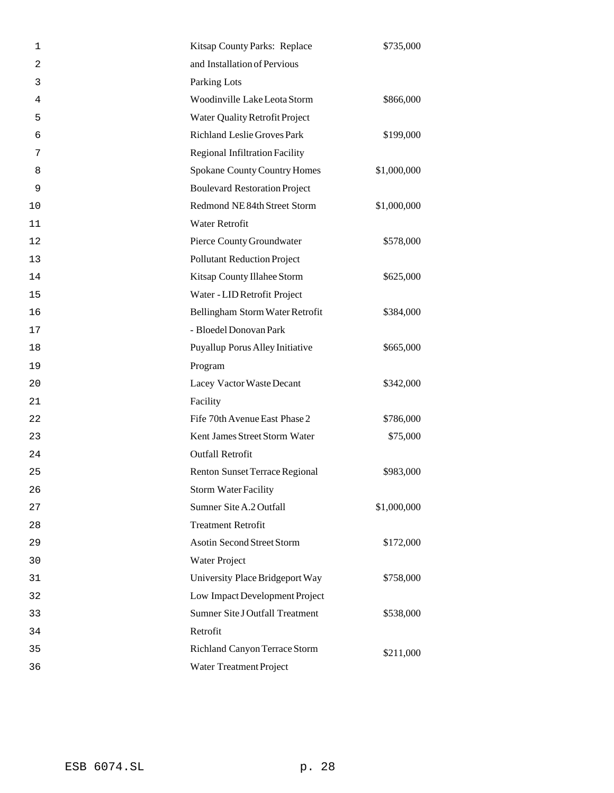| 1              | Kitsap County Parks: Replace           | \$735,000   |
|----------------|----------------------------------------|-------------|
| $\overline{2}$ | and Installation of Pervious           |             |
| 3              | Parking Lots                           |             |
| 4              | Woodinville Lake Leota Storm           | \$866,000   |
| 5              | Water Quality Retrofit Project         |             |
| 6              | Richland Leslie Groves Park            | \$199,000   |
| 7              | <b>Regional Infiltration Facility</b>  |             |
| 8              | <b>Spokane County Country Homes</b>    | \$1,000,000 |
| 9              | <b>Boulevard Restoration Project</b>   |             |
| 10             | Redmond NE 84th Street Storm           | \$1,000,000 |
| 11             | Water Retrofit                         |             |
| 12             | Pierce County Groundwater              | \$578,000   |
| 13             | <b>Pollutant Reduction Project</b>     |             |
| 14             | Kitsap County Illahee Storm            | \$625,000   |
| 15             | Water - LID Retrofit Project           |             |
| 16             | Bellingham Storm Water Retrofit        | \$384,000   |
| 17             | - Bloedel Donovan Park                 |             |
| 18             | Puyallup Porus Alley Initiative        | \$665,000   |
| 19             | Program                                |             |
| 20             | Lacey Vactor Waste Decant              | \$342,000   |
| 21             | Facility                               |             |
| 22             | Fife 70th Avenue East Phase 2          | \$786,000   |
| 23             | Kent James Street Storm Water          | \$75,000    |
| 24             | <b>Outfall Retrofit</b>                |             |
| 25             | Renton Sunset Terrace Regional         | \$983,000   |
| 26             | <b>Storm Water Facility</b>            |             |
| 27             | Sumner Site A.2 Outfall                | \$1,000,000 |
| 28             | <b>Treatment Retrofit</b>              |             |
| 29             | Asotin Second Street Storm             | \$172,000   |
| 30             | Water Project                          |             |
| 31             | University Place Bridgeport Way        | \$758,000   |
| 32             | Low Impact Development Project         |             |
| 33             | <b>Sumner Site J Outfall Treatment</b> | \$538,000   |
| 34             | Retrofit                               |             |
| 35             | Richland Canyon Terrace Storm          | \$211,000   |
| 36             | Water Treatment Project                |             |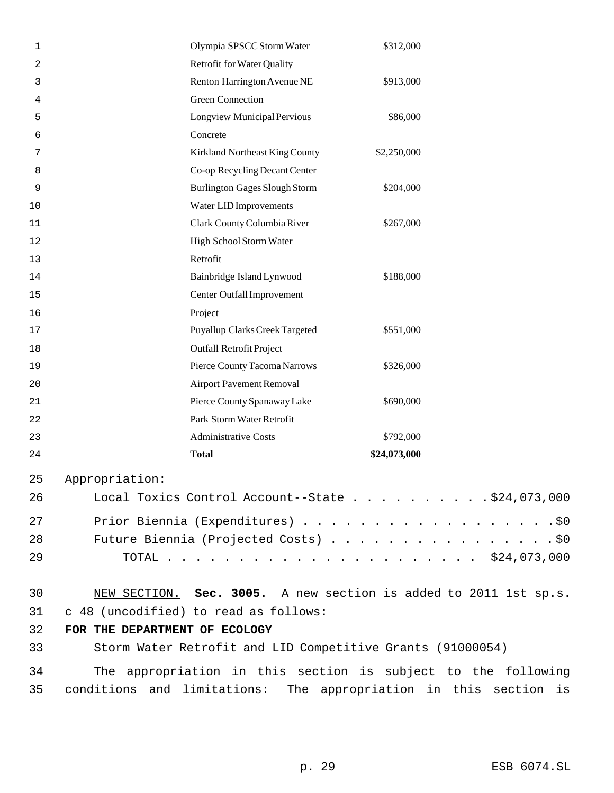| 1  | Olympia SPSCC Storm Water                                        | \$312,000    |  |
|----|------------------------------------------------------------------|--------------|--|
| 2  | <b>Retrofit for Water Quality</b>                                |              |  |
| 3  | Renton Harrington Avenue NE                                      | \$913,000    |  |
| 4  | <b>Green Connection</b>                                          |              |  |
| 5  | Longview Municipal Pervious                                      | \$86,000     |  |
| 6  | Concrete                                                         |              |  |
| 7  | Kirkland Northeast King County                                   | \$2,250,000  |  |
| 8  | Co-op Recycling Decant Center                                    |              |  |
| 9  | <b>Burlington Gages Slough Storm</b>                             | \$204,000    |  |
| 10 | Water LID Improvements                                           |              |  |
| 11 | Clark County Columbia River                                      | \$267,000    |  |
| 12 | High School Storm Water                                          |              |  |
| 13 | Retrofit                                                         |              |  |
| 14 | Bainbridge Island Lynwood                                        | \$188,000    |  |
| 15 | Center Outfall Improvement                                       |              |  |
| 16 | Project                                                          |              |  |
| 17 | Puyallup Clarks Creek Targeted                                   | \$551,000    |  |
| 18 | <b>Outfall Retrofit Project</b>                                  |              |  |
| 19 | Pierce County Tacoma Narrows                                     | \$326,000    |  |
| 20 | <b>Airport Pavement Removal</b>                                  |              |  |
| 21 | Pierce County Spanaway Lake                                      | \$690,000    |  |
| 22 | Park Storm Water Retrofit                                        |              |  |
| 23 | <b>Administrative Costs</b>                                      | \$792,000    |  |
| 24 | <b>Total</b>                                                     | \$24,073,000 |  |
| 25 | Appropriation:                                                   |              |  |
| 26 | Local Toxics Control Account--State $\ldots$ \$24,073,000        |              |  |
| 27 |                                                                  |              |  |
| 28 | Future Biennia (Projected Costs) \$0                             |              |  |
| 29 |                                                                  |              |  |
| 30 | NEW SECTION. Sec. 3005. A new section is added to 2011 1st sp.s. |              |  |
| 31 | c 48 (uncodified) to read as follows:                            |              |  |
| 32 | FOR THE DEPARTMENT OF ECOLOGY                                    |              |  |
| 33 | Storm Water Retrofit and LID Competitive Grants (91000054)       |              |  |
| 34 | The appropriation in this section is subject to the following    |              |  |
| 35 | conditions and limitations: The appropriation in this section is |              |  |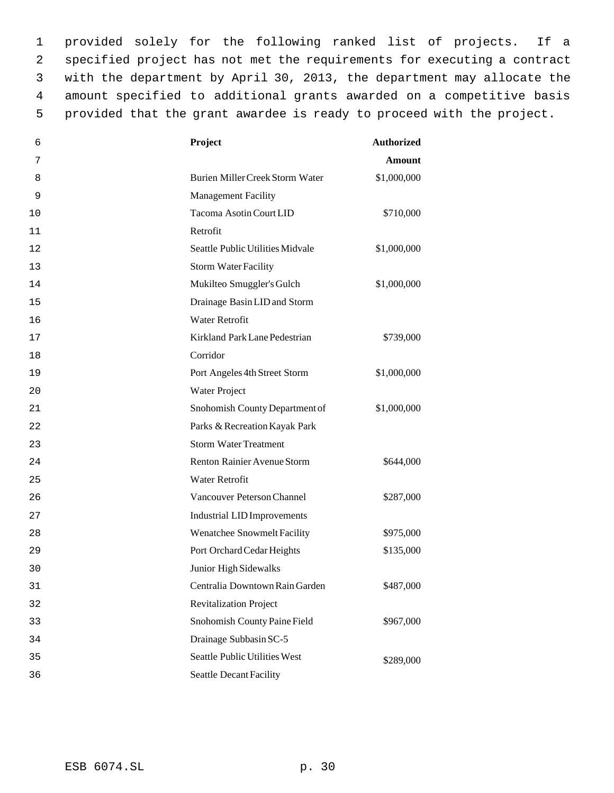provided solely for the following ranked list of projects. If a specified project has not met the requirements for executing a contract with the department by April 30, 2013, the department may allocate the amount specified to additional grants awarded on a competitive basis provided that the grant awardee is ready to proceed with the project.

| 6  | Project                              | <b>Authorized</b> |
|----|--------------------------------------|-------------------|
| 7  |                                      | <b>Amount</b>     |
| 8  | Burien Miller Creek Storm Water      | \$1,000,000       |
| 9  | <b>Management Facility</b>           |                   |
| 10 | Tacoma Asotin Court LID              | \$710,000         |
| 11 | Retrofit                             |                   |
| 12 | Seattle Public Utilities Midvale     | \$1,000,000       |
| 13 | <b>Storm Water Facility</b>          |                   |
| 14 | Mukilteo Smuggler's Gulch            | \$1,000,000       |
| 15 | Drainage Basin LID and Storm         |                   |
| 16 | Water Retrofit                       |                   |
| 17 | Kirkland Park Lane Pedestrian        | \$739,000         |
| 18 | Corridor                             |                   |
| 19 | Port Angeles 4th Street Storm        | \$1,000,000       |
| 20 | Water Project                        |                   |
| 21 | Snohomish County Department of       | \$1,000,000       |
| 22 | Parks & Recreation Kayak Park        |                   |
| 23 | <b>Storm Water Treatment</b>         |                   |
| 24 | Renton Rainier Avenue Storm          | \$644,000         |
| 25 | Water Retrofit                       |                   |
| 26 | Vancouver Peterson Channel           | \$287,000         |
| 27 | <b>Industrial LID Improvements</b>   |                   |
| 28 | <b>Wenatchee Snowmelt Facility</b>   | \$975,000         |
| 29 | Port Orchard Cedar Heights           | \$135,000         |
| 30 | Junior High Sidewalks                |                   |
| 31 | Centralia Downtown Rain Garden       | \$487,000         |
| 32 | <b>Revitalization Project</b>        |                   |
| 33 | Snohomish County Paine Field         | \$967,000         |
| 34 | Drainage Subbasin SC-5               |                   |
| 35 | <b>Seattle Public Utilities West</b> | \$289,000         |
| 36 | <b>Seattle Decant Facility</b>       |                   |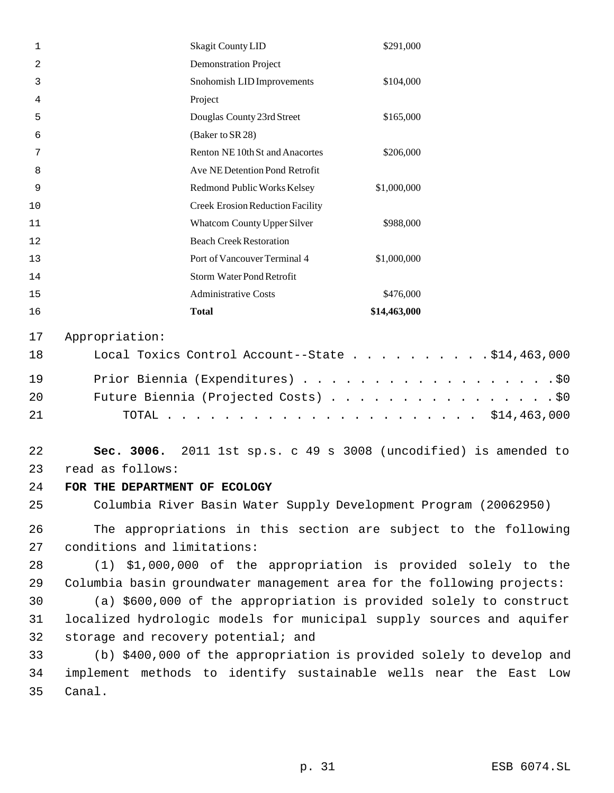| 1  |                                      | <b>Skagit County LID</b>                                               | \$291,000    |  |
|----|--------------------------------------|------------------------------------------------------------------------|--------------|--|
| 2  |                                      | <b>Demonstration Project</b>                                           |              |  |
| 3  |                                      | Snohomish LID Improvements                                             | \$104,000    |  |
| 4  |                                      | Project                                                                |              |  |
| 5  |                                      | Douglas County 23rd Street                                             | \$165,000    |  |
| 6  |                                      | (Baker to SR 28)                                                       |              |  |
| 7  |                                      | Renton NE 10th St and Anacortes                                        | \$206,000    |  |
| 8  |                                      | Ave NE Detention Pond Retrofit                                         |              |  |
| 9  |                                      | Redmond Public Works Kelsey                                            | \$1,000,000  |  |
| 10 |                                      | <b>Creek Erosion Reduction Facility</b>                                |              |  |
| 11 |                                      | <b>Whatcom County Upper Silver</b>                                     | \$988,000    |  |
| 12 |                                      | <b>Beach Creek Restoration</b>                                         |              |  |
| 13 |                                      | Port of Vancouver Terminal 4                                           | \$1,000,000  |  |
| 14 |                                      | <b>Storm Water Pond Retrofit</b>                                       |              |  |
| 15 |                                      | <b>Administrative Costs</b>                                            | \$476,000    |  |
| 16 |                                      | <b>Total</b>                                                           | \$14,463,000 |  |
| 17 | Appropriation:                       |                                                                        |              |  |
| 18 |                                      | Local Toxics Control Account--State \$14,463,000                       |              |  |
|    |                                      |                                                                        |              |  |
| 19 | Prior Biennia (Expenditures) \$0     |                                                                        |              |  |
| 20 | Future Biennia (Projected Costs) \$0 |                                                                        |              |  |
| 21 |                                      |                                                                        |              |  |
| 22 |                                      | Sec. 3006. 2011 1st sp.s. c 49 s 3008 (uncodified) is amended to       |              |  |
| 23 | read as follows:                     |                                                                        |              |  |
| 24 | FOR THE DEPARTMENT OF ECOLOGY        |                                                                        |              |  |
| 25 |                                      | Columbia River Basin Water Supply Development Program (20062950)       |              |  |
| 26 |                                      | The appropriations in this section are subject to the following        |              |  |
| 27 | conditions and limitations:          |                                                                        |              |  |
| 28 |                                      | (1) \$1,000,000 of the appropriation is provided solely to the         |              |  |
| 29 |                                      | Columbia basin groundwater management area for the following projects: |              |  |
| 30 |                                      | (a) \$600,000 of the appropriation is provided solely to construct     |              |  |
| 31 |                                      | localized hydrologic models for municipal supply sources and aquifer   |              |  |
| 32 |                                      | storage and recovery potential; and                                    |              |  |
| 33 |                                      | (b) \$400,000 of the appropriation is provided solely to develop and   |              |  |
| 34 |                                      | implement methods to identify sustainable wells near the East Low      |              |  |
| 35 | Canal.                               |                                                                        |              |  |
|    |                                      |                                                                        |              |  |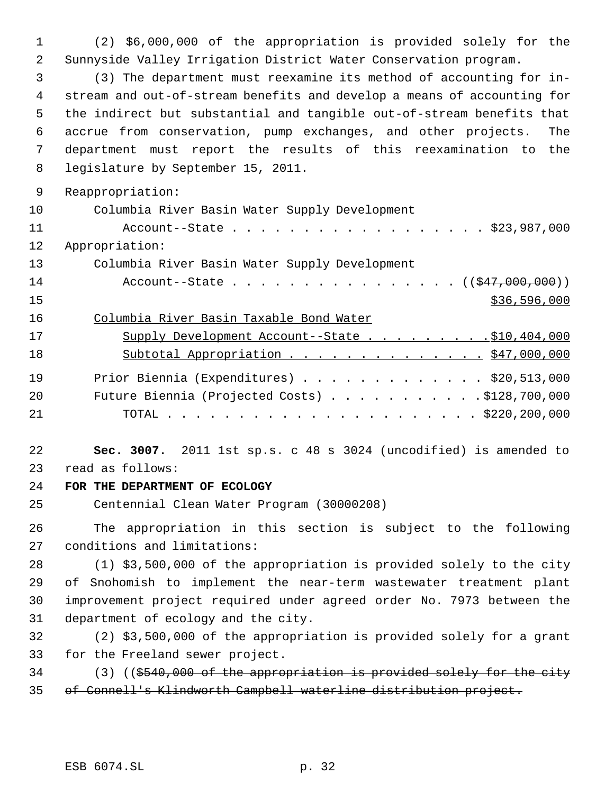(2) \$6,000,000 of the appropriation is provided solely for the Sunnyside Valley Irrigation District Water Conservation program. (3) The department must reexamine its method of accounting for in- stream and out-of-stream benefits and develop a means of accounting for the indirect but substantial and tangible out-of-stream benefits that accrue from conservation, pump exchanges, and other projects. The department must report the results of this reexamination to the legislature by September 15, 2011. Reappropriation: Columbia River Basin Water Supply Development 11 Account--State . . . . . . . . . . . . . . . . . \$23,987,000 Appropriation: Columbia River Basin Water Supply Development 14 Account--State . . . . . . . . . . . . . . ((\$47,000,000)) \$36,596,000 \$36,596,000 Columbia River Basin Taxable Bond Water 17 Supply Development Account--State . . . . . . . . . \$10,404,000 18 Subtotal Appropriation . . . . . . . . . . . . . . \$47,000,000 Prior Biennia (Expenditures) . . . . . . . . . . . . . \$20,513,000 Future Biennia (Projected Costs) . . . . . . . . . . . \$128,700,000 TOTAL . . . . . . . . . . . . . . . . . . . . . . \$220,200,000 **Sec. 3007.** 2011 1st sp.s. c 48 s 3024 (uncodified) is amended to read as follows: **FOR THE DEPARTMENT OF ECOLOGY** Centennial Clean Water Program (30000208) The appropriation in this section is subject to the following conditions and limitations: (1) \$3,500,000 of the appropriation is provided solely to the city of Snohomish to implement the near-term wastewater treatment plant improvement project required under agreed order No. 7973 between the department of ecology and the city. (2) \$3,500,000 of the appropriation is provided solely for a grant for the Freeland sewer project. (3) ((\$540,000 of the appropriation is provided solely for the city of Connell's Klindworth Campbell waterline distribution project.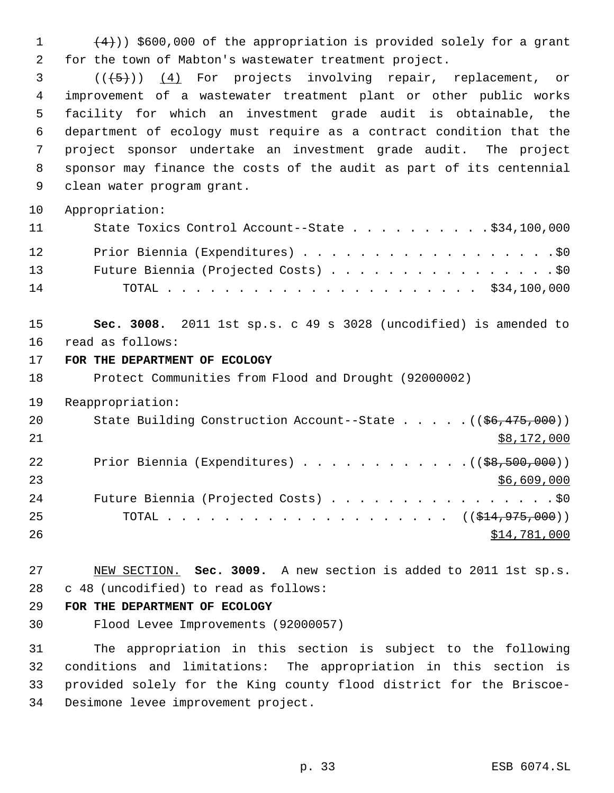1  $(4)$ ) \$600,000 of the appropriation is provided solely for a grant for the town of Mabton's wastewater treatment project.

 ( $(\overline{5})$ ) (4) For projects involving repair, replacement, or improvement of a wastewater treatment plant or other public works facility for which an investment grade audit is obtainable, the department of ecology must require as a contract condition that the project sponsor undertake an investment grade audit. The project sponsor may finance the costs of the audit as part of its centennial clean water program grant.

Appropriation:

| 11 | State Toxics Control Account--State \$34,100,000 |
|----|--------------------------------------------------|
| 12 | Prior Biennia (Expenditures) \$0                 |
| 13 | Future Biennia (Projected Costs) \$0             |
| 14 |                                                  |

 **Sec. 3008.** 2011 1st sp.s. c 49 s 3028 (uncodified) is amended to read as follows:

**FOR THE DEPARTMENT OF ECOLOGY**

Protect Communities from Flood and Drought (92000002)

Reappropriation:

20 State Building Construction Account--State . . . . . ((\$6,475,000)) 21  $\frac{\text{S8},172,000}{\text{S8}}$ 22 Prior Biennia (Expenditures) . . . . . . . . . . . . ((\$8,500,000)) \$6,609,000 24 Future Biennia (Projected Costs) . . . . . . . . . . . . . . . . \$0 25 TOTAL . . . . . . . . . . . . . . . . . . ((<del>\$14,975,000</del>)) \$14,781,000

 NEW SECTION. **Sec. 3009.** A new section is added to 2011 1st sp.s. c 48 (uncodified) to read as follows:

# **FOR THE DEPARTMENT OF ECOLOGY**

Flood Levee Improvements (92000057)

 The appropriation in this section is subject to the following conditions and limitations: The appropriation in this section is provided solely for the King county flood district for the Briscoe-Desimone levee improvement project.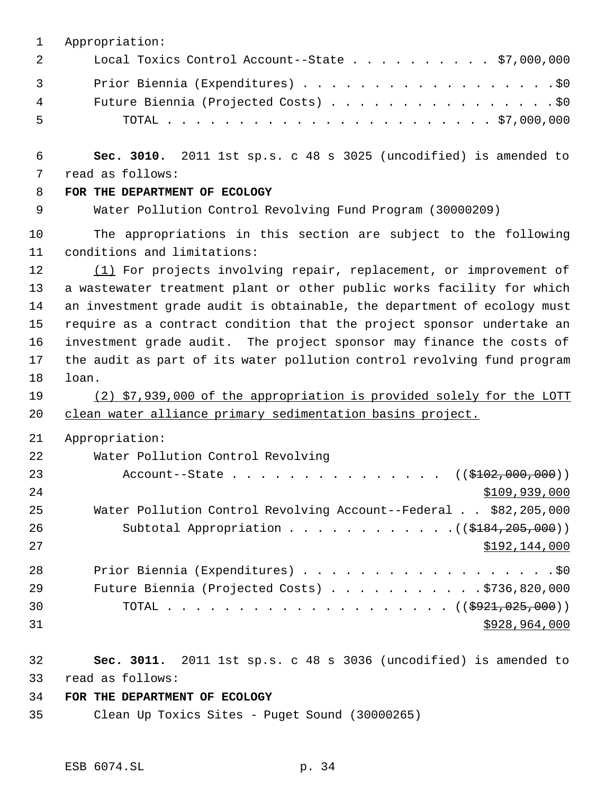| 1        | Appropriation:                                                                                 |
|----------|------------------------------------------------------------------------------------------------|
| 2        | Local Toxics Control Account--State \$7,000,000                                                |
| 3        | Prior Biennia (Expenditures) \$0                                                               |
| 4        | Future Biennia (Projected Costs) \$0                                                           |
| 5        |                                                                                                |
| 6        | Sec. 3010. 2011 1st sp.s. c 48 s 3025 (uncodified) is amended to                               |
| 7        | read as follows:                                                                               |
| 8        | FOR THE DEPARTMENT OF ECOLOGY                                                                  |
| 9        | Water Pollution Control Revolving Fund Program (30000209)                                      |
| 10<br>11 | The appropriations in this section are subject to the following<br>conditions and limitations: |
| 12       | (1) For projects involving repair, replacement, or improvement of                              |
| 13       | a wastewater treatment plant or other public works facility for which                          |
| 14       | an investment grade audit is obtainable, the department of ecology must                        |
| 15       | require as a contract condition that the project sponsor undertake an                          |
| 16       | investment grade audit. The project sponsor may finance the costs of                           |
| 17       | the audit as part of its water pollution control revolving fund program                        |
| 18       | loan.                                                                                          |
| 19       | (2) \$7,939,000 of the appropriation is provided solely for the LOTT                           |
| 20       | clean water alliance primary sedimentation basins project.                                     |
| 21       | Appropriation:                                                                                 |
| 22       | Water Pollution Control Revolving                                                              |
| 23       | Account--State ( $(\frac{$102,000,000)}{$ )                                                    |
| 24       | \$109,939,000                                                                                  |
| 25       | Water Pollution Control Revolving Account--Federal \$82,205,000                                |
| 26       | Subtotal Appropriation $($ $($ $\frac{18484,205,000)}{2000})$                                  |
| 27       | \$192,144,000                                                                                  |
| 28       | Prior Biennia (Expenditures) \$0                                                               |
| 29       | Future Biennia (Projected Costs) \$736,820,000                                                 |
| 30       | TOTAL ( $(\frac{2921}{1025}, 000)$ )                                                           |
| 31       | \$928,964,000                                                                                  |
| 32       | Sec. 3011. 2011 1st sp.s. c 48 s 3036 (uncodified) is amended to                               |
| 33       | read as follows:                                                                               |
| 34       | FOR THE DEPARTMENT OF ECOLOGY                                                                  |

Clean Up Toxics Sites - Puget Sound (30000265)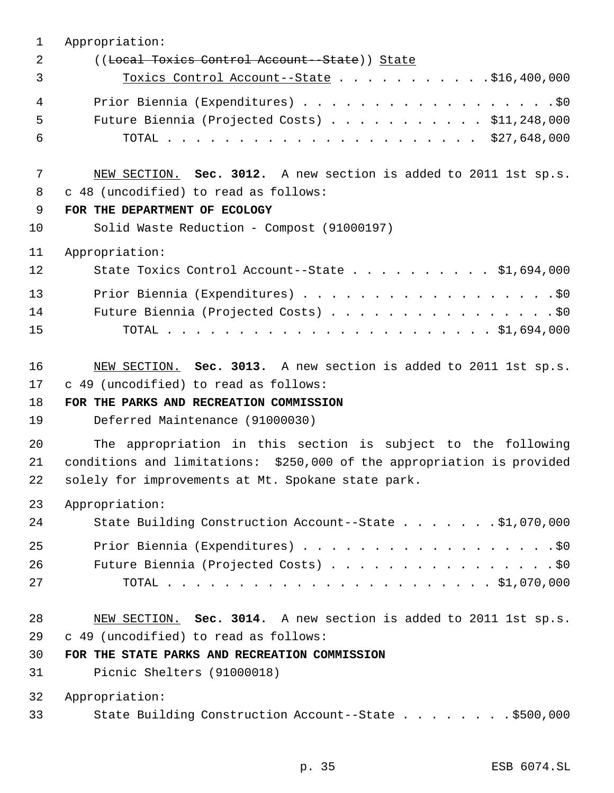| 1  | Appropriation:                                                         |
|----|------------------------------------------------------------------------|
| 2  | ((Local Toxics Control Account--State)) State                          |
| 3  | <u>Toxics Control Account--State</u> \$16,400,000                      |
| 4  | Prior Biennia (Expenditures) \$0                                       |
| 5  | Future Biennia (Projected Costs) \$11,248,000                          |
| 6  |                                                                        |
| 7  | NEW SECTION. Sec. 3012. A new section is added to 2011 1st sp.s.       |
| 8  | c 48 (uncodified) to read as follows:                                  |
| 9  | FOR THE DEPARTMENT OF ECOLOGY                                          |
| 10 | Solid Waste Reduction - Compost (91000197)                             |
| 11 | Appropriation:                                                         |
| 12 | State Toxics Control Account--State $\ldots$ \$1,694,000               |
| 13 | Prior Biennia (Expenditures) \$0                                       |
| 14 | Future Biennia (Projected Costs) \$0                                   |
| 15 |                                                                        |
| 16 | NEW SECTION. Sec. 3013. A new section is added to 2011 1st sp.s.       |
| 17 | c 49 (uncodified) to read as follows:                                  |
| 18 | FOR THE PARKS AND RECREATION COMMISSION                                |
| 19 | Deferred Maintenance (91000030)                                        |
| 20 | The appropriation in this section is subject to the following          |
| 21 | conditions and limitations: \$250,000 of the appropriation is provided |
| 22 | solely for improvements at Mt. Spokane state park.                     |
| 23 | Appropriation:                                                         |
| 24 | State Building Construction Account--State \$1,070,000                 |
| 25 | Prior Biennia (Expenditures) \$0                                       |
| 26 | Future Biennia (Projected Costs) \$0                                   |
| 27 |                                                                        |
| 28 | NEW SECTION. Sec. 3014. A new section is added to 2011 1st sp.s.       |
| 29 | c 49 (uncodified) to read as follows:                                  |
| 30 | FOR THE STATE PARKS AND RECREATION COMMISSION                          |
| 31 | Picnic Shelters (91000018)                                             |
| 32 | Appropriation:                                                         |
| 33 | State Building Construction Account--State \$500,000                   |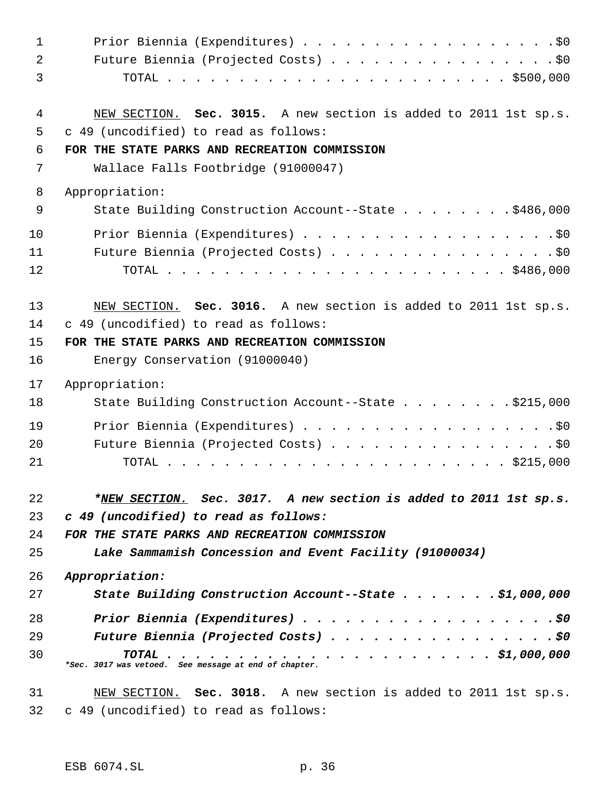| $\mathbf{1}$ | Prior Biennia (Expenditures) \$0                                                                                |
|--------------|-----------------------------------------------------------------------------------------------------------------|
| 2<br>3       | Future Biennia (Projected Costs) \$0                                                                            |
| 4            | NEW SECTION. Sec. 3015. A new section is added to 2011 1st sp.s.                                                |
| 5            | c 49 (uncodified) to read as follows:                                                                           |
| 6            | FOR THE STATE PARKS AND RECREATION COMMISSION                                                                   |
| 7            | Wallace Falls Footbridge (91000047)                                                                             |
| 8            | Appropriation:                                                                                                  |
| 9            | State Building Construction Account--State \$486,000                                                            |
| 10           | Prior Biennia (Expenditures) \$0                                                                                |
| 11           | Future Biennia (Projected Costs) \$0                                                                            |
| 12           |                                                                                                                 |
| 13           | NEW SECTION. Sec. 3016. A new section is added to 2011 1st sp.s.                                                |
| 14           | c 49 (uncodified) to read as follows:                                                                           |
| 15           | FOR THE STATE PARKS AND RECREATION COMMISSION                                                                   |
| 16           | Energy Conservation (91000040)                                                                                  |
| 17           | Appropriation:                                                                                                  |
| 18           | State Building Construction Account--State \$215,000                                                            |
| 19           | Prior Biennia (Expenditures) \$0                                                                                |
| 20           | Future Biennia (Projected Costs) \$0                                                                            |
| 21           |                                                                                                                 |
| 22           | *NEW SECTION. Sec. 3017. A new section is added to 2011 1st sp.s.                                               |
| 23           | c 49 (uncodified) to read as follows:                                                                           |
| 24           | FOR THE STATE PARKS AND RECREATION COMMISSION                                                                   |
| 25           | Lake Sammamish Concession and Event Facility (91000034)                                                         |
| 26           | Appropriation:                                                                                                  |
| 27           | State Building Construction Account--State \$1,000,000                                                          |
| 28           | Prior Biennia (Expenditures)<br>. \$0<br>$\sim$ $\sim$                                                          |
| 29           | Future Biennia (Projected Costs)<br>. \$0                                                                       |
| 30           | $\ldots$ ; $\frac{1}{2}$ ,000,000<br><b>TOTAL</b><br>.<br>*Sec. 3017 was vetoed. See message at end of chapter. |
| 31           | NEW SECTION. Sec. 3018. A new section is added to 2011 1st sp.s.                                                |
| 32           | c 49 (uncodified) to read as follows:                                                                           |

ESB 6074.SL p. 36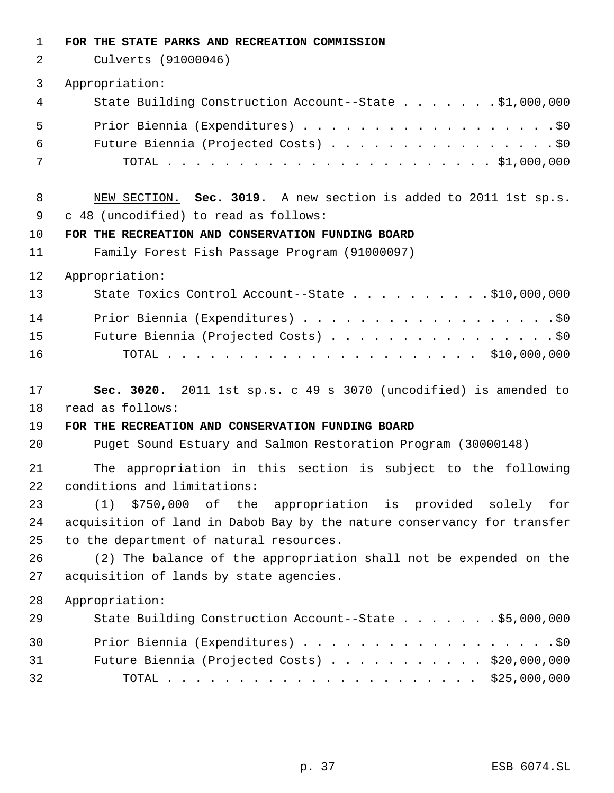| $\mathbf{1}$ | FOR THE STATE PARKS AND RECREATION COMMISSION                           |
|--------------|-------------------------------------------------------------------------|
| 2            | Culverts (91000046)                                                     |
| 3            | Appropriation:                                                          |
| 4            | State Building Construction Account--State \$1,000,000                  |
| 5            |                                                                         |
| 6            | Future Biennia (Projected Costs) \$0                                    |
| 7            |                                                                         |
| 8            | NEW SECTION. Sec. 3019. A new section is added to 2011 1st sp.s.        |
| 9            | c 48 (uncodified) to read as follows:                                   |
| 10           | FOR THE RECREATION AND CONSERVATION FUNDING BOARD                       |
| 11           | Family Forest Fish Passage Program (91000097)                           |
| 12           | Appropriation:                                                          |
| 13           | State Toxics Control Account--State \$10,000,000                        |
| 14           |                                                                         |
| 15           | Future Biennia (Projected Costs) \$0                                    |
| 16           |                                                                         |
| 17           | Sec. 3020. 2011 1st sp.s. c 49 s 3070 (uncodified) is amended to        |
| 18           | read as follows:                                                        |
| 19           | FOR THE RECREATION AND CONSERVATION FUNDING BOARD                       |
| 20           | Puget Sound Estuary and Salmon Restoration Program (30000148)           |
| 21           | The appropriation in this section is subject to the following           |
| 22           | conditions and limitations:                                             |
| 23           | (1) \$750,000 of the appropriation is provided solely for               |
| 24           | acquisition of land in Dabob Bay by the nature conservancy for transfer |
| 25           | to the department of natural resources.                                 |
| 26           | (2) The balance of the appropriation shall not be expended on the       |
| 27           | acquisition of lands by state agencies.                                 |
| 28           | Appropriation:                                                          |
| 29           | State Building Construction Account--State \$5,000,000                  |
| 30           |                                                                         |
| 31           | Future Biennia (Projected Costs) \$20,000,000                           |
| 32           |                                                                         |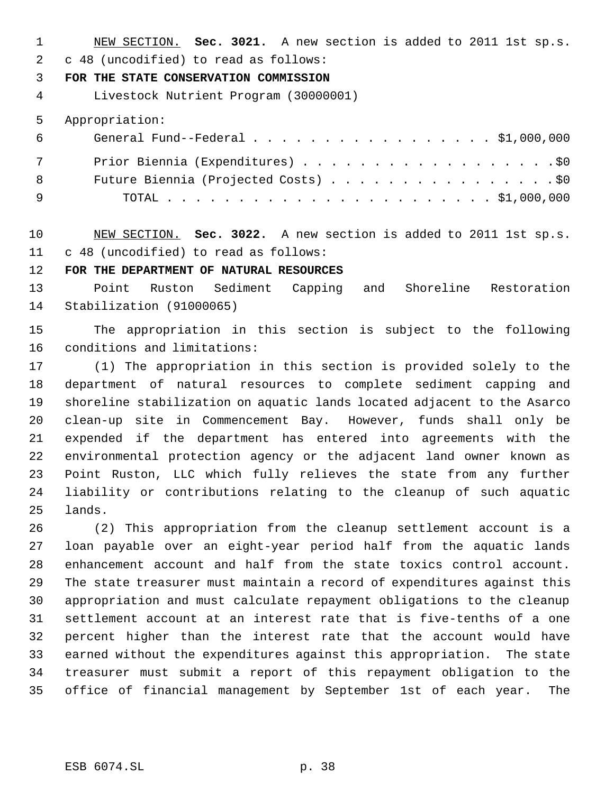NEW SECTION. **Sec. 3021.** A new section is added to 2011 1st sp.s.

c 48 (uncodified) to read as follows:

# **FOR THE STATE CONSERVATION COMMISSION**

Livestock Nutrient Program (30000001)

Appropriation:

|     | General Fund--Federal \$1,000,000    |
|-----|--------------------------------------|
| 7   | Prior Biennia (Expenditures) \$0     |
| 8   | Future Biennia (Projected Costs) \$0 |
| − q |                                      |

 NEW SECTION. **Sec. 3022.** A new section is added to 2011 1st sp.s. c 48 (uncodified) to read as follows:

# **FOR THE DEPARTMENT OF NATURAL RESOURCES**

 Point Ruston Sediment Capping and Shoreline Restoration Stabilization (91000065)

 The appropriation in this section is subject to the following conditions and limitations:

 (1) The appropriation in this section is provided solely to the department of natural resources to complete sediment capping and shoreline stabilization on aquatic lands located adjacent to the Asarco clean-up site in Commencement Bay. However, funds shall only be expended if the department has entered into agreements with the environmental protection agency or the adjacent land owner known as Point Ruston, LLC which fully relieves the state from any further liability or contributions relating to the cleanup of such aquatic lands.

 (2) This appropriation from the cleanup settlement account is a loan payable over an eight-year period half from the aquatic lands enhancement account and half from the state toxics control account. The state treasurer must maintain a record of expenditures against this appropriation and must calculate repayment obligations to the cleanup settlement account at an interest rate that is five-tenths of a one percent higher than the interest rate that the account would have earned without the expenditures against this appropriation. The state treasurer must submit a report of this repayment obligation to the office of financial management by September 1st of each year. The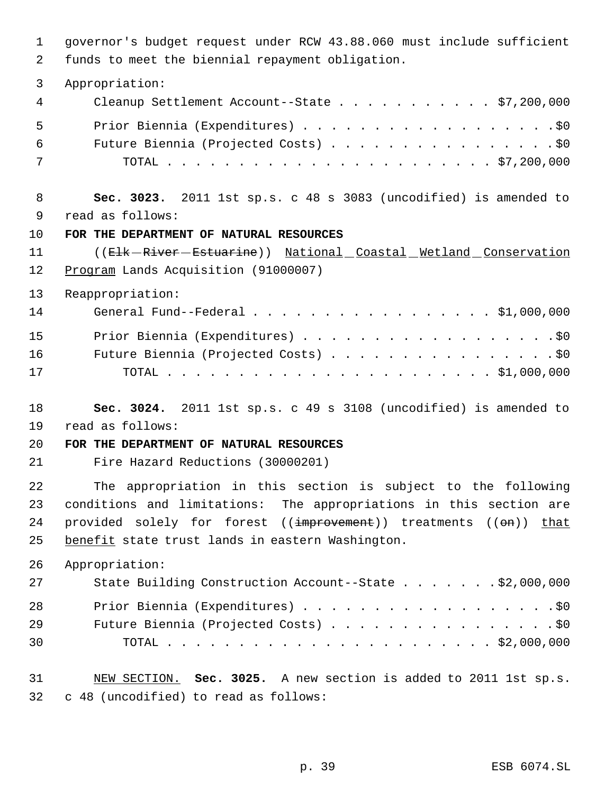governor's budget request under RCW 43.88.060 must include sufficient funds to meet the biennial repayment obligation. Appropriation: Cleanup Settlement Account--State . . . . . . . . . . . \$7,200,000 5 Prior Biennia (Expenditures) . . . . . . . . . . . . . . . . . . \$0 Future Biennia (Projected Costs) . . . . . . . . . . . . . . . . \$0 TOTAL . . . . . . . . . . . . . . . . . . . . . . . \$7,200,000 **Sec. 3023.** 2011 1st sp.s. c 48 s 3083 (uncodified) is amended to read as follows: **FOR THE DEPARTMENT OF NATURAL RESOURCES** 11 ((Elk River Estuarine)) National Coastal Wetland Conservation Program Lands Acquisition (91000007) Reappropriation: 14 General Fund--Federal . . . . . . . . . . . . . . . . \$1,000,000 15 Prior Biennia (Expenditures) . . . . . . . . . . . . . . . . . . \$0 Future Biennia (Projected Costs) . . . . . . . . . . . . . . . . \$0 TOTAL . . . . . . . . . . . . . . . . . . . . . . . \$1,000,000 **Sec. 3024.** 2011 1st sp.s. c 49 s 3108 (uncodified) is amended to read as follows: **FOR THE DEPARTMENT OF NATURAL RESOURCES** Fire Hazard Reductions (30000201) The appropriation in this section is subject to the following conditions and limitations: The appropriations in this section are 24 provided solely for forest ((improvement)) treatments ((on)) that 25 benefit state trust lands in eastern Washington. Appropriation: State Building Construction Account--State . . . . . . . \$2,000,000 Prior Biennia (Expenditures) . . . . . . . . . . . . . . . . . .\$0 29 Future Biennia (Projected Costs) . . . . . . . . . . . . . . . . \$0 TOTAL . . . . . . . . . . . . . . . . . . . . . . . \$2,000,000 NEW SECTION. **Sec. 3025.** A new section is added to 2011 1st sp.s.

c 48 (uncodified) to read as follows: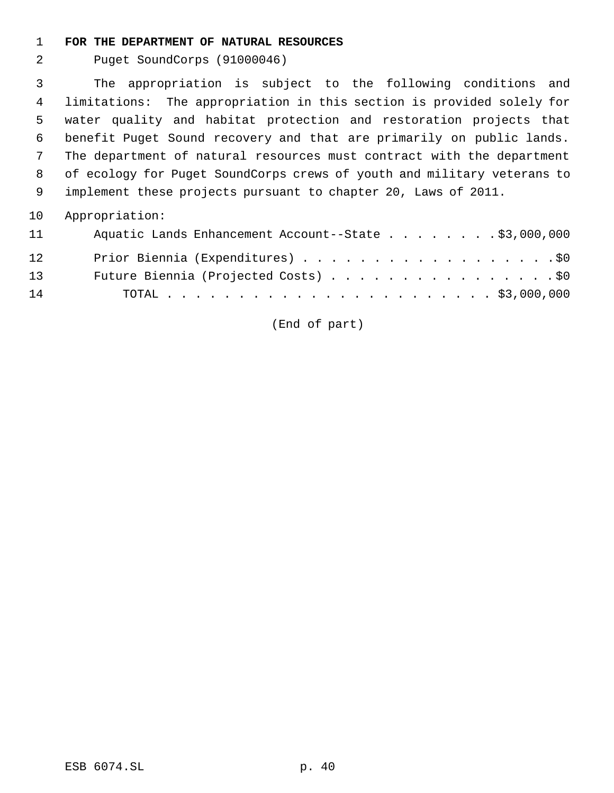#### **FOR THE DEPARTMENT OF NATURAL RESOURCES**

Puget SoundCorps (91000046)

 The appropriation is subject to the following conditions and limitations: The appropriation in this section is provided solely for water quality and habitat protection and restoration projects that benefit Puget Sound recovery and that are primarily on public lands. The department of natural resources must contract with the department of ecology for Puget SoundCorps crews of youth and military veterans to implement these projects pursuant to chapter 20, Laws of 2011.

#### Appropriation:

| 11 | Aquatic Lands Enhancement Account--State \$3,000,000 |
|----|------------------------------------------------------|
| 12 | Prior Biennia (Expenditures) \$0                     |
| 13 | Future Biennia (Projected Costs) \$0                 |
| 14 |                                                      |

(End of part)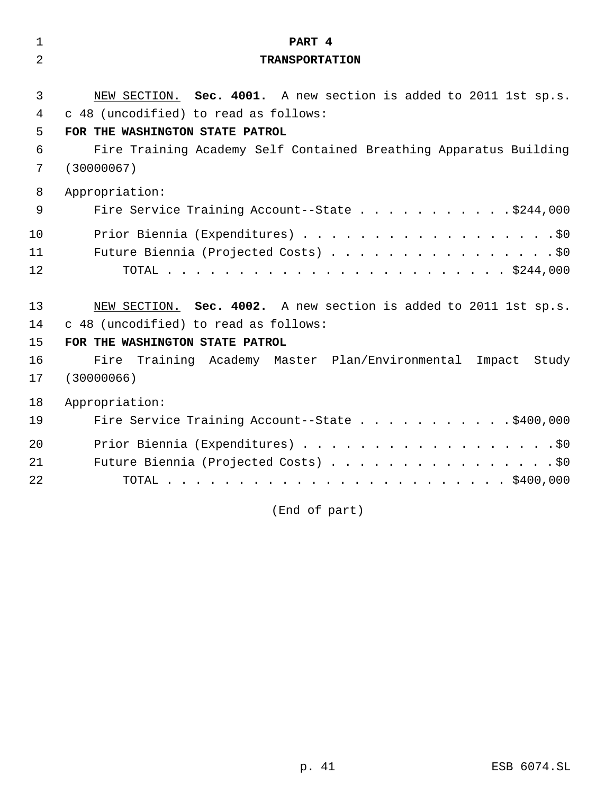| $\mathbf 1$ | PART 4                                                            |
|-------------|-------------------------------------------------------------------|
| 2           | <b>TRANSPORTATION</b>                                             |
|             |                                                                   |
| 3           | NEW SECTION. Sec. 4001. A new section is added to 2011 1st sp.s.  |
| 4           | c 48 (uncodified) to read as follows:                             |
| 5           | FOR THE WASHINGTON STATE PATROL                                   |
| 6           | Fire Training Academy Self Contained Breathing Apparatus Building |
| 7           | (30000067)                                                        |
| 8           | Appropriation:                                                    |
| 9           | Fire Service Training Account--State \$244,000                    |
| 10          | Prior Biennia (Expenditures) \$0                                  |
|             |                                                                   |
| 11          | Future Biennia (Projected Costs) \$0                              |
| 12          |                                                                   |
| 13          | NEW SECTION. Sec. 4002. A new section is added to 2011 1st sp.s.  |
| 14          | c 48 (uncodified) to read as follows:                             |
| 15          | FOR THE WASHINGTON STATE PATROL                                   |
| 16          | Training Academy Master Plan/Environmental Impact Study<br>Fire   |
| 17          | (30000066)                                                        |
|             |                                                                   |
| 18          | Appropriation:                                                    |
| 19          | Fire Service Training Account--State \$400,000                    |
| 20          | Prior Biennia (Expenditures) \$0                                  |
| 21          | Future Biennia (Projected Costs) \$0                              |
| 22          |                                                                   |
|             |                                                                   |

(End of part)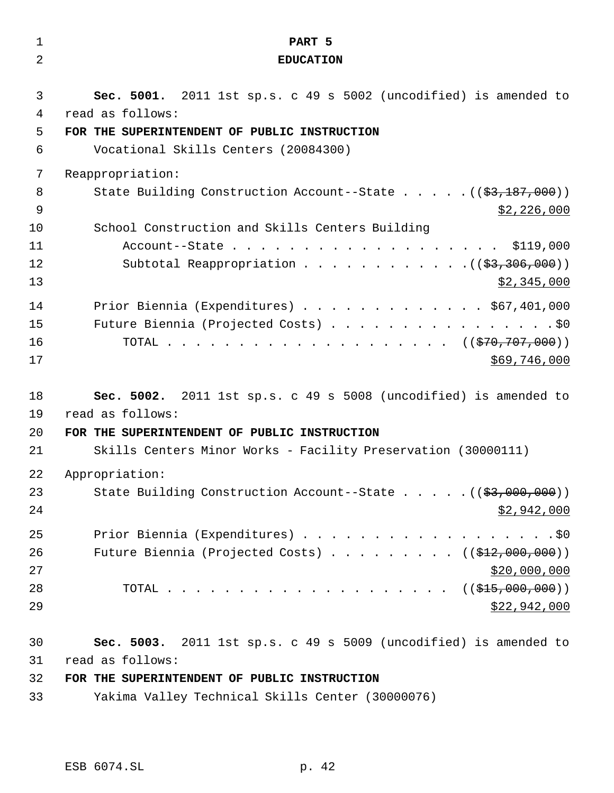| 1           | PART 5                                                              |
|-------------|---------------------------------------------------------------------|
| 2           | <b>EDUCATION</b>                                                    |
| 3           | Sec. 5001. 2011 1st sp.s. c 49 s 5002 (uncodified) is amended to    |
| 4           | read as follows:                                                    |
| 5           | FOR THE SUPERINTENDENT OF PUBLIC INSTRUCTION                        |
| 6           | Vocational Skills Centers (20084300)                                |
| 7           | Reappropriation:                                                    |
| 8           | State Building Construction Account--State ((\$3,187,000))          |
| $\mathsf 9$ | \$2,226,000                                                         |
| 10          | School Construction and Skills Centers Building                     |
| 11          | Account--State \$119,000                                            |
| 12          | Subtotal Reappropriation $($ $($ \$3,306,000) $)$                   |
| 13          | \$2,345,000                                                         |
| 14          | Prior Biennia (Expenditures) \$67,401,000                           |
| 15          | Future Biennia (Projected Costs) \$0                                |
| 16          | TOTAL ( $(\frac{270}{70}, \frac{707}{700})$ )                       |
| 17          | \$69,746,000                                                        |
| 18          | Sec. 5002. 2011 1st sp.s. c 49 s 5008 (uncodified) is amended to    |
| 19          | read as follows:                                                    |
| 20          | FOR THE SUPERINTENDENT OF PUBLIC INSTRUCTION                        |
| 21          | Skills Centers Minor Works - Facility Preservation (30000111)       |
| 22          | Appropriation:                                                      |
| 23          | State Building Construction Account--State $($ $($ \$3,000,000) $)$ |
| 24          | \$2,942,000                                                         |
| 25          | Prior Biennia (Expenditures) \$0                                    |
| 26          | Future Biennia (Projected Costs) ( $(\frac{212}{12000000})$         |
| 27          | \$20,000,000                                                        |
| 28          | TOTAL ( $(\frac{1}{215}, 000, 000)$ )                               |
| 29          | \$22,942,000                                                        |
| 30          | Sec. 5003. 2011 1st sp.s. c 49 s 5009 (uncodified) is amended to    |
| 31          | read as follows:                                                    |
| 32          | FOR THE SUPERINTENDENT OF PUBLIC INSTRUCTION                        |
| 33          | Yakima Valley Technical Skills Center (30000076)                    |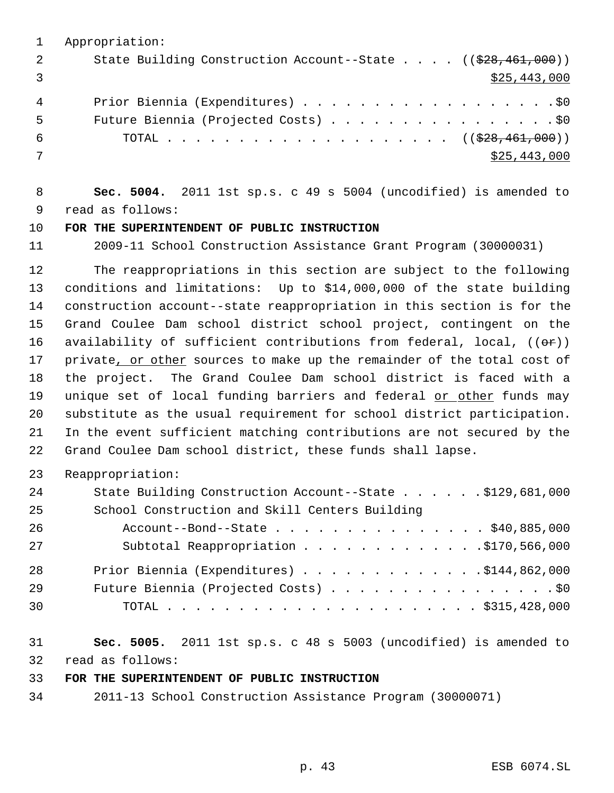|               | Appropriation:                                                                   |
|---------------|----------------------------------------------------------------------------------|
| $\mathcal{L}$ | State Building Construction Account--State $((\frac{228}{728}, \frac{461}{100})$ |
|               | \$25,443,000                                                                     |
| 4             |                                                                                  |
| 5             | Future Biennia (Projected Costs) \$0                                             |
| 6             | TOTAL ( $(\frac{228}{728}, \frac{461}{1000}))$                                   |
|               | \$25,443,000                                                                     |
|               |                                                                                  |

 **Sec. 5004.** 2011 1st sp.s. c 49 s 5004 (uncodified) is amended to read as follows:

# **FOR THE SUPERINTENDENT OF PUBLIC INSTRUCTION**

2009-11 School Construction Assistance Grant Program (30000031)

 The reappropriations in this section are subject to the following conditions and limitations: Up to \$14,000,000 of the state building construction account--state reappropriation in this section is for the Grand Coulee Dam school district school project, contingent on the 16 availability of sufficient contributions from federal, local,  $((\theta \cdot \mathbf{r}))$ 17 private, or other sources to make up the remainder of the total cost of the project. The Grand Coulee Dam school district is faced with a 19 unique set of local funding barriers and federal or other funds may substitute as the usual requirement for school district participation. In the event sufficient matching contributions are not secured by the Grand Coulee Dam school district, these funds shall lapse.

Reappropriation:

| 24 | State Building Construction Account--State \$129,681,000 |
|----|----------------------------------------------------------|
| 25 | School Construction and Skill Centers Building           |
| 26 | Account--Bond--State \$40,885,000                        |
| 27 | Subtotal Reappropriation 5170,566,000                    |
| 28 | Prior Biennia (Expenditures) \$144,862,000               |
| 29 | Future Biennia (Projected Costs) \$0                     |
| 30 |                                                          |

 **Sec. 5005.** 2011 1st sp.s. c 48 s 5003 (uncodified) is amended to read as follows:

#### **FOR THE SUPERINTENDENT OF PUBLIC INSTRUCTION**

2011-13 School Construction Assistance Program (30000071)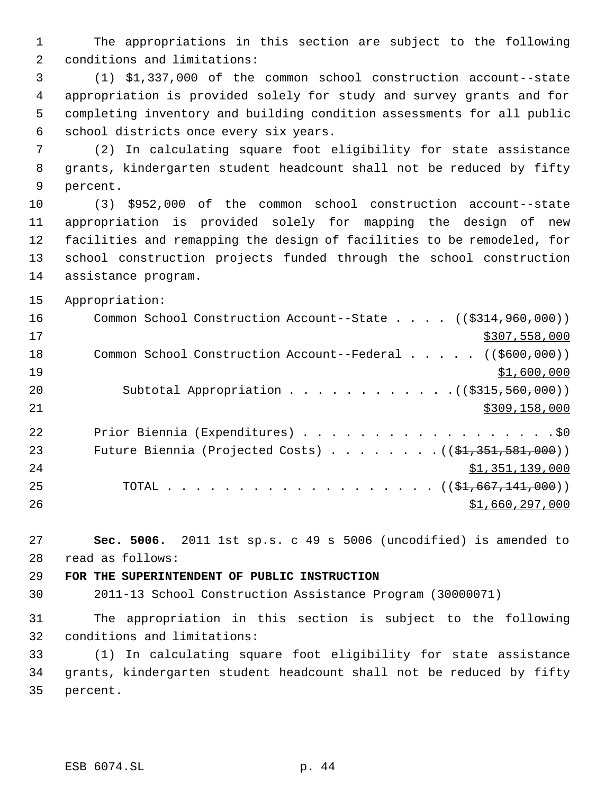The appropriations in this section are subject to the following conditions and limitations:

 (1) \$1,337,000 of the common school construction account--state appropriation is provided solely for study and survey grants and for completing inventory and building condition assessments for all public school districts once every six years.

 (2) In calculating square foot eligibility for state assistance grants, kindergarten student headcount shall not be reduced by fifty percent.

 (3) \$952,000 of the common school construction account--state appropriation is provided solely for mapping the design of new facilities and remapping the design of facilities to be remodeled, for school construction projects funded through the school construction assistance program.

Appropriation:

| 16 | Common School Construction Account--State $($ $($ \$314,960,000) $)$                      |
|----|-------------------------------------------------------------------------------------------|
| 17 | \$307,558,000                                                                             |
| 18 | Common School Construction Account--Federal $($ $($ $$600,000)$                           |
| 19 | \$1,600,000                                                                               |
| 20 | Subtotal Appropriation $($ $($ $\frac{2315}{7560}$ , 000) $)$                             |
| 21 | \$309,158,000                                                                             |
| 22 | Prior Biennia (Expenditures) \$0                                                          |
| 23 | Future Biennia (Projected Costs) $($ $($ $\frac{1}{21}, \frac{351}{581}, \frac{600}{90})$ |
| 24 | \$1,351,139,000                                                                           |
| 25 |                                                                                           |
| 26 | \$1,660,297,000                                                                           |

 **Sec. 5006.** 2011 1st sp.s. c 49 s 5006 (uncodified) is amended to read as follows:

**FOR THE SUPERINTENDENT OF PUBLIC INSTRUCTION**

2011-13 School Construction Assistance Program (30000071)

 The appropriation in this section is subject to the following conditions and limitations:

 (1) In calculating square foot eligibility for state assistance grants, kindergarten student headcount shall not be reduced by fifty percent.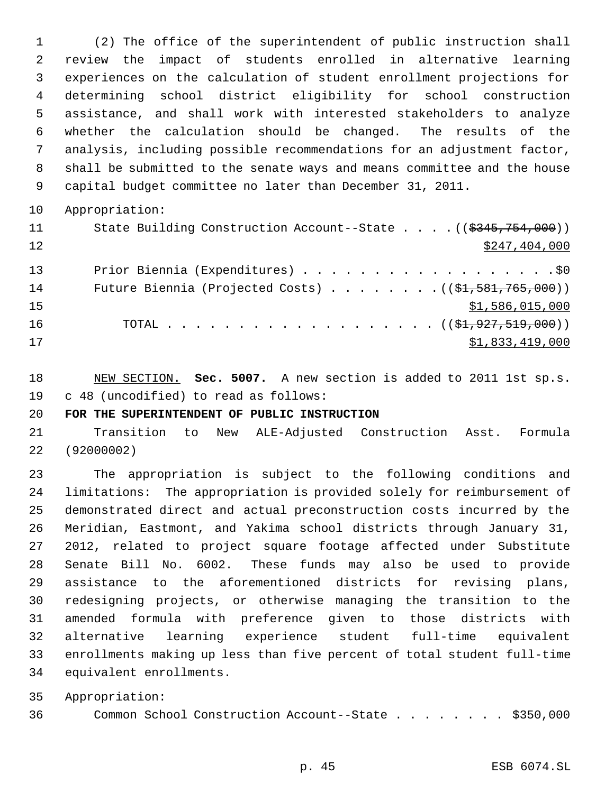(2) The office of the superintendent of public instruction shall review the impact of students enrolled in alternative learning experiences on the calculation of student enrollment projections for determining school district eligibility for school construction assistance, and shall work with interested stakeholders to analyze whether the calculation should be changed. The results of the analysis, including possible recommendations for an adjustment factor, shall be submitted to the senate ways and means committee and the house capital budget committee no later than December 31, 2011.

```
10 Appropriation:
```

| 11 | State Building Construction Account--State ( $(\frac{2345}{754}, \frac{754}{000})$ )    |
|----|-----------------------------------------------------------------------------------------|
| 12 | \$247,404,000                                                                           |
| 13 |                                                                                         |
| 14 | Future Biennia (Projected Costs) $($ $($ $\frac{1}{21}$ , $\frac{581}{1765}$ , $000)$ ) |
| 15 | \$1,586,015,000                                                                         |
| 16 |                                                                                         |
| 17 | \$1,833,419,000                                                                         |

 NEW SECTION. **Sec. 5007.** A new section is added to 2011 1st sp.s. c 48 (uncodified) to read as follows:

**FOR THE SUPERINTENDENT OF PUBLIC INSTRUCTION**

 Transition to New ALE-Adjusted Construction Asst. Formula (92000002)

 The appropriation is subject to the following conditions and limitations: The appropriation is provided solely for reimbursement of demonstrated direct and actual preconstruction costs incurred by the Meridian, Eastmont, and Yakima school districts through January 31, 2012, related to project square footage affected under Substitute Senate Bill No. 6002. These funds may also be used to provide assistance to the aforementioned districts for revising plans, redesigning projects, or otherwise managing the transition to the amended formula with preference given to those districts with alternative learning experience student full-time equivalent enrollments making up less than five percent of total student full-time equivalent enrollments.

Appropriation:

Common School Construction Account--State . . . . . . . . \$350,000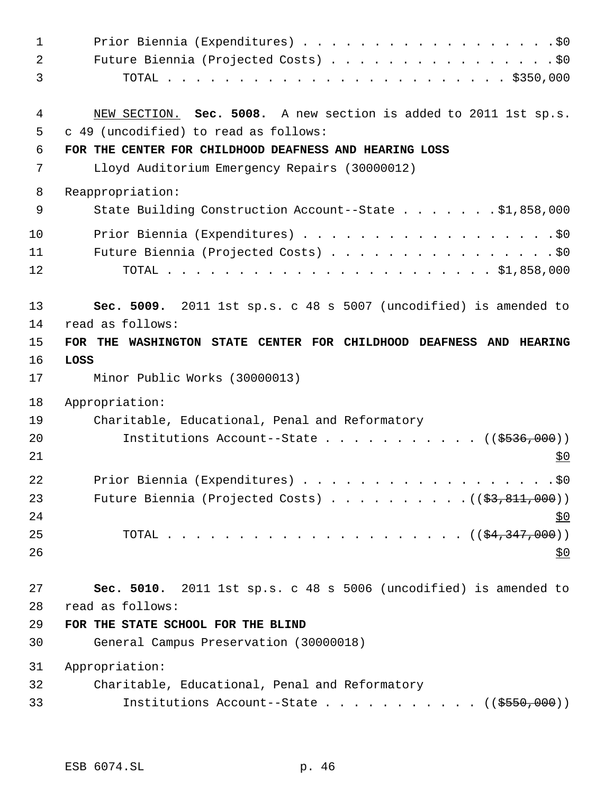| $\mathbf{1}$   | Prior Biennia (Expenditures) \$0                                   |
|----------------|--------------------------------------------------------------------|
| $\overline{a}$ | Future Biennia (Projected Costs) \$0                               |
| 3              |                                                                    |
| 4              | NEW SECTION. Sec. 5008. A new section is added to 2011 1st sp.s.   |
| 5              | c 49 (uncodified) to read as follows:                              |
| 6              | FOR THE CENTER FOR CHILDHOOD DEAFNESS AND HEARING LOSS             |
| 7              | Lloyd Auditorium Emergency Repairs (30000012)                      |
| 8              | Reappropriation:                                                   |
| 9              | State Building Construction Account--State \$1,858,000             |
| 10             | Prior Biennia (Expenditures) \$0                                   |
| 11             | Future Biennia (Projected Costs) \$0                               |
| 12             |                                                                    |
| 13             | Sec. 5009. 2011 1st sp.s. c 48 s 5007 (uncodified) is amended to   |
| 14             | read as follows:                                                   |
| 15             | FOR THE WASHINGTON STATE CENTER FOR CHILDHOOD DEAFNESS AND HEARING |
| 16             | LOSS                                                               |
| 17             | Minor Public Works (30000013)                                      |
| 18             | Appropriation:                                                     |
| 19             | Charitable, Educational, Penal and Reformatory                     |
| 20             | Institutions Account--State ( $(\frac{2536}{100})$ )               |
| 21             | <u>\$0</u>                                                         |
| 22             | Prior Biennia (Expenditures)<br>\$0                                |
| 23             | Future Biennia (Projected Costs) $($ $($ \$3,811,000) $)$          |
| 24             | <u>\$0</u>                                                         |
| 25             |                                                                    |
| 26             | <u>\$0</u>                                                         |
| 27             | Sec. 5010. 2011 1st sp.s. c 48 s 5006 (uncodified) is amended to   |
| 28             | read as follows:                                                   |
| 29             | FOR THE STATE SCHOOL FOR THE BLIND                                 |
| 30             | General Campus Preservation (30000018)                             |
| 31             | Appropriation:                                                     |
| 32             | Charitable, Educational, Penal and Reformatory                     |
| 33             | Institutions Account--State ( $(\frac{2550}{100})$ )               |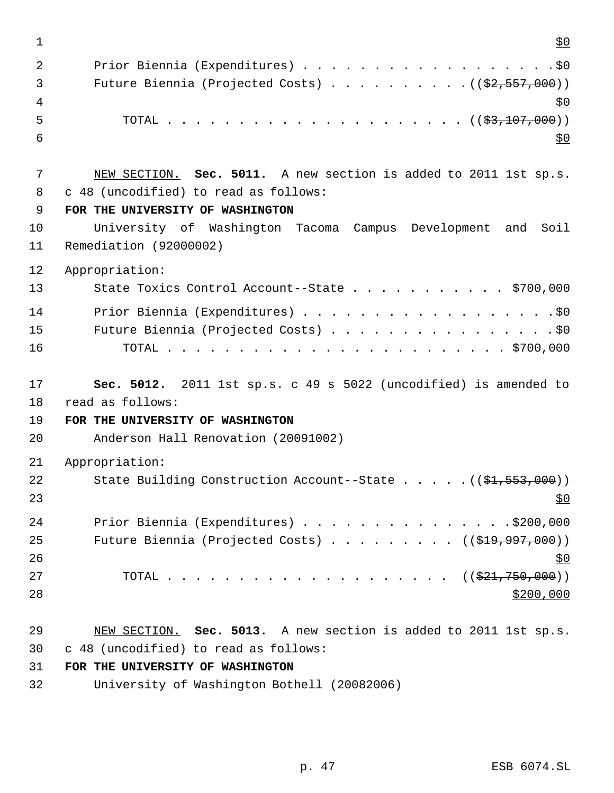$1 \overline{50}$  Prior Biennia (Expenditures) . . . . . . . . . . . . . . . . . .\$0 3 Future Biennia (Projected Costs) . . . . . . . . . . ((\$2,557,000))  $\frac{1}{20}$  TOTAL . . . . . . . . . . . . . . . . . . . . . ((\$3,107,000))  $\frac{1}{50}$  NEW SECTION. **Sec. 5011.** A new section is added to 2011 1st sp.s. c 48 (uncodified) to read as follows: **FOR THE UNIVERSITY OF WASHINGTON** University of Washington Tacoma Campus Development and Soil Remediation (92000002) Appropriation: 13 State Toxics Control Account--State . . . . . . . . . . \$700,000 14 Prior Biennia (Expenditures) . . . . . . . . . . . . . . . . . . \$0 Future Biennia (Projected Costs) . . . . . . . . . . . . . . . . \$0 TOTAL . . . . . . . . . . . . . . . . . . . . . . . . \$700,000 **Sec. 5012.** 2011 1st sp.s. c 49 s 5022 (uncodified) is amended to read as follows: **FOR THE UNIVERSITY OF WASHINGTON** Anderson Hall Renovation (20091002) Appropriation: 22 State Building Construction Account--State . . . . . ((\$1,553,000))  $\frac{$0}{ }$ 24 Prior Biennia (Expenditures) . . . . . . . . . . . . . . . \$200,000 25 Future Biennia (Projected Costs) . . . . . . . . ((\$19,997,000)) TOTAL . . . . . . . . . . . . . . . . . . . . ((\$21,750,000)) NEW SECTION. **Sec. 5013.** A new section is added to 2011 1st sp.s. c 48 (uncodified) to read as follows: **FOR THE UNIVERSITY OF WASHINGTON**

University of Washington Bothell (20082006)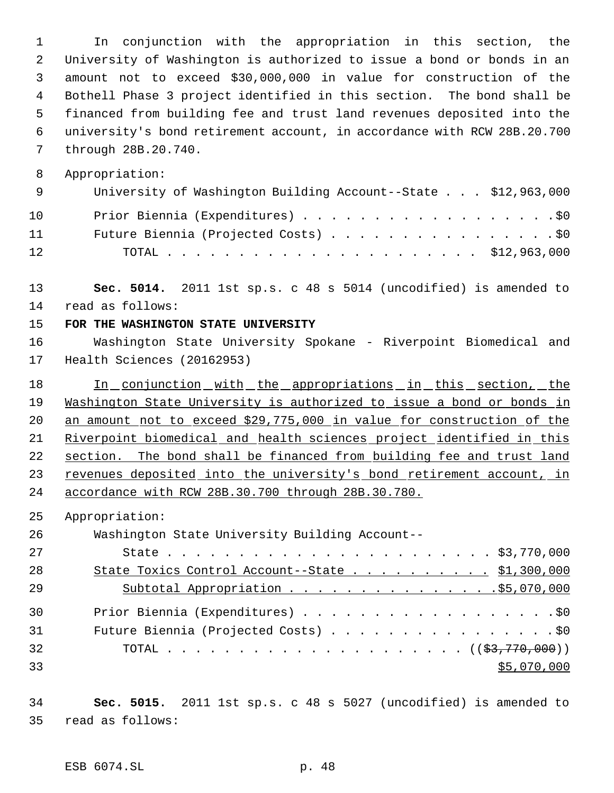In conjunction with the appropriation in this section, the University of Washington is authorized to issue a bond or bonds in an amount not to exceed \$30,000,000 in value for construction of the Bothell Phase 3 project identified in this section. The bond shall be financed from building fee and trust land revenues deposited into the university's bond retirement account, in accordance with RCW 28B.20.700 through 28B.20.740.

Appropriation:

| - 9 | University of Washington Building Account--State \$12,963,000 |
|-----|---------------------------------------------------------------|
| 10  | Prior Biennia (Expenditures) \$0                              |
| 11  | Future Biennia (Projected Costs) \$0                          |
| 12  |                                                               |

 **Sec. 5014.** 2011 1st sp.s. c 48 s 5014 (uncodified) is amended to read as follows:

#### **FOR THE WASHINGTON STATE UNIVERSITY**

 Washington State University Spokane - Riverpoint Biomedical and Health Sciences (20162953)

18 In conjunction with the appropriations in this section, the Washington State University is authorized to issue a bond or bonds in an amount not to exceed \$29,775,000 in value for construction of the Riverpoint biomedical and health sciences project identified in this 22 section. The bond shall be financed from building fee and trust land revenues deposited into the university's bond retirement account, in accordance with RCW 28B.30.700 through 28B.30.780.

Appropriation:

Washington State University Building Account--

| 2.7 |                                                 |
|-----|-------------------------------------------------|
| 28  | State Toxics Control Account--State \$1,300,000 |
| 29  | Subtotal Appropriation 55,070,000               |
| 30  | Prior Biennia (Expenditures) \$0                |
| 31  | Future Biennia (Projected Costs) \$0            |
| 32  |                                                 |
| 33  | \$5,070,000                                     |

 **Sec. 5015.** 2011 1st sp.s. c 48 s 5027 (uncodified) is amended to read as follows: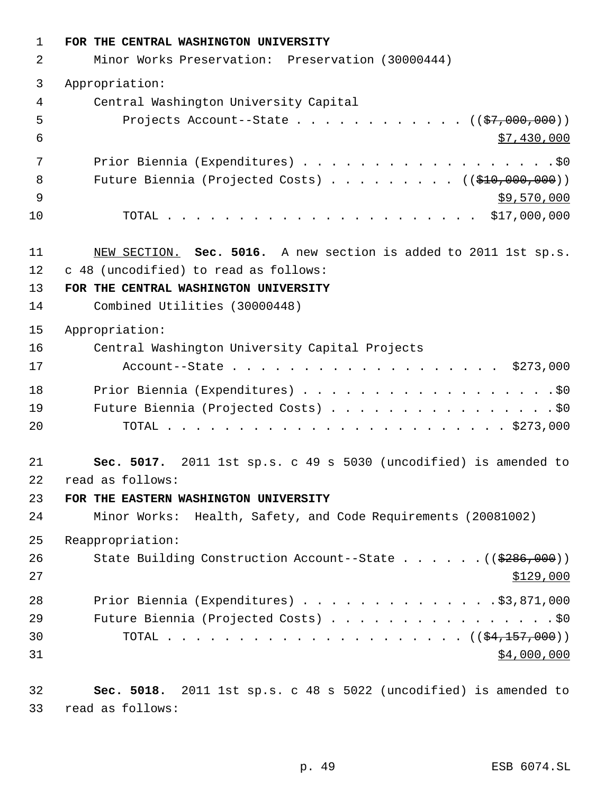| $\mathbf{1}$ | FOR THE CENTRAL WASHINGTON UNIVERSITY                             |
|--------------|-------------------------------------------------------------------|
| 2            | Minor Works Preservation: Preservation (30000444)                 |
| 3            | Appropriation:                                                    |
| 4            | Central Washington University Capital                             |
| 5            | Projects Account--State ( $(\frac{27}{97},000,000)$ )             |
| 6            | \$7,430,000                                                       |
| 7            | Prior Biennia (Expenditures) \$0                                  |
| 8            | Future Biennia (Projected Costs) ( $(\frac{10}{910}, 000, 000)$ ) |
| 9            | \$9,570,000                                                       |
| 10           |                                                                   |
| 11           | NEW SECTION. Sec. 5016. A new section is added to 2011 1st sp.s.  |
| 12           | c 48 (uncodified) to read as follows:                             |
| 13           | FOR THE CENTRAL WASHINGTON UNIVERSITY                             |
| 14           | Combined Utilities (30000448)                                     |
| 15           | Appropriation:                                                    |
| 16           | Central Washington University Capital Projects                    |
| 17           | Account--State \$273,000                                          |
| 18           |                                                                   |
| 19           | Future Biennia (Projected Costs) \$0                              |
| 20           |                                                                   |
| 21           | Sec. 5017. 2011 1st sp.s. c 49 s 5030 (uncodified) is amended to  |
| 22           | read as follows:                                                  |
| 23           | FOR THE EASTERN WASHINGTON UNIVERSITY                             |
| 24           | Minor Works: Health, Safety, and Code Requirements (20081002)     |
| 25           | Reappropriation:                                                  |
| 26           | State Building Construction Account--State ((\$286,000))          |
| 27           | \$129,000                                                         |
| 28           | Prior Biennia (Expenditures) \$3,871,000                          |
| 29           | Future Biennia (Projected Costs) \$0                              |
| 30           |                                                                   |
| 31           | \$4,000,000                                                       |
| 32           | Sec. 5018. 2011 1st sp.s. c 48 s 5022 (uncodified) is amended to  |
| 33           | read as follows:                                                  |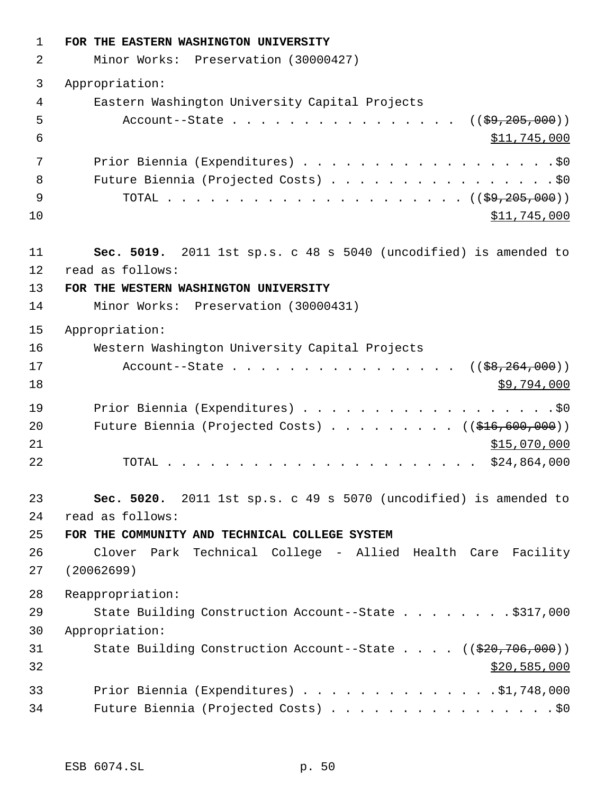| $\mathbf 1$ | FOR THE EASTERN WASHINGTON UNIVERSITY                                                 |
|-------------|---------------------------------------------------------------------------------------|
| 2           | Minor Works: Preservation (30000427)                                                  |
| 3           | Appropriation:                                                                        |
| 4           | Eastern Washington University Capital Projects                                        |
| 5           | Account--State ( $(\frac{29}{20}, \frac{205}{000}))$                                  |
| 6           | \$11,745,000                                                                          |
| 7           |                                                                                       |
| 8           | Future Biennia (Projected Costs) \$0                                                  |
| 9           |                                                                                       |
| 10          | \$11,745,000                                                                          |
|             |                                                                                       |
| 11          | Sec. 5019. 2011 1st sp.s. c 48 s 5040 (uncodified) is amended to                      |
| 12          | read as follows:                                                                      |
| 13          | FOR THE WESTERN WASHINGTON UNIVERSITY                                                 |
| 14          | Minor Works: Preservation (30000431)                                                  |
| 15          | Appropriation:                                                                        |
| 16          | Western Washington University Capital Projects                                        |
| 17          | Account--State $($ $(*8, 264, 000))$                                                  |
| 18          | \$9,794,000                                                                           |
| 19          | Prior Biennia (Expenditures) \$0                                                      |
| 20          | Future Biennia (Projected Costs) ( $(\frac{216}{600}, 000)$ )                         |
| 21          | \$15,070,000                                                                          |
| 22          | \$24,864,000<br>TOTAL                                                                 |
|             |                                                                                       |
| 23          | Sec. 5020. 2011 1st sp.s. c 49 s 5070 (uncodified) is amended to                      |
| 24          | read as follows:                                                                      |
| 25          | FOR THE COMMUNITY AND TECHNICAL COLLEGE SYSTEM                                        |
| 26          | Clover Park Technical College - Allied Health Care Facility                           |
| 27          | (20062699)                                                                            |
| 28          | Reappropriation:                                                                      |
| 29          | State Building Construction Account--State \$317,000                                  |
| 30          | Appropriation:                                                                        |
| 31          | State Building Construction Account--State $($ $($ $\frac{20}{706}, \frac{000}{000})$ |
| 32          | \$20,585,000                                                                          |
| 33          | Prior Biennia (Expenditures) \$1,748,000                                              |
| 34          | Future Biennia (Projected Costs) \$0                                                  |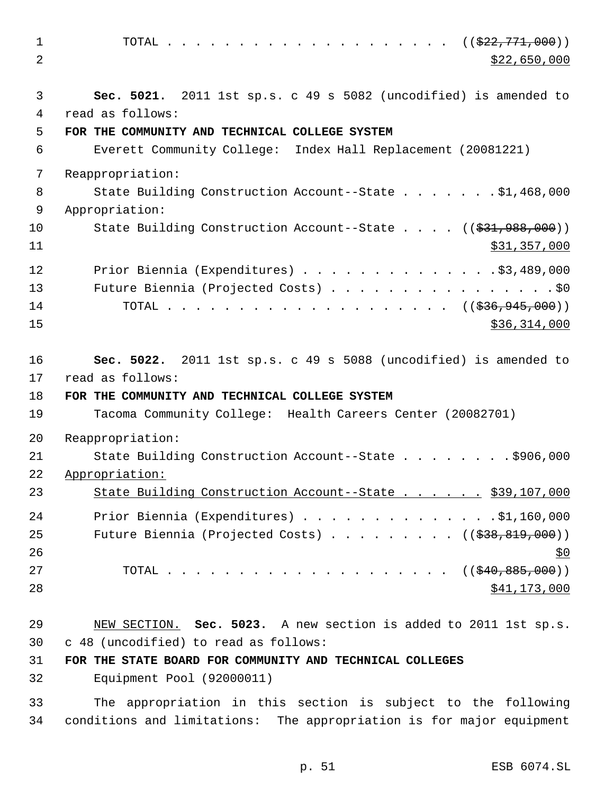1 TOTAL . . . . . . . . . . . . . . . . . ((<del>\$22,771,000</del>))  $2 \times 2.650,000$  **Sec. 5021.** 2011 1st sp.s. c 49 s 5082 (uncodified) is amended to read as follows: **FOR THE COMMUNITY AND TECHNICAL COLLEGE SYSTEM** Everett Community College: Index Hall Replacement (20081221) Reappropriation: 8 State Building Construction Account--State . . . . . . \$1,468,000 Appropriation: 10 State Building Construction Account--State . . . . ((\$31,988,000))  $\frac{11}{331,357,000}$ 12 Prior Biennia (Expenditures) . . . . . . . . . . . . . . \$3,489,000 13 Future Biennia (Projected Costs) . . . . . . . . . . . . . . . . \$0 14 TOTAL . . . . . . . . . . . . . . . . . . ((<del>\$36,945,000</del>)) \$36,314,000 **Sec. 5022.** 2011 1st sp.s. c 49 s 5088 (uncodified) is amended to read as follows: **FOR THE COMMUNITY AND TECHNICAL COLLEGE SYSTEM** Tacoma Community College: Health Careers Center (20082701) Reappropriation: 21 State Building Construction Account--State . . . . . . . \$906,000 Appropriation: 23 State Building Construction Account--State . . . . . \$39,107,000 Prior Biennia (Expenditures) . . . . . . . . . . . . . .\$1,160,000 25 Future Biennia (Projected Costs) . . . . . . . . ((\$38,819,000)) 27 TOTAL . . . . . . . . . . . . . . . . . . ((<del>\$40,885,000</del>)) \$41,173,000 NEW SECTION. **Sec. 5023.** A new section is added to 2011 1st sp.s. c 48 (uncodified) to read as follows: **FOR THE STATE BOARD FOR COMMUNITY AND TECHNICAL COLLEGES** Equipment Pool (92000011) The appropriation in this section is subject to the following conditions and limitations: The appropriation is for major equipment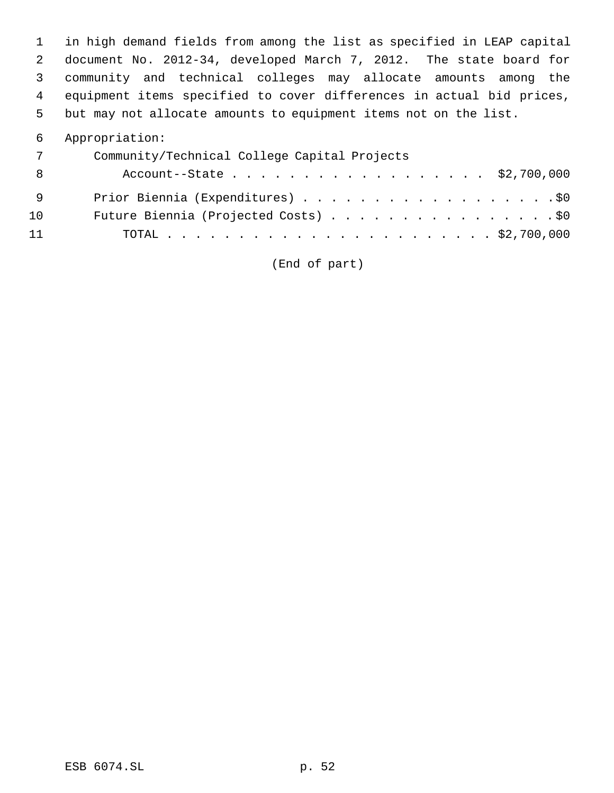in high demand fields from among the list as specified in LEAP capital document No. 2012-34, developed March 7, 2012. The state board for community and technical colleges may allocate amounts among the equipment items specified to cover differences in actual bid prices, but may not allocate amounts to equipment items not on the list.

# Appropriation:

| 7   | Community/Technical College Capital Projects |
|-----|----------------------------------------------|
| - 8 | Account--State \$2,700,000                   |
| - 9 | Prior Biennia (Expenditures) \$0             |
| 10  | Future Biennia (Projected Costs) \$0         |
| 11  |                                              |

(End of part)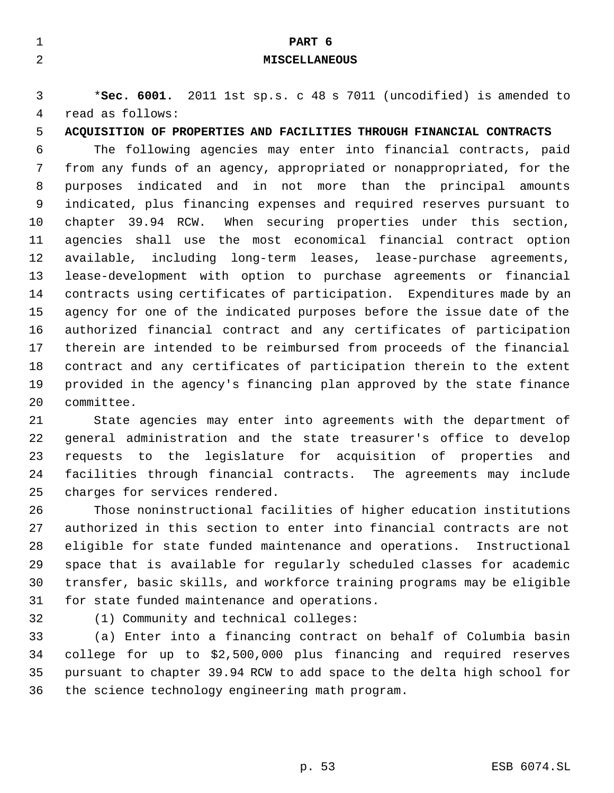| $\mathbf{1}$   | PART 6                                                                 |
|----------------|------------------------------------------------------------------------|
| $\overline{2}$ | <b>MISCELLANEOUS</b>                                                   |
|                |                                                                        |
| 3              | *Sec. 6001. 2011 1st sp.s. c 48 s 7011 (uncodified) is amended to      |
| 4              | read as follows:                                                       |
| 5              | ACQUISITION OF PROPERTIES AND FACILITIES THROUGH FINANCIAL CONTRACTS   |
| 6              | The following agencies may enter into financial contracts, paid        |
| 7              | from any funds of an agency, appropriated or nonappropriated, for the  |
| 8              | indicated and in not more than the principal<br>purposes<br>amounts    |
| $\mathsf 9$    | indicated, plus financing expenses and required reserves pursuant to   |
| 10             | chapter 39.94 RCW. When securing properties under this section,        |
| 11             | agencies shall use the most economical financial contract option       |
| 12             | available, including long-term leases, lease-purchase agreements,      |
| 13             | lease-development with option to purchase agreements or financial      |
| 14             | contracts using certificates of participation. Expenditures made by an |
| 15             | agency for one of the indicated purposes before the issue date of the  |
| 16             | authorized financial contract and any certificates of participation    |
| 17             | therein are intended to be reimbursed from proceeds of the financial   |
| 18             | contract and any certificates of participation therein to the extent   |
| 19             | provided in the agency's financing plan approved by the state finance  |
| 20             | committee.                                                             |

 State agencies may enter into agreements with the department of general administration and the state treasurer's office to develop requests to the legislature for acquisition of properties and facilities through financial contracts. The agreements may include charges for services rendered.

 Those noninstructional facilities of higher education institutions authorized in this section to enter into financial contracts are not eligible for state funded maintenance and operations. Instructional space that is available for regularly scheduled classes for academic transfer, basic skills, and workforce training programs may be eligible for state funded maintenance and operations.

(1) Community and technical colleges:

 (a) Enter into a financing contract on behalf of Columbia basin college for up to \$2,500,000 plus financing and required reserves pursuant to chapter 39.94 RCW to add space to the delta high school for the science technology engineering math program.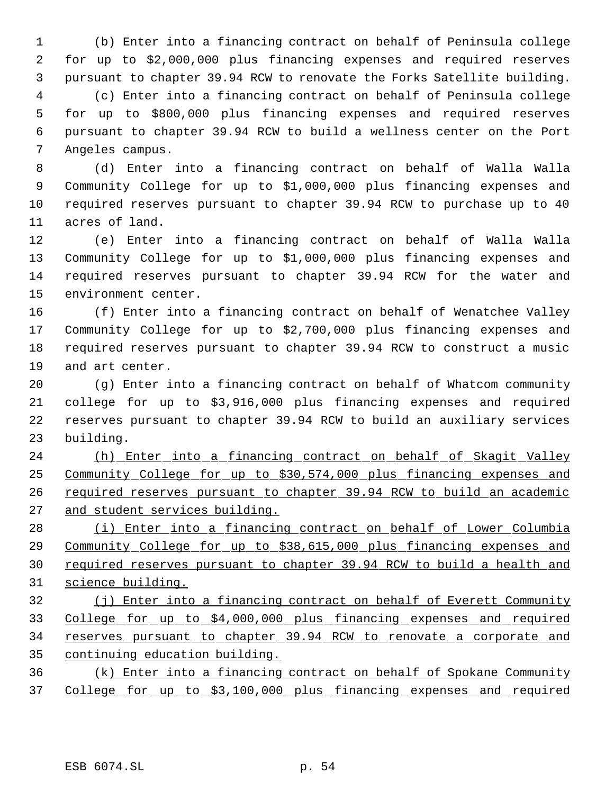(b) Enter into a financing contract on behalf of Peninsula college for up to \$2,000,000 plus financing expenses and required reserves pursuant to chapter 39.94 RCW to renovate the Forks Satellite building. (c) Enter into a financing contract on behalf of Peninsula college for up to \$800,000 plus financing expenses and required reserves pursuant to chapter 39.94 RCW to build a wellness center on the Port Angeles campus.

 (d) Enter into a financing contract on behalf of Walla Walla Community College for up to \$1,000,000 plus financing expenses and required reserves pursuant to chapter 39.94 RCW to purchase up to 40 acres of land.

 (e) Enter into a financing contract on behalf of Walla Walla Community College for up to \$1,000,000 plus financing expenses and required reserves pursuant to chapter 39.94 RCW for the water and environment center.

 (f) Enter into a financing contract on behalf of Wenatchee Valley Community College for up to \$2,700,000 plus financing expenses and required reserves pursuant to chapter 39.94 RCW to construct a music and art center.

 (g) Enter into a financing contract on behalf of Whatcom community college for up to \$3,916,000 plus financing expenses and required reserves pursuant to chapter 39.94 RCW to build an auxiliary services building.

 (h) Enter into a financing contract on behalf of Skagit Valley Community College for up to \$30,574,000 plus financing expenses and 26 required reserves pursuant to chapter 39.94 RCW to build an academic 27 and student services building.

 (i) Enter into a financing contract on behalf of Lower Columbia Community College for up to \$38,615,000 plus financing expenses and 30 required reserves pursuant to chapter 39.94 RCW to build a health and science building.

 (j) Enter into a financing contract on behalf of Everett Community College for up to \$4,000,000 plus financing expenses and required reserves pursuant to chapter 39.94 RCW to renovate a corporate and continuing education building.

 (k) Enter into a financing contract on behalf of Spokane Community College for up to \$3,100,000 plus financing expenses and required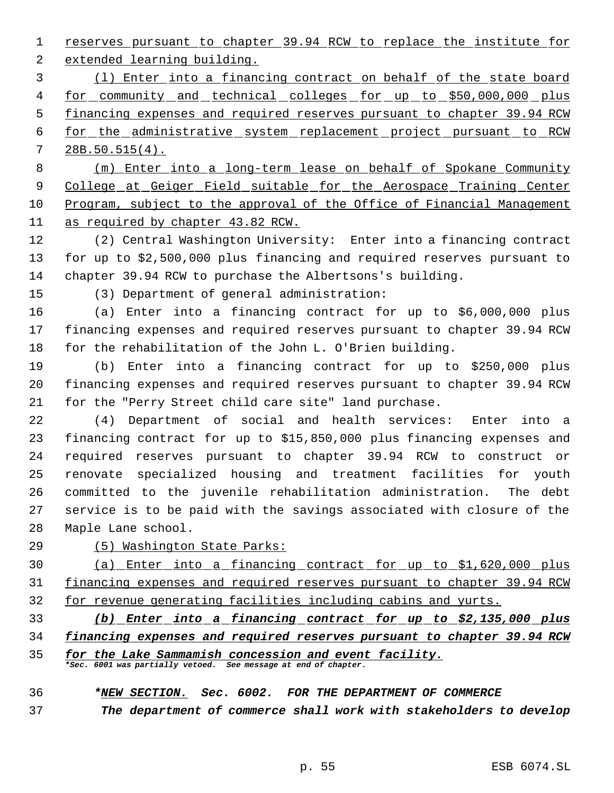reserves pursuant to chapter 39.94 RCW to replace the institute for extended learning building.

 (l) Enter into a financing contract on behalf of the state board for community and technical colleges for up to \$50,000,000 plus financing expenses and required reserves pursuant to chapter 39.94 RCW for the administrative system replacement project pursuant to RCW 28B.50.515(4).

 (m) Enter into a long-term lease on behalf of Spokane Community 9 College at Geiger Field suitable for the Aerospace Training Center Program, subject to the approval of the Office of Financial Management as required by chapter 43.82 RCW.

 (2) Central Washington University: Enter into a financing contract for up to \$2,500,000 plus financing and required reserves pursuant to chapter 39.94 RCW to purchase the Albertsons's building.

(3) Department of general administration:

 (a) Enter into a financing contract for up to \$6,000,000 plus financing expenses and required reserves pursuant to chapter 39.94 RCW for the rehabilitation of the John L. O'Brien building.

 (b) Enter into a financing contract for up to \$250,000 plus financing expenses and required reserves pursuant to chapter 39.94 RCW for the "Perry Street child care site" land purchase.

 (4) Department of social and health services: Enter into a financing contract for up to \$15,850,000 plus financing expenses and required reserves pursuant to chapter 39.94 RCW to construct or renovate specialized housing and treatment facilities for youth committed to the juvenile rehabilitation administration. The debt service is to be paid with the savings associated with closure of the Maple Lane school.

(5) Washington State Parks:

 (a) Enter into a financing contract for up to \$1,620,000 plus financing expenses and required reserves pursuant to chapter 39.94 RCW for revenue generating facilities including cabins and yurts.

# *(b) Enter into a financing contract for up to \$2,135,000 plus financing expenses and required reserves pursuant to chapter 39.94 RCW*

*for the Lake Sammamish concession and event facility. \*Sec. 6001 was partially vetoed. See message at end of chapter.*

# *\*NEW SECTION. Sec. 6002. FOR THE DEPARTMENT OF COMMERCE*

 *The department of commerce shall work with stakeholders to develop*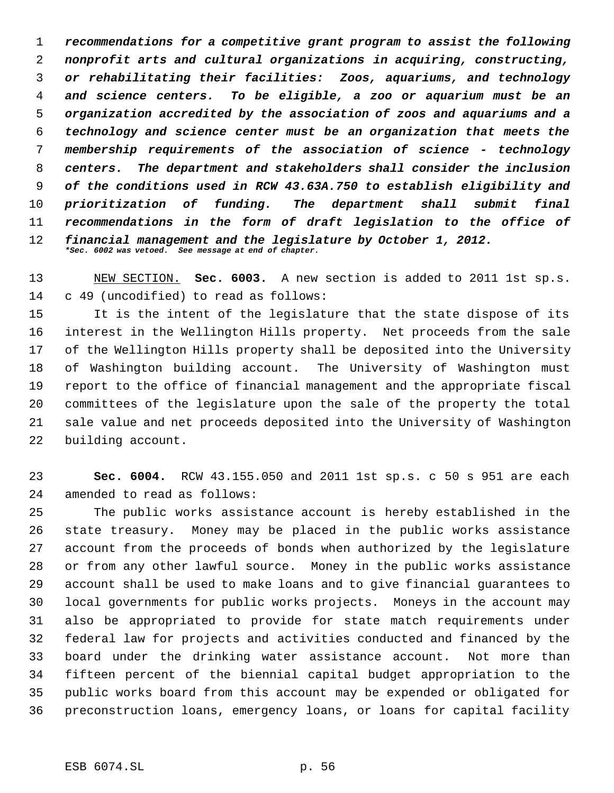*recommendations for a competitive grant program to assist the following nonprofit arts and cultural organizations in acquiring, constructing, or rehabilitating their facilities: Zoos, aquariums, and technology and science centers. To be eligible, a zoo or aquarium must be an organization accredited by the association of zoos and aquariums and a technology and science center must be an organization that meets the membership requirements of the association of science - technology centers. The department and stakeholders shall consider the inclusion of the conditions used in RCW 43.63A.750 to establish eligibility and prioritization of funding. The department shall submit final recommendations in the form of draft legislation to the office of financial management and the legislature by October 1, 2012. \*Sec. 6002 was vetoed. See message at end of chapter.*

 NEW SECTION. **Sec. 6003.** A new section is added to 2011 1st sp.s. c 49 (uncodified) to read as follows:

 It is the intent of the legislature that the state dispose of its interest in the Wellington Hills property. Net proceeds from the sale of the Wellington Hills property shall be deposited into the University of Washington building account. The University of Washington must report to the office of financial management and the appropriate fiscal committees of the legislature upon the sale of the property the total sale value and net proceeds deposited into the University of Washington building account.

 **Sec. 6004.** RCW 43.155.050 and 2011 1st sp.s. c 50 s 951 are each amended to read as follows:

 The public works assistance account is hereby established in the state treasury. Money may be placed in the public works assistance account from the proceeds of bonds when authorized by the legislature or from any other lawful source. Money in the public works assistance account shall be used to make loans and to give financial guarantees to local governments for public works projects. Moneys in the account may also be appropriated to provide for state match requirements under federal law for projects and activities conducted and financed by the board under the drinking water assistance account. Not more than fifteen percent of the biennial capital budget appropriation to the public works board from this account may be expended or obligated for preconstruction loans, emergency loans, or loans for capital facility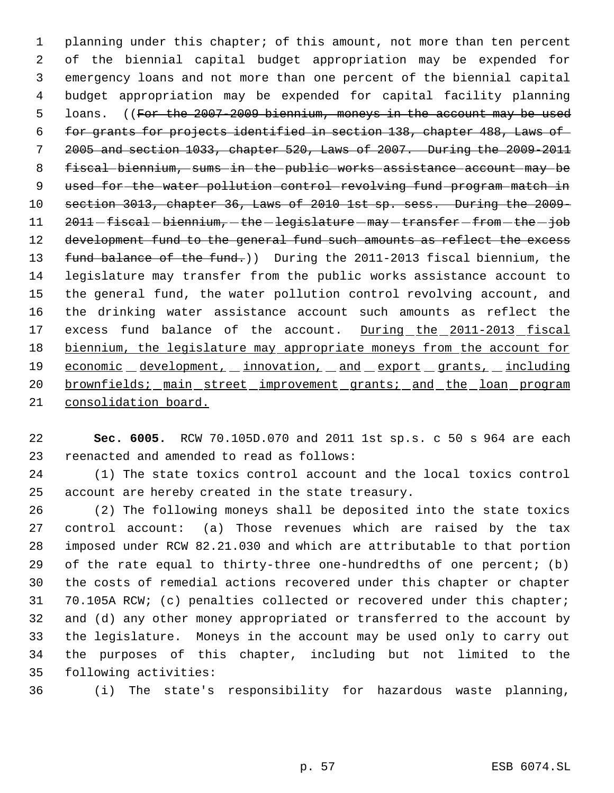planning under this chapter; of this amount, not more than ten percent of the biennial capital budget appropriation may be expended for emergency loans and not more than one percent of the biennial capital budget appropriation may be expended for capital facility planning 5 loans. ((For the 2007-2009 biennium, moneys in the account may be used for grants for projects identified in section 138, chapter 488, Laws of 2005 and section 1033, chapter 520, Laws of 2007. During the 2009-2011 fiscal biennium, sums in the public works assistance account may be 9 used for the water pollution control revolving fund program match in section 3013, chapter 36, Laws of 2010 1st sp. sess. During the 2009- 11 2011 - fiscal - biennium, - the - legislature - may - transfer - from - the - job 12 development fund to the general fund such amounts as reflect the excess 13 fund balance of the fund.)) During the 2011-2013 fiscal biennium, the legislature may transfer from the public works assistance account to the general fund, the water pollution control revolving account, and the drinking water assistance account such amounts as reflect the 17 excess fund balance of the account. During the 2011-2013 fiscal 18 biennium, the legislature may appropriate moneys from the account for 19 economic development, innovation, and export grants, including 20 brownfields; main street improvement grants; and the loan program consolidation board.

 **Sec. 6005.** RCW 70.105D.070 and 2011 1st sp.s. c 50 s 964 are each reenacted and amended to read as follows:

 (1) The state toxics control account and the local toxics control account are hereby created in the state treasury.

 (2) The following moneys shall be deposited into the state toxics control account: (a) Those revenues which are raised by the tax imposed under RCW 82.21.030 and which are attributable to that portion of the rate equal to thirty-three one-hundredths of one percent; (b) the costs of remedial actions recovered under this chapter or chapter 70.105A RCW; (c) penalties collected or recovered under this chapter; and (d) any other money appropriated or transferred to the account by the legislature. Moneys in the account may be used only to carry out the purposes of this chapter, including but not limited to the following activities:

(i) The state's responsibility for hazardous waste planning,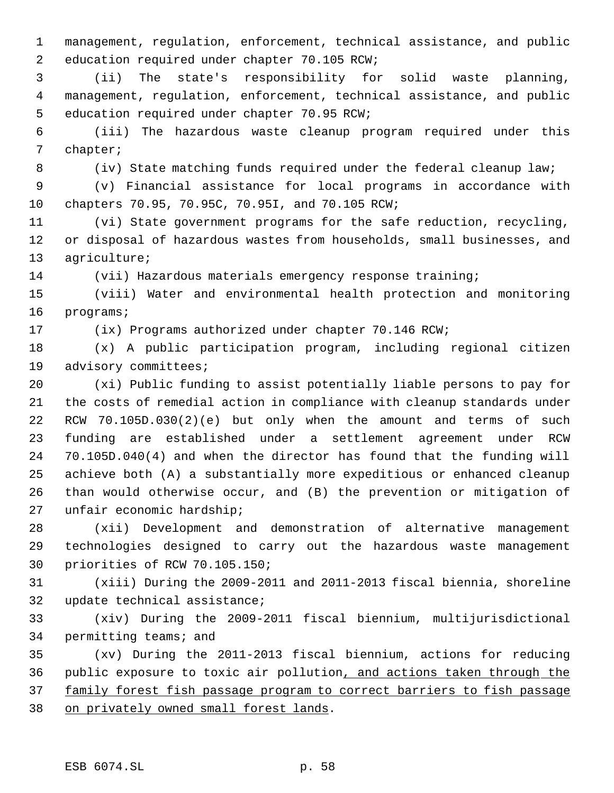management, regulation, enforcement, technical assistance, and public education required under chapter 70.105 RCW;

 (ii) The state's responsibility for solid waste planning, management, regulation, enforcement, technical assistance, and public education required under chapter 70.95 RCW;

 (iii) The hazardous waste cleanup program required under this chapter;

8 (iv) State matching funds required under the federal cleanup law;

 (v) Financial assistance for local programs in accordance with chapters 70.95, 70.95C, 70.95I, and 70.105 RCW;

 (vi) State government programs for the safe reduction, recycling, or disposal of hazardous wastes from households, small businesses, and agriculture;

(vii) Hazardous materials emergency response training;

 (viii) Water and environmental health protection and monitoring programs;

(ix) Programs authorized under chapter 70.146 RCW;

 (x) A public participation program, including regional citizen advisory committees;

 (xi) Public funding to assist potentially liable persons to pay for the costs of remedial action in compliance with cleanup standards under RCW 70.105D.030(2)(e) but only when the amount and terms of such funding are established under a settlement agreement under RCW 70.105D.040(4) and when the director has found that the funding will achieve both (A) a substantially more expeditious or enhanced cleanup than would otherwise occur, and (B) the prevention or mitigation of unfair economic hardship;

 (xii) Development and demonstration of alternative management technologies designed to carry out the hazardous waste management priorities of RCW 70.105.150;

 (xiii) During the 2009-2011 and 2011-2013 fiscal biennia, shoreline update technical assistance;

 (xiv) During the 2009-2011 fiscal biennium, multijurisdictional permitting teams; and

 (xv) During the 2011-2013 fiscal biennium, actions for reducing public exposure to toxic air pollution, and actions taken through the 37 family forest fish passage program to correct barriers to fish passage on privately owned small forest lands.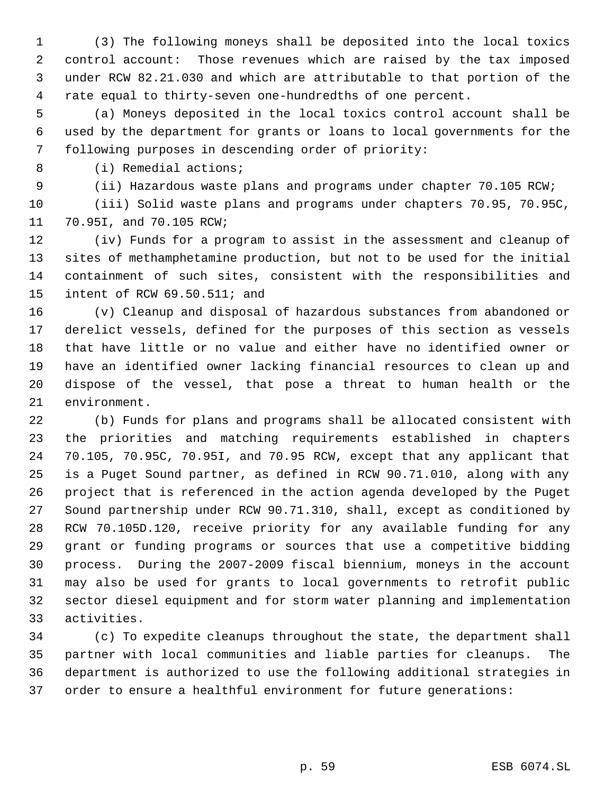(3) The following moneys shall be deposited into the local toxics control account: Those revenues which are raised by the tax imposed under RCW 82.21.030 and which are attributable to that portion of the rate equal to thirty-seven one-hundredths of one percent.

 (a) Moneys deposited in the local toxics control account shall be used by the department for grants or loans to local governments for the following purposes in descending order of priority:

(i) Remedial actions;

(ii) Hazardous waste plans and programs under chapter 70.105 RCW;

 (iii) Solid waste plans and programs under chapters 70.95, 70.95C, 70.95I, and 70.105 RCW;

 (iv) Funds for a program to assist in the assessment and cleanup of sites of methamphetamine production, but not to be used for the initial containment of such sites, consistent with the responsibilities and intent of RCW 69.50.511; and

 (v) Cleanup and disposal of hazardous substances from abandoned or derelict vessels, defined for the purposes of this section as vessels that have little or no value and either have no identified owner or have an identified owner lacking financial resources to clean up and dispose of the vessel, that pose a threat to human health or the environment.

 (b) Funds for plans and programs shall be allocated consistent with the priorities and matching requirements established in chapters 70.105, 70.95C, 70.95I, and 70.95 RCW, except that any applicant that is a Puget Sound partner, as defined in RCW 90.71.010, along with any project that is referenced in the action agenda developed by the Puget Sound partnership under RCW 90.71.310, shall, except as conditioned by RCW 70.105D.120, receive priority for any available funding for any grant or funding programs or sources that use a competitive bidding process. During the 2007-2009 fiscal biennium, moneys in the account may also be used for grants to local governments to retrofit public sector diesel equipment and for storm water planning and implementation activities.

 (c) To expedite cleanups throughout the state, the department shall partner with local communities and liable parties for cleanups. The department is authorized to use the following additional strategies in order to ensure a healthful environment for future generations: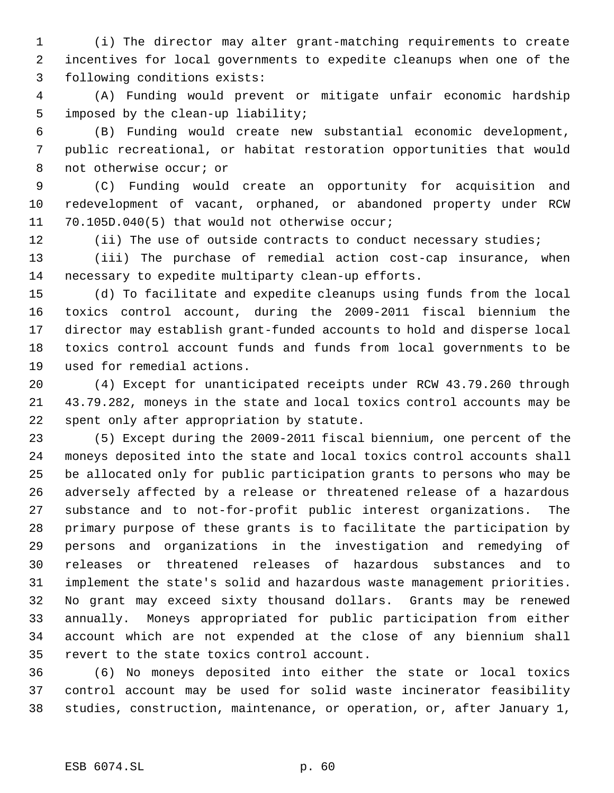(i) The director may alter grant-matching requirements to create incentives for local governments to expedite cleanups when one of the following conditions exists:

 (A) Funding would prevent or mitigate unfair economic hardship imposed by the clean-up liability;

 (B) Funding would create new substantial economic development, public recreational, or habitat restoration opportunities that would 8 not otherwise occur; or

 (C) Funding would create an opportunity for acquisition and redevelopment of vacant, orphaned, or abandoned property under RCW 70.105D.040(5) that would not otherwise occur;

12 (ii) The use of outside contracts to conduct necessary studies;

 (iii) The purchase of remedial action cost-cap insurance, when necessary to expedite multiparty clean-up efforts.

 (d) To facilitate and expedite cleanups using funds from the local toxics control account, during the 2009-2011 fiscal biennium the director may establish grant-funded accounts to hold and disperse local toxics control account funds and funds from local governments to be used for remedial actions.

 (4) Except for unanticipated receipts under RCW 43.79.260 through 43.79.282, moneys in the state and local toxics control accounts may be spent only after appropriation by statute.

 (5) Except during the 2009-2011 fiscal biennium, one percent of the moneys deposited into the state and local toxics control accounts shall be allocated only for public participation grants to persons who may be adversely affected by a release or threatened release of a hazardous substance and to not-for-profit public interest organizations. The primary purpose of these grants is to facilitate the participation by persons and organizations in the investigation and remedying of releases or threatened releases of hazardous substances and to implement the state's solid and hazardous waste management priorities. No grant may exceed sixty thousand dollars. Grants may be renewed annually. Moneys appropriated for public participation from either account which are not expended at the close of any biennium shall revert to the state toxics control account.

 (6) No moneys deposited into either the state or local toxics control account may be used for solid waste incinerator feasibility studies, construction, maintenance, or operation, or, after January 1,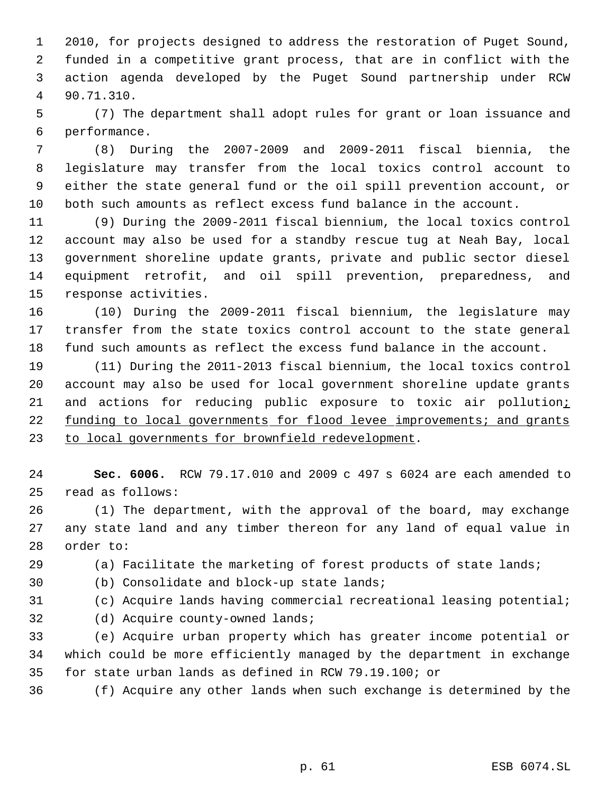2010, for projects designed to address the restoration of Puget Sound, funded in a competitive grant process, that are in conflict with the action agenda developed by the Puget Sound partnership under RCW 90.71.310.

 (7) The department shall adopt rules for grant or loan issuance and performance.

 (8) During the 2007-2009 and 2009-2011 fiscal biennia, the legislature may transfer from the local toxics control account to either the state general fund or the oil spill prevention account, or both such amounts as reflect excess fund balance in the account.

 (9) During the 2009-2011 fiscal biennium, the local toxics control account may also be used for a standby rescue tug at Neah Bay, local government shoreline update grants, private and public sector diesel equipment retrofit, and oil spill prevention, preparedness, and response activities.

 (10) During the 2009-2011 fiscal biennium, the legislature may transfer from the state toxics control account to the state general fund such amounts as reflect the excess fund balance in the account.

 (11) During the 2011-2013 fiscal biennium, the local toxics control account may also be used for local government shoreline update grants 21 and actions for reducing public exposure to toxic air pollution; funding to local governments for flood levee improvements; and grants 23 to local governments for brownfield redevelopment.

 **Sec. 6006.** RCW 79.17.010 and 2009 c 497 s 6024 are each amended to read as follows:

 (1) The department, with the approval of the board, may exchange any state land and any timber thereon for any land of equal value in order to:

(a) Facilitate the marketing of forest products of state lands;

(b) Consolidate and block-up state lands;

(c) Acquire lands having commercial recreational leasing potential;

(d) Acquire county-owned lands;

 (e) Acquire urban property which has greater income potential or which could be more efficiently managed by the department in exchange for state urban lands as defined in RCW 79.19.100; or

(f) Acquire any other lands when such exchange is determined by the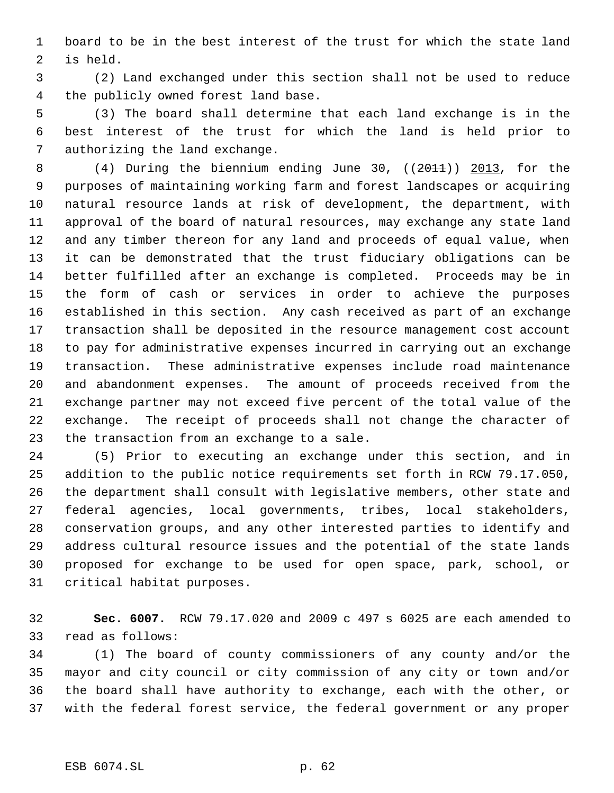board to be in the best interest of the trust for which the state land is held.

 (2) Land exchanged under this section shall not be used to reduce the publicly owned forest land base.

 (3) The board shall determine that each land exchange is in the best interest of the trust for which the land is held prior to authorizing the land exchange.

8 (4) During the biennium ending June 30, ((2011)) 2013, for the purposes of maintaining working farm and forest landscapes or acquiring natural resource lands at risk of development, the department, with approval of the board of natural resources, may exchange any state land and any timber thereon for any land and proceeds of equal value, when it can be demonstrated that the trust fiduciary obligations can be better fulfilled after an exchange is completed. Proceeds may be in the form of cash or services in order to achieve the purposes established in this section. Any cash received as part of an exchange transaction shall be deposited in the resource management cost account to pay for administrative expenses incurred in carrying out an exchange transaction. These administrative expenses include road maintenance and abandonment expenses. The amount of proceeds received from the exchange partner may not exceed five percent of the total value of the exchange. The receipt of proceeds shall not change the character of the transaction from an exchange to a sale.

 (5) Prior to executing an exchange under this section, and in addition to the public notice requirements set forth in RCW 79.17.050, the department shall consult with legislative members, other state and federal agencies, local governments, tribes, local stakeholders, conservation groups, and any other interested parties to identify and address cultural resource issues and the potential of the state lands proposed for exchange to be used for open space, park, school, or critical habitat purposes.

 **Sec. 6007.** RCW 79.17.020 and 2009 c 497 s 6025 are each amended to read as follows:

 (1) The board of county commissioners of any county and/or the mayor and city council or city commission of any city or town and/or the board shall have authority to exchange, each with the other, or with the federal forest service, the federal government or any proper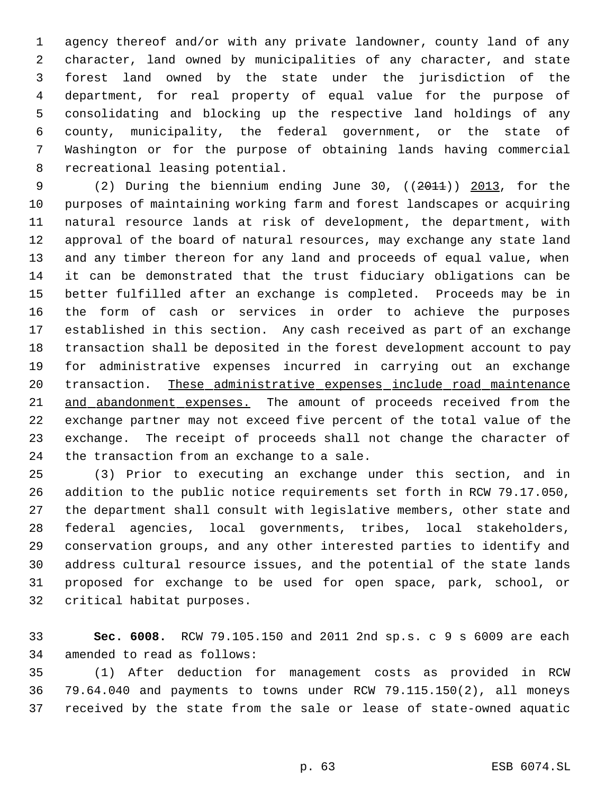agency thereof and/or with any private landowner, county land of any character, land owned by municipalities of any character, and state forest land owned by the state under the jurisdiction of the department, for real property of equal value for the purpose of consolidating and blocking up the respective land holdings of any county, municipality, the federal government, or the state of Washington or for the purpose of obtaining lands having commercial recreational leasing potential.

9 (2) During the biennium ending June 30, ((2011)) 2013, for the purposes of maintaining working farm and forest landscapes or acquiring natural resource lands at risk of development, the department, with approval of the board of natural resources, may exchange any state land and any timber thereon for any land and proceeds of equal value, when it can be demonstrated that the trust fiduciary obligations can be better fulfilled after an exchange is completed. Proceeds may be in the form of cash or services in order to achieve the purposes established in this section. Any cash received as part of an exchange transaction shall be deposited in the forest development account to pay for administrative expenses incurred in carrying out an exchange 20 transaction. These administrative expenses include road maintenance and abandonment expenses. The amount of proceeds received from the exchange partner may not exceed five percent of the total value of the exchange. The receipt of proceeds shall not change the character of the transaction from an exchange to a sale.

 (3) Prior to executing an exchange under this section, and in addition to the public notice requirements set forth in RCW 79.17.050, the department shall consult with legislative members, other state and federal agencies, local governments, tribes, local stakeholders, conservation groups, and any other interested parties to identify and address cultural resource issues, and the potential of the state lands proposed for exchange to be used for open space, park, school, or critical habitat purposes.

 **Sec. 6008.** RCW 79.105.150 and 2011 2nd sp.s. c 9 s 6009 are each amended to read as follows:

 (1) After deduction for management costs as provided in RCW 79.64.040 and payments to towns under RCW 79.115.150(2), all moneys received by the state from the sale or lease of state-owned aquatic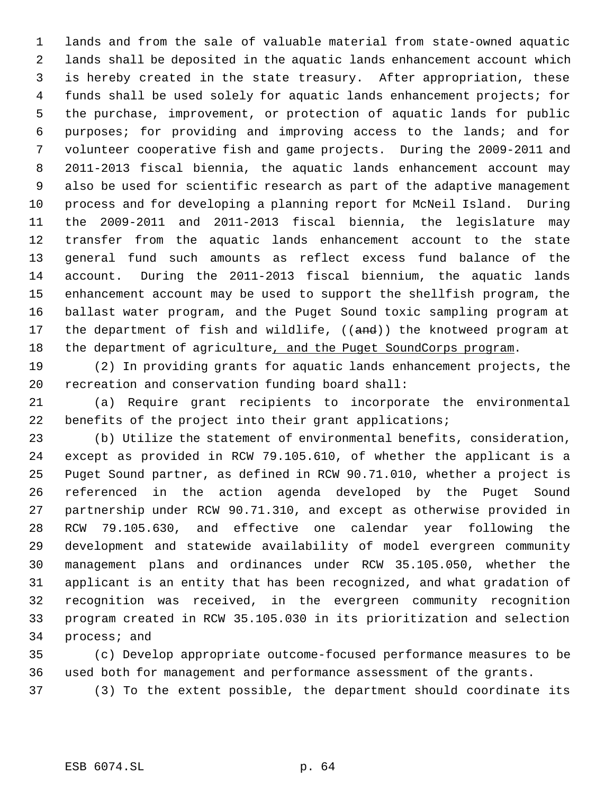lands and from the sale of valuable material from state-owned aquatic lands shall be deposited in the aquatic lands enhancement account which is hereby created in the state treasury. After appropriation, these funds shall be used solely for aquatic lands enhancement projects; for the purchase, improvement, or protection of aquatic lands for public purposes; for providing and improving access to the lands; and for volunteer cooperative fish and game projects. During the 2009-2011 and 2011-2013 fiscal biennia, the aquatic lands enhancement account may also be used for scientific research as part of the adaptive management process and for developing a planning report for McNeil Island. During the 2009-2011 and 2011-2013 fiscal biennia, the legislature may transfer from the aquatic lands enhancement account to the state general fund such amounts as reflect excess fund balance of the account. During the 2011-2013 fiscal biennium, the aquatic lands enhancement account may be used to support the shellfish program, the ballast water program, and the Puget Sound toxic sampling program at 17 the department of fish and wildlife, ((and)) the knotweed program at 18 the department of agriculture, and the Puget SoundCorps program.

 (2) In providing grants for aquatic lands enhancement projects, the recreation and conservation funding board shall:

 (a) Require grant recipients to incorporate the environmental benefits of the project into their grant applications;

 (b) Utilize the statement of environmental benefits, consideration, except as provided in RCW 79.105.610, of whether the applicant is a Puget Sound partner, as defined in RCW 90.71.010, whether a project is referenced in the action agenda developed by the Puget Sound partnership under RCW 90.71.310, and except as otherwise provided in RCW 79.105.630, and effective one calendar year following the development and statewide availability of model evergreen community management plans and ordinances under RCW 35.105.050, whether the applicant is an entity that has been recognized, and what gradation of recognition was received, in the evergreen community recognition program created in RCW 35.105.030 in its prioritization and selection process; and

 (c) Develop appropriate outcome-focused performance measures to be used both for management and performance assessment of the grants.

(3) To the extent possible, the department should coordinate its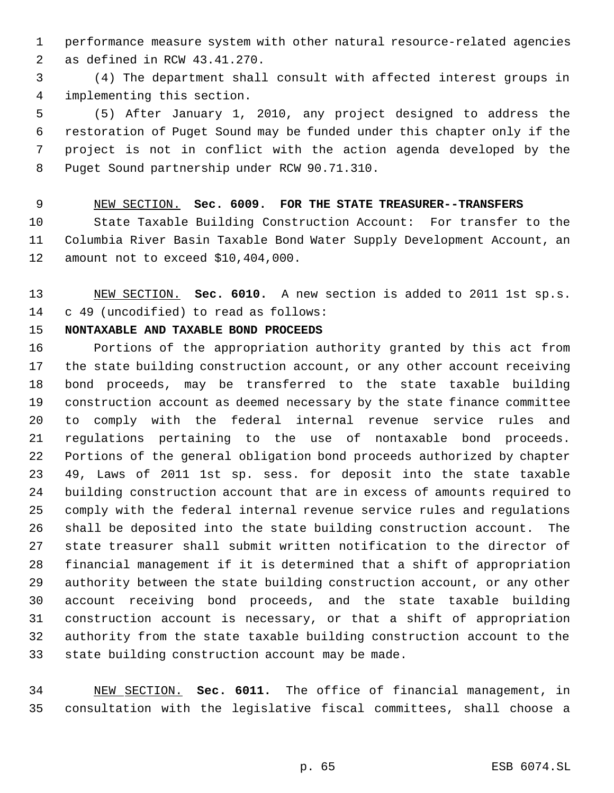performance measure system with other natural resource-related agencies

as defined in RCW 43.41.270.

 (4) The department shall consult with affected interest groups in implementing this section.

 (5) After January 1, 2010, any project designed to address the restoration of Puget Sound may be funded under this chapter only if the project is not in conflict with the action agenda developed by the Puget Sound partnership under RCW 90.71.310.

 NEW SECTION. **Sec. 6009. FOR THE STATE TREASURER--TRANSFERS** State Taxable Building Construction Account: For transfer to the Columbia River Basin Taxable Bond Water Supply Development Account, an amount not to exceed \$10,404,000.

 NEW SECTION. **Sec. 6010.** A new section is added to 2011 1st sp.s. c 49 (uncodified) to read as follows:

# **NONTAXABLE AND TAXABLE BOND PROCEEDS**

 Portions of the appropriation authority granted by this act from the state building construction account, or any other account receiving bond proceeds, may be transferred to the state taxable building construction account as deemed necessary by the state finance committee to comply with the federal internal revenue service rules and regulations pertaining to the use of nontaxable bond proceeds. Portions of the general obligation bond proceeds authorized by chapter 49, Laws of 2011 1st sp. sess. for deposit into the state taxable building construction account that are in excess of amounts required to comply with the federal internal revenue service rules and regulations shall be deposited into the state building construction account. The state treasurer shall submit written notification to the director of financial management if it is determined that a shift of appropriation authority between the state building construction account, or any other account receiving bond proceeds, and the state taxable building construction account is necessary, or that a shift of appropriation authority from the state taxable building construction account to the state building construction account may be made.

 NEW SECTION. **Sec. 6011.** The office of financial management, in consultation with the legislative fiscal committees, shall choose a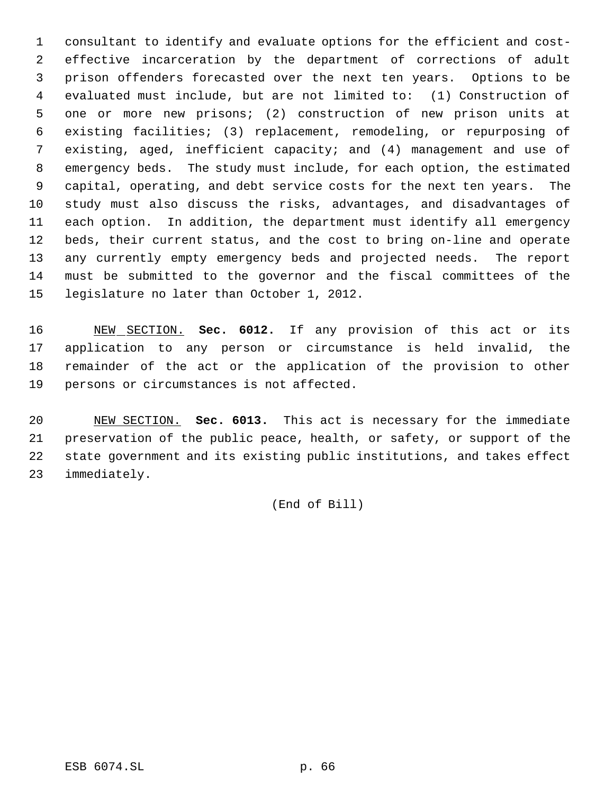consultant to identify and evaluate options for the efficient and cost- effective incarceration by the department of corrections of adult prison offenders forecasted over the next ten years. Options to be evaluated must include, but are not limited to: (1) Construction of one or more new prisons; (2) construction of new prison units at existing facilities; (3) replacement, remodeling, or repurposing of existing, aged, inefficient capacity; and (4) management and use of emergency beds. The study must include, for each option, the estimated capital, operating, and debt service costs for the next ten years. The study must also discuss the risks, advantages, and disadvantages of each option. In addition, the department must identify all emergency beds, their current status, and the cost to bring on-line and operate any currently empty emergency beds and projected needs. The report must be submitted to the governor and the fiscal committees of the legislature no later than October 1, 2012.

 NEW SECTION. **Sec. 6012.** If any provision of this act or its application to any person or circumstance is held invalid, the remainder of the act or the application of the provision to other persons or circumstances is not affected.

 NEW SECTION. **Sec. 6013.** This act is necessary for the immediate preservation of the public peace, health, or safety, or support of the state government and its existing public institutions, and takes effect immediately.

(End of Bill)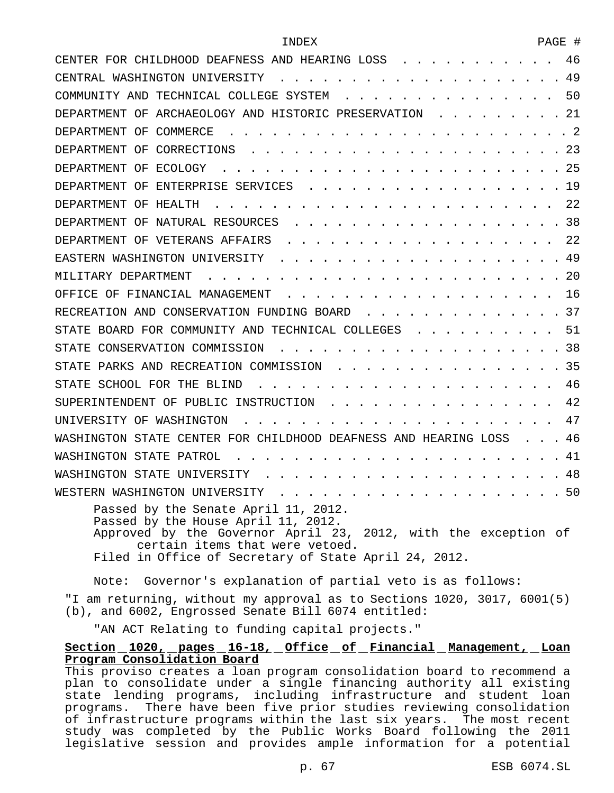| INDEX                                                                                                                                                                            | PAGE # |    |
|----------------------------------------------------------------------------------------------------------------------------------------------------------------------------------|--------|----|
| CENTER FOR CHILDHOOD DEAFNESS AND HEARING LOSS                                                                                                                                   |        | 46 |
| CENTRAL WASHINGTON UNIVERSITY                                                                                                                                                    |        | 49 |
| COMMUNITY AND TECHNICAL COLLEGE SYSTEM                                                                                                                                           |        | 50 |
| DEPARTMENT OF ARCHAEOLOGY AND HISTORIC PRESERVATION                                                                                                                              | . 21   |    |
| DEPARTMENT OF COMMERCE                                                                                                                                                           | . 2    |    |
| DEPARTMENT OF CORRECTIONS<br>$\cdots$<br>$\mathbf{r}$ . The set of the set of $\mathbf{r}$                                                                                       |        | 23 |
| DEPARTMENT OF ECOLOGY                                                                                                                                                            | 25     |    |
| DEPARTMENT OF ENTERPRISE SERVICES                                                                                                                                                | 19     |    |
| DEPARTMENT OF HEALTH                                                                                                                                                             |        | 22 |
| DEPARTMENT OF NATURAL RESOURCES                                                                                                                                                  | .38    |    |
| DEPARTMENT OF VETERANS AFFAIRS                                                                                                                                                   |        | 22 |
| EASTERN WASHINGTON UNIVERSITY                                                                                                                                                    |        | 49 |
| MILITARY DEPARTMENT                                                                                                                                                              | -20    |    |
| OFFICE OF FINANCIAL MANAGEMENT                                                                                                                                                   |        | 16 |
| RECREATION AND CONSERVATION FUNDING BOARD                                                                                                                                        | 37     |    |
| STATE BOARD FOR COMMUNITY AND TECHNICAL COLLEGES                                                                                                                                 |        | 51 |
| STATE CONSERVATION COMMISSION                                                                                                                                                    |        | 38 |
| STATE PARKS AND RECREATION COMMISSION                                                                                                                                            | 35     |    |
| STATE SCHOOL FOR THE BLIND                                                                                                                                                       |        | 46 |
| SUPERINTENDENT OF PUBLIC INSTRUCTION                                                                                                                                             |        | 42 |
| UNIVERSITY OF WASHINGTON                                                                                                                                                         |        | 47 |
| WASHINGTON STATE CENTER FOR CHILDHOOD DEAFNESS AND HEARING LOSS                                                                                                                  | 46     |    |
| WASHINGTON STATE PATROL                                                                                                                                                          |        | 41 |
| WASHINGTON STATE UNIVERSITY                                                                                                                                                      |        | 48 |
| WESTERN WASHINGTON UNIVERSITY                                                                                                                                                    | 50     |    |
| Passed by the Senate April 11, 2012.<br>Passed by the House April 11, 2012.<br>Approved by the Governor April 23, 2012, with the exception of<br>certain items that were vetoed. |        |    |

Filed in Office of Secretary of State April 24, 2012.

Note: Governor's explanation of partial veto is as follows:

"I am returning, without my approval as to Sections 1020, 3017, 6001(5) (b), and 6002, Engrossed Senate Bill 6074 entitled:

"AN ACT Relating to funding capital projects."

# **Section 1020, pages 16-18, Office of Financial Management, Loan Program Consolidation Board**

This proviso creates a loan program consolidation board to recommend a plan to consolidate under a single financing authority all existing state lending programs, including infrastructure and student loan programs. There have been five prior studies reviewing consolidation of infrastructure programs within the last six years. The most recent study was completed by the Public Works Board following the 2011 legislative session and provides ample information for a potential